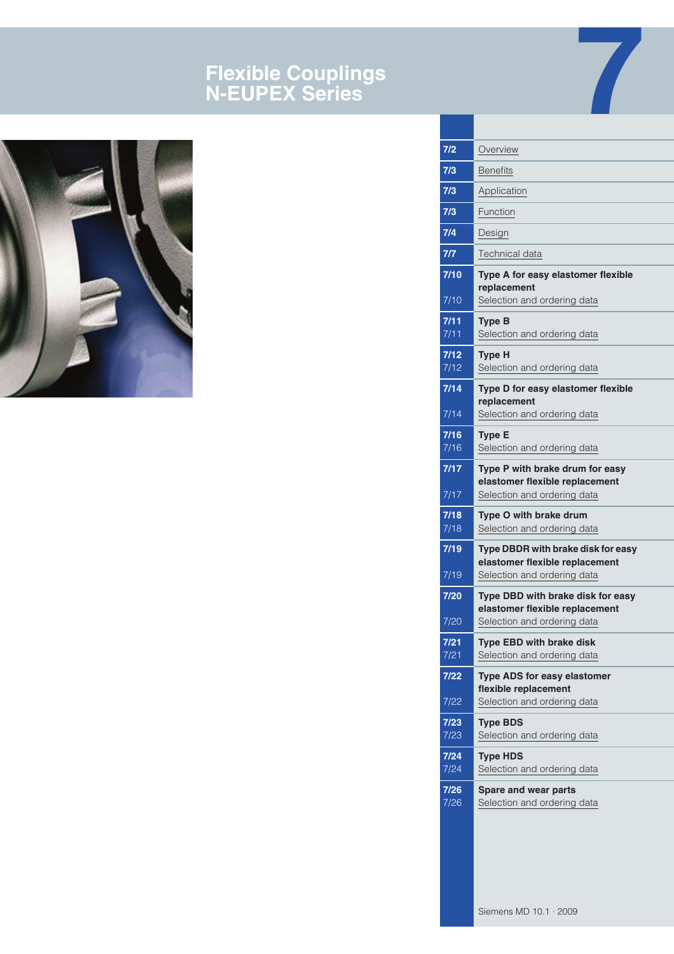# **Flexible Couplings N-EUPEX Series**



| 7/2            | Overview                                                                                  |
|----------------|-------------------------------------------------------------------------------------------|
| 7/3            | <b>Benefits</b>                                                                           |
| 7/3            | Application                                                                               |
| 7/3            | Function                                                                                  |
| 7/4            | Design                                                                                    |
| 7/7            | Technical data                                                                            |
| $7/10$         | Type A for easy elastomer flexible                                                        |
| 7/10           | replacement<br>Selection and ordering data                                                |
| 7/11           | <b>Type B</b>                                                                             |
| 7/11           | Selection and ordering data                                                               |
| 7/12<br>7/12   | <b>Type H</b><br>Selection and ordering data                                              |
| 7/14           | Type D for easy elastomer flexible<br>replacement                                         |
| 7/14           | Selection and ordering data                                                               |
| 7/16<br>7/16   | <b>Type E</b><br>Selection and ordering data                                              |
| 7/17           | Type P with brake drum for easy<br>elastomer flexible replacement                         |
| 7/17           | Selection and ordering data                                                               |
| 7/18<br>7/18   | Type O with brake drum<br>Selection and ordering data                                     |
| 7/19           | Type DBDR with brake disk for easy<br>elastomer flexible replacement                      |
| 7/19           | Selection and ordering data                                                               |
| 7/20           | Type DBD with brake disk for easy<br>elastomer flexible replacement                       |
| 7/20           | Selection and ordering data                                                               |
| $7/21$<br>7/21 | <b>Type EBD with brake disk</b><br>Selection and ordering data                            |
| $7/22$<br>7/22 | <b>Type ADS for easy elastomer</b><br>flexible replacement<br>Selection and ordering data |
| $7/23$         | <b>Type BDS</b>                                                                           |
| 7/23           | Selection and ordering data                                                               |
| $7/24$<br>7/24 | <b>Type HDS</b><br>Selection and ordering data                                            |
| 7/26<br>7/26   | Spare and wear parts<br>Selection and ordering data                                       |
|                |                                                                                           |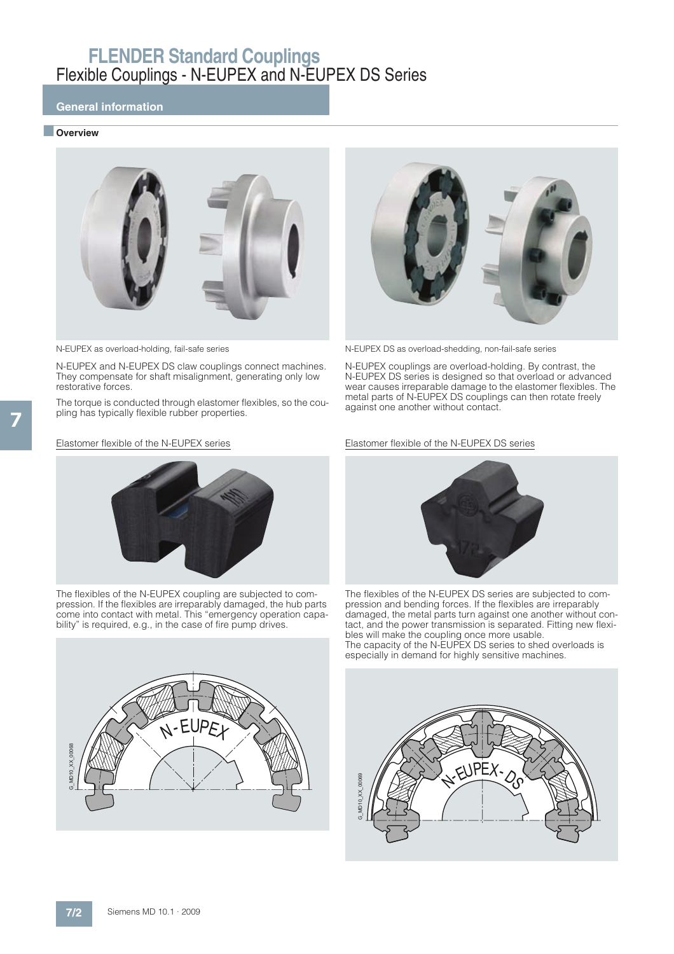## **General information**

### ■ **Overview**



N-EUPEX and N-EUPEX DS claw couplings connect machines. They compensate for shaft misalignment, generating only low restorative forces.

The torque is conducted through elastomer flexibles, so the coupling has typically flexible rubber properties.

#### Elastomer flexible of the N-EUPEX series



N-EUPEX as overload-holding, fail-safe series N-EUPEX DS as overload-shedding, non-fail-safe series

N-EUPEX couplings are overload-holding. By contrast, the N-EUPEX DS series is designed so that overload or advanced wear causes irreparable damage to the elastomer flexibles. The metal parts of N-EUPEX DS couplings can then rotate freely against one another without contact.

#### Elastomer flexible of the N-EUPEX DS series



The flexibles of the N-EUPEX coupling are subjected to compression. If the flexibles are irreparably damaged, the hub parts come into contact with metal. This "emergency operation capability" is required, e.g., in the case of fire pump drives.





The flexibles of the N-EUPEX DS series are subjected to compression and bending forces. If the flexibles are irreparably damaged, the metal parts turn against one another without contact, and the power transmission is separated. Fitting new flexibles will make the coupling once more usable. The capacity of the N-EUPEX DS series to shed overloads is especially in demand for highly sensitive machines.

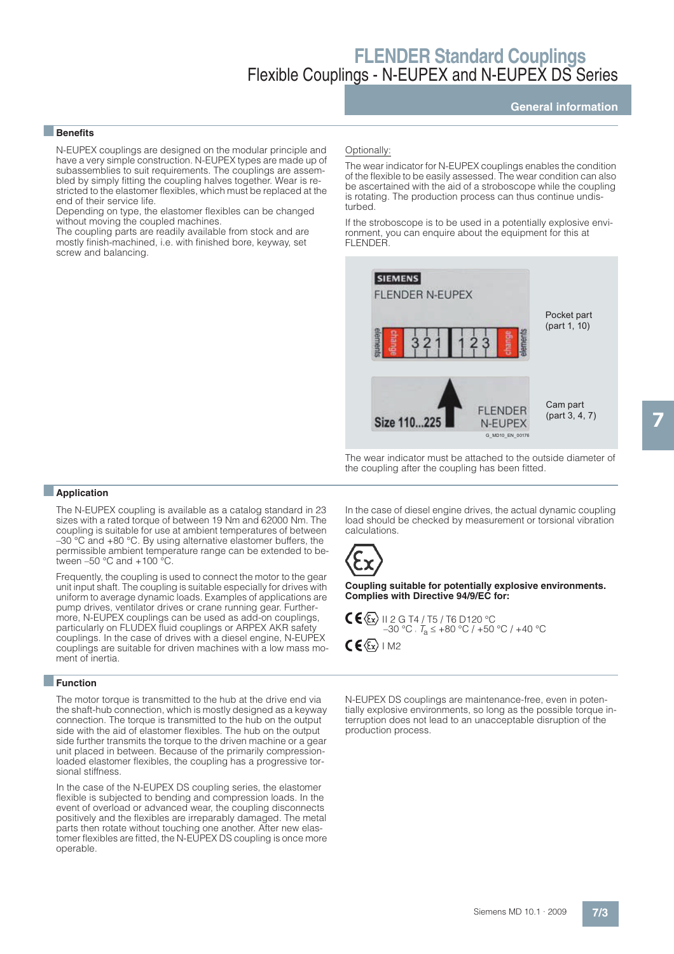## **General information**

### ■**Benefits**

N-EUPEX couplings are designed on the modular principle and have a very simple construction. N-EUPEX types are made up of subassemblies to suit requirements. The couplings are assembled by simply fitting the coupling halves together. Wear is restricted to the elastomer flexibles, which must be replaced at the end of their service life.

Depending on type, the elastomer flexibles can be changed without moving the coupled machines.

The coupling parts are readily available from stock and are mostly finish-machined, i.e. with finished bore, keyway, set screw and balancing.

#### Optionally:

The wear indicator for N-EUPEX couplings enables the condition of the flexible to be easily assessed. The wear condition can also be ascertained with the aid of a stroboscope while the coupling is rotating. The production process can thus continue undisturbed.

If the stroboscope is to be used in a potentially explosive environment, you can enquire about the equipment for this at FLENDER.



The wear indicator must be attached to the outside diameter of the coupling after the coupling has been fitted.

#### ■**Application**

The N-EUPEX coupling is available as a catalog standard in 23 sizes with a rated torque of between 19 Nm and 62000 Nm. The coupling is suitable for use at ambient temperatures of between –30 °C and +80 °C. By using alternative elastomer buffers, the permissible ambient temperature range can be extended to between  $-50$  °C and  $+100$  °C.

Frequently, the coupling is used to connect the motor to the gear unit input shaft. The coupling is suitable especially for drives with uniform to average dynamic loads. Examples of applications are pump drives, ventilator drives or crane running gear. Furthermore, N-EUPEX couplings can be used as add-on couplings, particularly on FLUDEX fluid couplings or ARPEX AKR safety couplings. In the case of drives with a diesel engine, N-EUPEX couplings are suitable for driven machines with a low mass moment of inertia.

#### ■**Function**

The motor torque is transmitted to the hub at the drive end via the shaft-hub connection, which is mostly designed as a keyway connection. The torque is transmitted to the hub on the output side with the aid of elastomer flexibles. The hub on the output side further transmits the torque to the driven machine or a gear unit placed in between. Because of the primarily compressionloaded elastomer flexibles, the coupling has a progressive torsional stiffness.

In the case of the N-EUPEX DS coupling series, the elastomer flexible is subjected to bending and compression loads. In the event of overload or advanced wear, the coupling disconnects positively and the flexibles are irreparably damaged. The metal parts then rotate without touching one another. After new elastomer flexibles are fitted, the N-EUPEX DS coupling is once more operable.

In the case of diesel engine drives, the actual dynamic coupling load should be checked by measurement or torsional vibration calculations.



**Coupling suitable for potentially explosive environments. Complies with Directive 94/9/EC for:**



N-EUPEX DS couplings are maintenance-free, even in potentially explosive environments, so long as the possible torque interruption does not lead to an unacceptable disruption of the production process.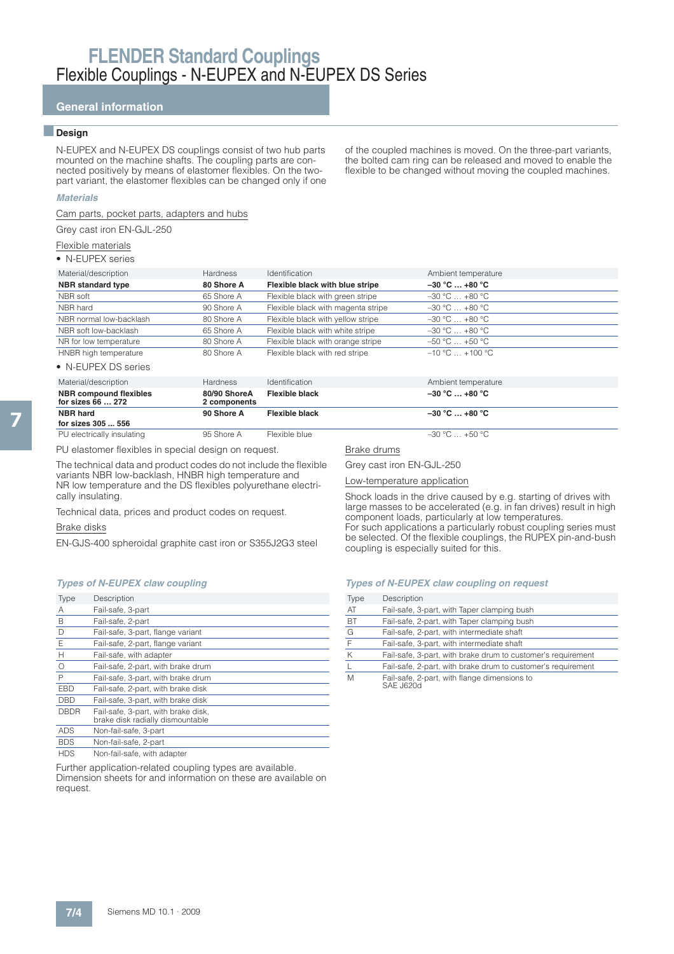## **General information**

#### ■**Design**

N-EUPEX and N-EUPEX DS couplings consist of two hub parts mounted on the machine shafts. The coupling parts are connected positively by means of elastomer flexibles. On the twopart variant, the elastomer flexibles can be changed only if one

of the coupled machines is moved. On the three-part variants, the bolted cam ring can be released and moved to enable the flexible to be changed without moving the coupled machines.

#### **Materials**

Cam parts, pocket parts, adapters and hubs

Grey cast iron EN-GJL-250

Flexible materials

• N-EUPEX series

| Material/description     | Hardness   | <b>Identification</b>              | Ambient temperature |
|--------------------------|------------|------------------------------------|---------------------|
| <b>NBR</b> standard type | 80 Shore A | Flexible black with blue stripe    | $-30 °C  +80 °C$    |
| NBR soft                 | 65 Shore A | Flexible black with green stripe   | $-30 °C  +80 °C$    |
| NBR hard                 | 90 Shore A | Flexible black with magenta stripe | $-30$ °C $+80$ °C   |
| NBR normal low-backlash  | 80 Shore A | Flexible black with yellow stripe  | $-30 °C  +80 °C$    |
| NBR soft low-backlash    | 65 Shore A | Flexible black with white stripe   | $-30 °C$ $+80 °C$   |
| NR for low temperature   | 80 Shore A | Flexible black with orange stripe  | $-50 °C  +50 °C$    |
| HNBR high temperature    | 80 Shore A | Flexible black with red stripe     | $-10 °C + 100 °C$   |
|                          |            |                                    |                     |

• N-EUPEX DS series

| Material/description                               | <b>Hardness</b>              | <i><u><b>Identification</b></u></i> | Ambient temperature |
|----------------------------------------------------|------------------------------|-------------------------------------|---------------------|
| <b>NBR</b> compound flexibles<br>for sizes 66  272 | 80/90 ShoreA<br>2 components | Flexible black                      | $-30$ °C $$ +80 °C  |
| <b>NBR</b> hard                                    | 90 Shore A                   | Flexible black                      | $-30 °C  +80 °C$    |
| for sizes 305  556                                 |                              |                                     |                     |
| PU electrically insulating                         | 95 Shore A                   | Flexible blue                       | $-30 °C$ +50 °C     |

PU elastomer flexibles in special design on request.

The technical data and product codes do not include the flexible variants NBR low-backlash, HNBR high temperature and NR low temperature and the DS flexibles polyurethane electrically insulating.

Technical data, prices and product codes on request.

#### Brake disks

EN-GJS-400 spheroidal graphite cast iron or S355J2G3 steel

#### **Types of N-EUPEX claw coupling**

| Type         | Description                                                             |
|--------------|-------------------------------------------------------------------------|
| А            | Fail-safe, 3-part                                                       |
| B            | Fail-safe, 2-part                                                       |
| D            | Fail-safe, 3-part, flange variant                                       |
| $\mathsf E$  | Fail-safe, 2-part, flange variant                                       |
| H            | Fail-safe, with adapter                                                 |
| $\circ$      | Fail-safe, 2-part, with brake drum                                      |
| $\mathsf{P}$ | Fail-safe, 3-part, with brake drum                                      |
| <b>EBD</b>   | Fail-safe, 2-part, with brake disk                                      |
| <b>DBD</b>   | Fail-safe, 3-part, with brake disk                                      |
| <b>DBDR</b>  | Fail-safe, 3-part, with brake disk,<br>brake disk radially dismountable |
| <b>ADS</b>   | Non-fail-safe, 3-part                                                   |
| <b>BDS</b>   | Non-fail-safe, 2-part                                                   |
| IDO          | Nicola (2011) a cafet constata considerations                           |

HDS Non-fail-safe, with adapter

Further application-related coupling types are available. Dimension sheets for and information on these are available on request.

#### Brake drums

Grey cast iron EN-GJL-250

Low-temperature application

Shock loads in the drive caused by e.g. starting of drives with large masses to be accelerated (e.g. in fan drives) result in high component loads, particularly at low temperatures. For such applications a particularly robust coupling series must be selected. Of the flexible couplings, the RUPEX pin-and-bush coupling is especially suited for this.

#### **Types of N-EUPEX claw coupling on request**

| Type         | Description                                                  |
|--------------|--------------------------------------------------------------|
| AT           | Fail-safe, 3-part, with Taper clamping bush                  |
| <b>BT</b>    | Fail-safe, 2-part, with Taper clamping bush                  |
| G            | Fail-safe, 2-part, with intermediate shaft                   |
| F            | Fail-safe, 3-part, with intermediate shaft                   |
| K            | Fail-safe, 3-part, with brake drum to customer's requirement |
| $\mathsf{L}$ | Fail-safe, 2-part, with brake drum to customer's requirement |
| M            | Fail-safe, 2-part, with flange dimensions to                 |

SAE J620d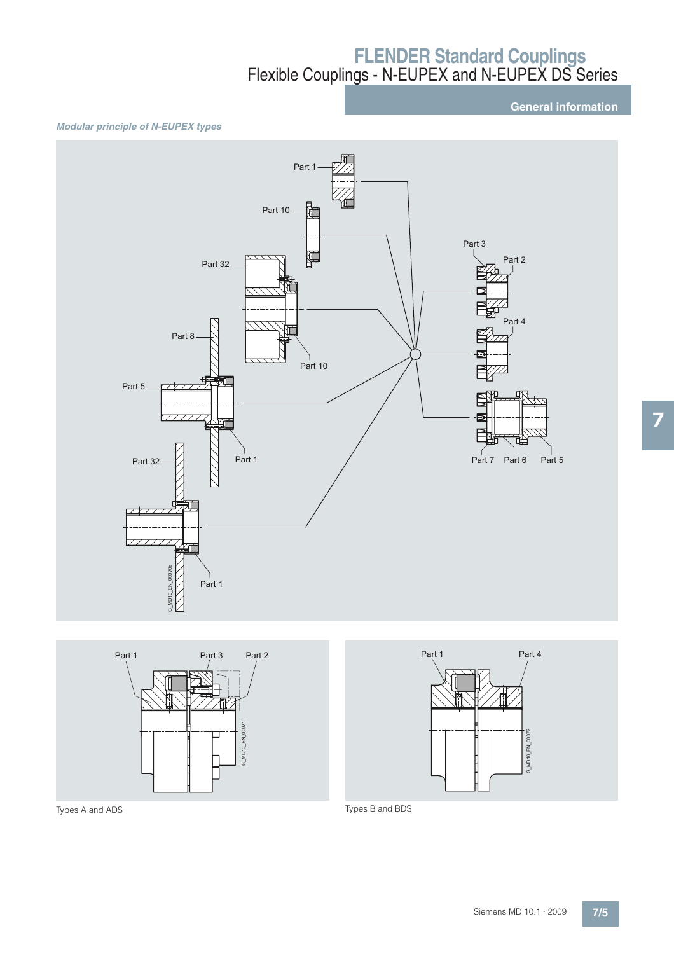**General information**

### **Modular principle of N-EUPEX types**







7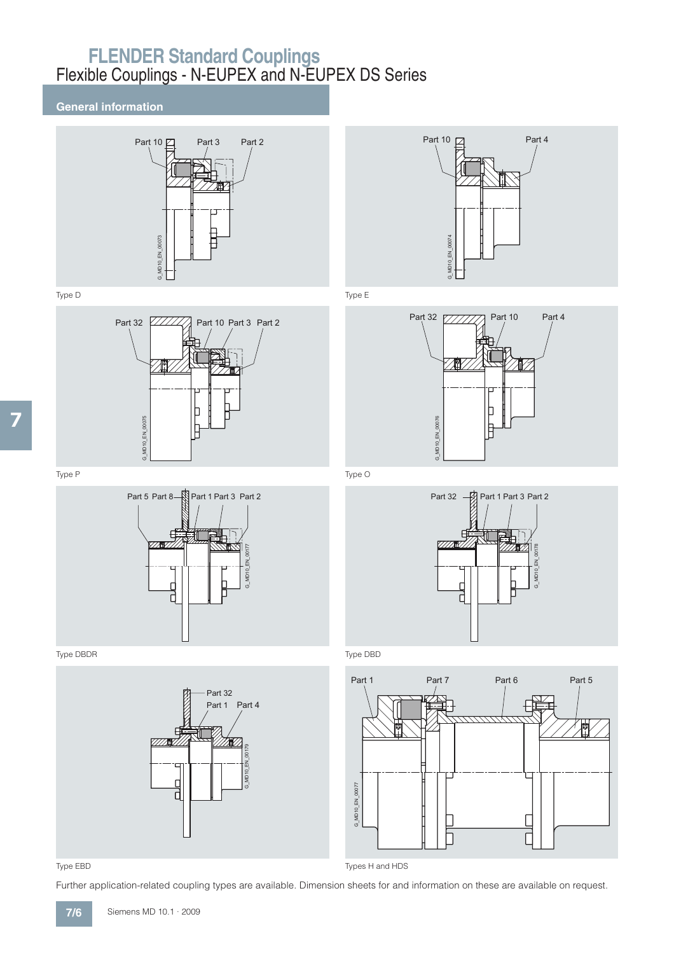## **General information**







Type DBDR Type DBD



## Type EBD Types H and HDS

Further application-related coupling types are available. Dimension sheets for and information on these are available on request.









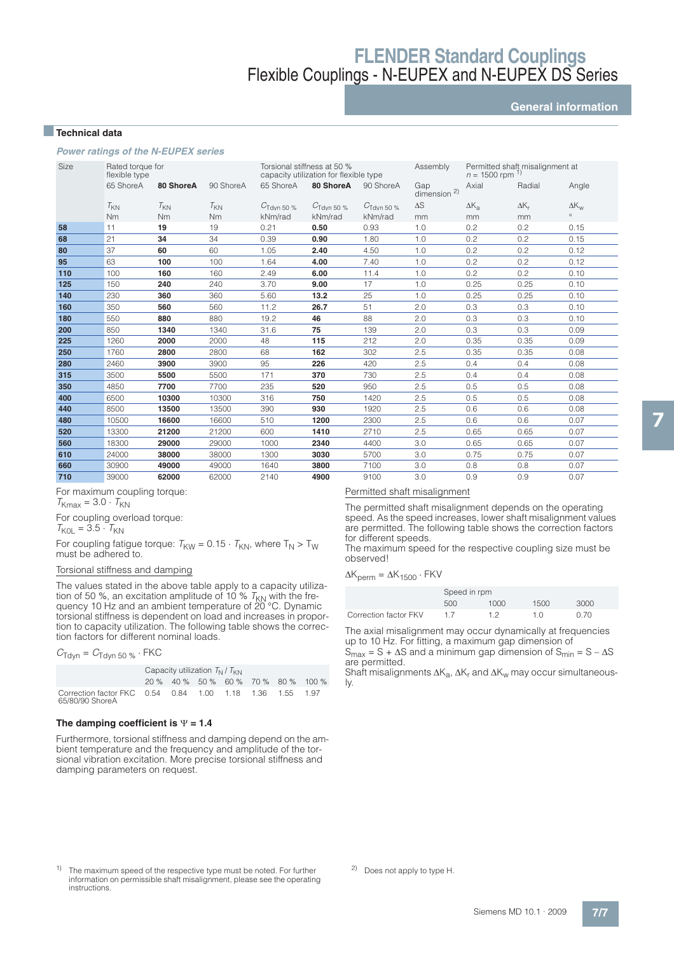**General information**

### ■**Technical data**

**Power ratings of the N-EUPEX series**

| <b>Size</b> | Rated torque for<br>flexible type |           |           | Torsional stiffness at 50 %<br>capacity utilization for flexible type |                        |                        | Permitted shaft misalignment at<br>$n = 1500$ rpm |                |              |                |
|-------------|-----------------------------------|-----------|-----------|-----------------------------------------------------------------------|------------------------|------------------------|---------------------------------------------------|----------------|--------------|----------------|
|             | 65 ShoreA                         | 80 ShoreA | 90 ShoreA | 65 ShoreA                                                             | 80 ShoreA              | 90 ShoreA              | Gap<br>dimension <sup>2)</sup>                    | Axial          | Radial       | Angle          |
|             | $T_{KN}$                          | $T_{KN}$  | $T_{KN}$  | $C_{\text{Tdyn}}$ 50 %                                                | $C_{\text{Tdyn}}$ 50 % | $C_{\text{Tdvn}}$ 50 % | $\Delta S$                                        | $\Delta K_{a}$ | $\Delta K_r$ | $\Delta K_{W}$ |
|             | Nm                                | <b>Nm</b> | Nm        | kNm/rad                                                               | kNm/rad                | kNm/rad                | mm                                                | mm             | mm           | $\circ$        |
| 58          | 11                                | 19        | 19        | 0.21                                                                  | 0.50                   | 0.93                   | 1.0                                               | 0.2            | 0.2          | 0.15           |
| 68          | 21                                | 34        | 34        | 0.39                                                                  | 0.90                   | 1.80                   | 1.0                                               | 0.2            | 0.2          | 0.15           |
| 80          | 37                                | 60        | 60        | 1.05                                                                  | 2.40                   | 4.50                   | 1.0                                               | 0.2            | 0.2          | 0.12           |
| 95          | 63                                | 100       | 100       | 1.64                                                                  | 4.00                   | 7.40                   | 1.0                                               | 0.2            | 0.2          | 0.12           |
| 110         | 100                               | 160       | 160       | 2.49                                                                  | 6.00                   | 11.4                   | 1.0                                               | 0.2            | 0.2          | 0.10           |
| 125         | 150                               | 240       | 240       | 3.70                                                                  | 9.00                   | 17                     | 1.0                                               | 0.25           | 0.25         | 0.10           |
| 140         | 230                               | 360       | 360       | 5.60                                                                  | 13.2                   | 25                     | 1.0                                               | 0.25           | 0.25         | 0.10           |
| 160         | 350                               | 560       | 560       | 11.2                                                                  | 26.7                   | 51                     | 2.0                                               | 0.3            | 0.3          | 0.10           |
| 180         | 550                               | 880       | 880       | 19.2                                                                  | 46                     | 88                     | 2.0                                               | 0.3            | 0.3          | 0.10           |
| 200         | 850                               | 1340      | 1340      | 31.6                                                                  | 75                     | 139                    | 2.0                                               | 0.3            | 0.3          | 0.09           |
| 225         | 1260                              | 2000      | 2000      | 48                                                                    | 115                    | 212                    | 2.0                                               | 0.35           | 0.35         | 0.09           |
| 250         | 1760                              | 2800      | 2800      | 68                                                                    | 162                    | 302                    | 2.5                                               | 0.35           | 0.35         | 0.08           |
| 280         | 2460                              | 3900      | 3900      | 95                                                                    | 226                    | 420                    | 2.5                                               | 0.4            | 0.4          | 0.08           |
| 315         | 3500                              | 5500      | 5500      | 171                                                                   | 370                    | 730                    | 2.5                                               | 0.4            | 0.4          | 0.08           |
| 350         | 4850                              | 7700      | 7700      | 235                                                                   | 520                    | 950                    | 2.5                                               | 0.5            | 0.5          | 0.08           |
| 400         | 6500                              | 10300     | 10300     | 316                                                                   | 750                    | 1420                   | 2.5                                               | 0.5            | 0.5          | 0.08           |
| 440         | 8500                              | 13500     | 13500     | 390                                                                   | 930                    | 1920                   | 2.5                                               | 0.6            | 0.6          | 0.08           |
| 480         | 10500                             | 16600     | 16600     | 510                                                                   | 1200                   | 2300                   | 2.5                                               | 0.6            | 0.6          | 0.07           |
| 520         | 13300                             | 21200     | 21200     | 600                                                                   | 1410                   | 2710                   | 2.5                                               | 0.65           | 0.65         | 0.07           |
| 560         | 18300                             | 29000     | 29000     | 1000                                                                  | 2340                   | 4400                   | 3.0                                               | 0.65           | 0.65         | 0.07           |
| 610         | 24000                             | 38000     | 38000     | 1300                                                                  | 3030                   | 5700                   | 3.0                                               | 0.75           | 0.75         | 0.07           |
| 660         | 30900                             | 49000     | 49000     | 1640                                                                  | 3800                   | 7100                   | 3.0                                               | 0.8            | 0.8          | 0.07           |
| 710         | 39000                             | 62000     | 62000     | 2140                                                                  | 4900                   | 9100                   | 3.0                                               | 0.9            | 0.9          | 0.07           |

For maximum coupling torque:

 $T_{\text{Kmax}} = 3.0 \cdot T_{\text{KN}}$ 

For coupling overload torque:

 $T_{KOL} = 3.5 \cdot T_{KN}$ 

For coupling fatigue torque:  $T_{KW} = 0.15 \cdot T_{KN}$ , where  $T_N > T_W$ must be adhered to.

### Torsional stiffness and damping

The values stated in the above table apply to a capacity utiliza-<br>tion of 50 %, an excitation amplitude of 10 % T<sub>KN</sub> with the fre-<br>quency 10 Hz and an ambient temperature of 20 °C. Dynamic torsional stiffness is dependent on load and increases in proportion to capacity utilization. The following table shows the correction factors for different nominal loads.

 $C_{\text{Tdyn}} = C_{\text{Tdyn 50}} \cdot \text{FKC}$ 

|                                                                             | Capacity utilization $T_{N}/T_{KN}$ |  |  |  |  |  |                                     |  |  |
|-----------------------------------------------------------------------------|-------------------------------------|--|--|--|--|--|-------------------------------------|--|--|
|                                                                             |                                     |  |  |  |  |  | 20 % 40 % 50 % 60 % 70 % 80 % 100 % |  |  |
| Correction factor FKC 0.54 0.84 1.00 1.18 1.36 1.55 1.97<br>65/80/90 ShoreA |                                     |  |  |  |  |  |                                     |  |  |

#### The damping coefficient is  $\Psi$  = 1.4

Furthermore, torsional stiffness and damping depend on the ambient temperature and the frequency and amplitude of the torsional vibration excitation. More precise torsional stiffness and damping parameters on request.

## Permitted shaft misalignment

The permitted shaft misalignment depends on the operating speed. As the speed increases, lower shaft misalignment values are permitted. The following table shows the correction factors for different speeds.

The maximum speed for the respective coupling size must be observed!

 $\Delta K_{\text{perm}} = \Delta K_{1500} \cdot FKV$ 

|                       | Speed in rpm |      |      |      |  |  |  |
|-----------------------|--------------|------|------|------|--|--|--|
|                       | 500          | 1000 | 1500 | 3000 |  |  |  |
| Correction factor FKV |              | 12   | 1 N  | 0.70 |  |  |  |

The axial misalignment may occur dynamically at frequencies up to 10 Hz. For fitting, a maximum gap dimension of  $S_{\text{max}} = S + \Delta S$  and a minimum gap dimension of  $S_{\text{min}} = S - \Delta S$ are permitted.

Shaft misalignments  $\Delta K_{\mathsf{a}}$ ,  $\Delta K_{\mathsf{r}}$  and  $\Delta K_{\mathsf{w}}$  may occur simultaneously.

<sup>1)</sup> The maximum speed of the respective type must be noted. For further information on permissible shaft misalignment, please see the operating instructions.

2) Does not apply to type H.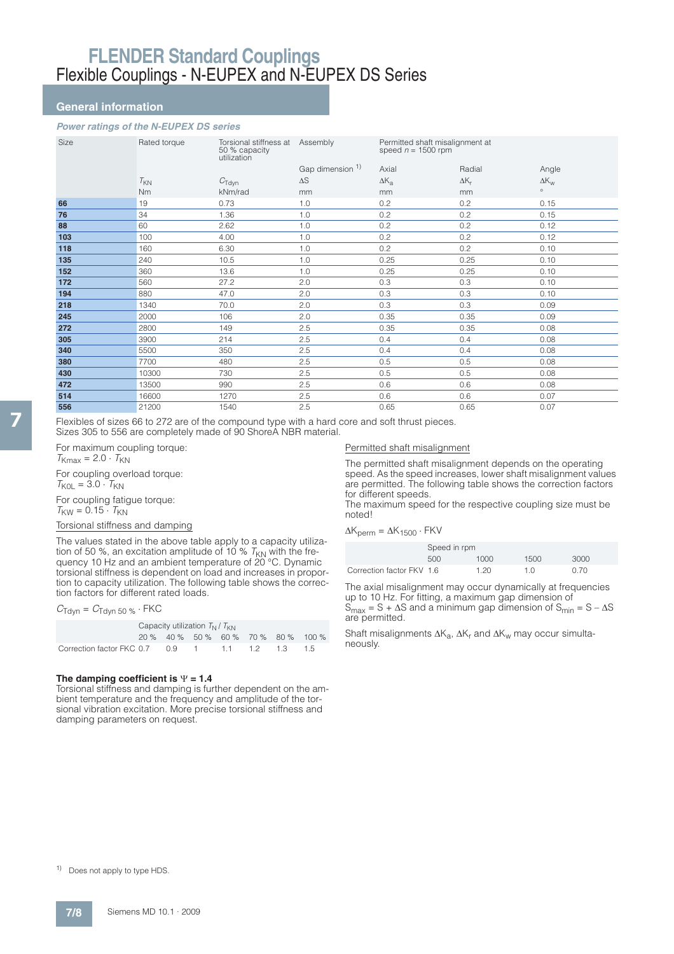### **General information**

### **Power ratings of the N-EUPEX DS series**

| Size | Rated torque | Torsional stiffness at<br>50 % capacity<br>utilization | Assembly         | Permitted shaft misalignment at<br>speed $n = 1500$ rpm |              |                    |
|------|--------------|--------------------------------------------------------|------------------|---------------------------------------------------------|--------------|--------------------|
|      |              |                                                        | Gap dimension 1) | Axial                                                   | Radial       | Angle              |
|      | $T_{KN}$     | $C_{\text{Tdyn}}$                                      | $\Delta S$       | $\Delta K_{a}$                                          | $\Delta K_r$ | $\Delta K_{\rm w}$ |
|      | Nm           | kNm/rad                                                | mm               | mm                                                      | mm           | $\circ$            |
| 66   | 19           | 0.73                                                   | 1.0              | 0.2                                                     | 0.2          | 0.15               |
| 76   | 34           | 1.36                                                   | 1.0              | 0.2                                                     | 0.2          | 0.15               |
| 88   | 60           | 2.62                                                   | 1.0              | 0.2                                                     | 0.2          | 0.12               |
| 103  | 100          | 4.00                                                   | 1.0              | 0.2                                                     | 0.2          | 0.12               |
| 118  | 160          | 6.30                                                   | 1.0              | 0.2                                                     | 0.2          | 0.10               |
| 135  | 240          | 10.5                                                   | 1.0              | 0.25                                                    | 0.25         | 0.10               |
| 152  | 360          | 13.6                                                   | 1.0              | 0.25                                                    | 0.25         | 0.10               |
| 172  | 560          | 27.2                                                   | 2.0              | 0.3                                                     | 0.3          | 0.10               |
| 194  | 880          | 47.0                                                   | 2.0              | 0.3                                                     | 0.3          | 0.10               |
| 218  | 1340         | 70.0                                                   | 2.0              | 0.3                                                     | 0.3          | 0.09               |
| 245  | 2000         | 106                                                    | 2.0              | 0.35                                                    | 0.35         | 0.09               |
| 272  | 2800         | 149                                                    | 2.5              | 0.35                                                    | 0.35         | 0.08               |
| 305  | 3900         | 214                                                    | 2.5              | 0.4                                                     | 0.4          | 0.08               |
| 340  | 5500         | 350                                                    | 2.5              | 0.4                                                     | 0.4          | 0.08               |
| 380  | 7700         | 480                                                    | 2.5              | 0.5                                                     | 0.5          | 0.08               |
| 430  | 10300        | 730                                                    | 2.5              | 0.5                                                     | 0.5          | 0.08               |
| 472  | 13500        | 990                                                    | 2.5              | 0.6                                                     | 0.6          | 0.08               |
| 514  | 16600        | 1270                                                   | 2.5              | 0.6                                                     | 0.6          | 0.07               |
| 556  | 21200        | 1540                                                   | 2.5              | 0.65                                                    | 0.65         | 0.07               |

Flexibles of sizes 66 to 272 are of the compound type with a hard core and soft thrust pieces. Sizes 305 to 556 are completely made of 90 ShoreA NBR material.

For maximum coupling torque:  $T<sub>Kmax</sub> = 2.0 \cdot T<sub>KN</sub>$ For coupling overload torque:

 $T_{\text{KOL}} = 3.0 \cdot T_{\text{KN}}$ 

For coupling fatigue torque:  $T_{\text{KW}} = 0.15 \cdot T_{\text{KN}}$ 

### Torsional stiffness and damping

The values stated in the above table apply to a capacity utilization of 50 %, an excitation amplitude of 10 %  $T_\mathrm{KN}$  with the frequency 10 Hz and an ambient temperature of 20 °C. Dynamic torsional stiffness is dependent on load and increases in proportion to capacity utilization. The following table shows the correction factors for different rated loads.

### $C_{\text{Tdyn}} = C_{\text{Tdyn }50 \%} \cdot \text{FKC}$

|                                                 | Capacity utilization $T_{N}/T_{KN}$ |  |  |  |  |                                     |  |  |
|-------------------------------------------------|-------------------------------------|--|--|--|--|-------------------------------------|--|--|
|                                                 |                                     |  |  |  |  | 20 % 40 % 50 % 60 % 70 % 80 % 100 % |  |  |
| Correction factor FKC 0.7 0.9 1 1.1 1.2 1.3 1.5 |                                     |  |  |  |  |                                     |  |  |

#### The damping coefficient is  $\Psi$  = 1.4

Torsional stiffness and damping is further dependent on the ambient temperature and the frequency and amplitude of the torsional vibration excitation. More precise torsional stiffness and damping parameters on request.

#### Permitted shaft misalignment

The permitted shaft misalignment depends on the operating speed. As the speed increases, lower shaft misalignment values are permitted. The following table shows the correction factors for different speeds.

The maximum speed for the respective coupling size must be noted!

#### $\Delta K_{\text{perm}} = \Delta K_{1500} \cdot FKV$

|                           | Speed in rpm |      |      |      |  |  |  |
|---------------------------|--------------|------|------|------|--|--|--|
|                           | 500          | 1000 | 1500 | 3000 |  |  |  |
| Correction factor FKV 1.6 |              | 1.20 | 1 N  | 0.70 |  |  |  |

The axial misalignment may occur dynamically at frequencies up to 10 Hz. For fitting, a maximum gap dimension of  $S_{\text{max}} = S + \Delta S$  and a minimum gap dimension of  $S_{\text{min}} = S - \Delta S$ are permitted.

Shaft misalignments  $\Delta K^{}_{\alpha}$ ,  $\Delta K^{}_{\text{r}}$  and  $\Delta K^{}_{\text{w}}$  may occur simultaneously.

1) Does not apply to type HDS.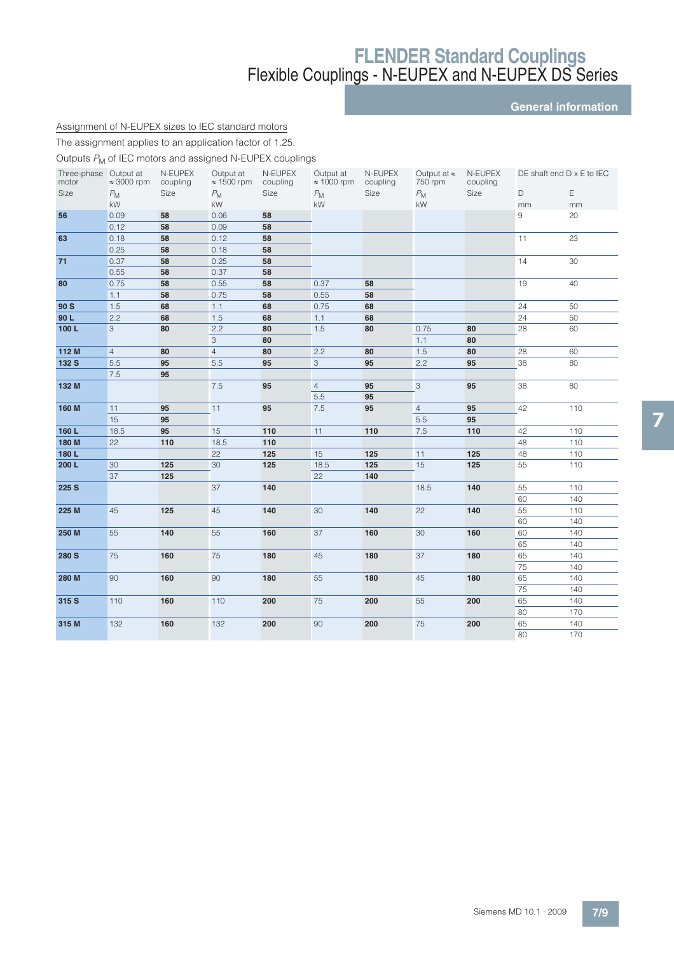**General information**

## Assignment of N-EUPEX sizes to IEC standard motors

The assignment applies to an application factor of 1.25.

Outputs  $P_M$  of IEC motors and assigned N-EUPEX couplings

| Three-phase Output at |                    | N-EUPEX  | Output at          | N-EUPEX  | Output at          | N-EUPEX  | Output at $\approx$ | N-EUPEX  |                 | DE shaft end $D \times E$ to IEC |
|-----------------------|--------------------|----------|--------------------|----------|--------------------|----------|---------------------|----------|-----------------|----------------------------------|
| motor                 | $\approx$ 3000 rpm | coupling | $\approx$ 1500 rpm | coupling | $\approx 1000$ rpm | coupling | 750 rpm             | coupling |                 |                                  |
| Size                  | $P_{\rm M}$        | Size     | $P_{\mathsf{M}}$   | Size     | $P_{\rm M}$        | Size     | $P_{\mathsf{M}}$    | Size     | D               | $\mathsf E$                      |
|                       | kW                 |          | kW                 |          | kW                 |          | kW                  |          | mm              | mm                               |
| 56                    | 0.09               | 58       | 0.06               | 58       |                    |          |                     |          | 9               | 20                               |
|                       | 0.12               | 58       | 0.09               | 58       |                    |          |                     |          |                 |                                  |
| 63                    | 0.18               | 58       | 0.12               | 58       |                    |          |                     |          | 11              | 23                               |
|                       | 0.25               | 58       | 0.18               | 58       |                    |          |                     |          |                 |                                  |
| 71                    | 0.37               | 58       | 0.25               | 58       |                    |          |                     |          | 14              | 30                               |
|                       | 0.55               | 58       | 0.37               | 58       |                    |          |                     |          |                 |                                  |
| 80                    | 0.75               | 58       | 0.55               | 58       | 0.37               | 58       |                     |          | 19              | 40                               |
|                       | 1.1                | 58       | 0.75               | 58       | 0.55               | 58       |                     |          |                 |                                  |
| 90 S                  | 1.5                | 68       | 1.1                | 68       | 0.75               | 68       |                     |          | 24              | 50                               |
| 90L                   | 2.2                | 68       | 1.5                | 68       | 1.1                | 68       |                     |          | 24              | 50                               |
| 100L                  | 3                  | 80       | 2.2                | 80       | 1.5                | 80       | 0.75                | 80       | 28              | 60                               |
|                       |                    |          | 3                  | 80       |                    |          | 1.1                 | 80       |                 |                                  |
| 112 M                 | $\overline{4}$     | 80       | $\overline{4}$     | 80       | 2.2                | 80       | 1.5                 | 80       | 28              | 60                               |
| 132 S                 | 5.5                | 95       | 5.5                | 95       | $\mathbf{3}$       | 95       | 2.2                 | 95       | 38              | 80                               |
|                       | 7.5                | 95       |                    |          |                    |          |                     |          |                 |                                  |
| 132 M                 |                    |          | 7.5                | 95       | $\overline{4}$     | 95       | 3                   | 95       | 38              | 80                               |
|                       |                    |          |                    |          | 5.5                | 95       |                     |          |                 |                                  |
| 160 M                 | 11                 | 95       | 11                 | 95       | 7.5                | 95       | $\overline{4}$      | 95       | 42              | 110                              |
|                       | 15                 | 95       |                    |          |                    |          | 5.5                 | 95       |                 |                                  |
| 160L                  | 18.5               | 95       | 15                 | 110      | 11                 | 110      | 7.5                 | 110      | 42              | 110                              |
| 180 M                 | 22                 | 110      | 18.5               | 110      |                    |          |                     |          | 48              | 110                              |
| 180L                  |                    |          | 22                 | 125      | 15                 | 125      | 11                  | 125      | 48              | 110                              |
| 200 L                 | 30                 | 125      | 30                 | 125      | 18.5               | 125      | 15                  | 125      | 55              | 110                              |
|                       | 37                 | 125      |                    |          | 22                 | 140      |                     |          |                 |                                  |
| 225 S                 |                    |          | 37                 | 140      |                    |          | 18.5                | 140      | 55              | 110                              |
|                       |                    |          |                    |          |                    |          |                     |          | 60              | 140                              |
| 225 M                 | 45                 | 125      | 45                 | 140      | 30                 | 140      | 22                  | 140      | 55              | 110                              |
|                       |                    |          |                    |          |                    |          |                     |          | 60              | 140                              |
| 250 M                 | 55                 | 140      | 55                 | 160      | 37                 | 160      | 30                  | 160      | 60              | 140                              |
|                       |                    |          |                    |          |                    |          |                     |          | 65              | 140                              |
| 280 S                 | 75                 | 160      | 75                 | 180      | 45                 | 180      | 37                  | 180      | 65              | 140                              |
|                       |                    |          |                    |          |                    |          |                     |          | $\overline{75}$ | 140                              |
|                       |                    |          | 90                 |          | 55                 |          |                     |          |                 |                                  |
| 280 M                 | 90                 | 160      |                    | 180      |                    | 180      | 45                  | 180      | 65              | 140                              |
|                       |                    |          |                    |          |                    |          |                     |          | 75              | 140                              |
| 315 S                 | 110                | 160      | 110                | 200      | 75                 | 200      | 55                  | 200      | 65              | 140                              |
|                       |                    |          |                    |          |                    |          |                     |          | 80              | 170                              |
| 315 M                 | 132                | 160      | 132                | 200      | 90                 | 200      | 75                  | 200      | 65              | 140                              |
|                       |                    |          |                    |          |                    |          |                     |          | 80              | 170                              |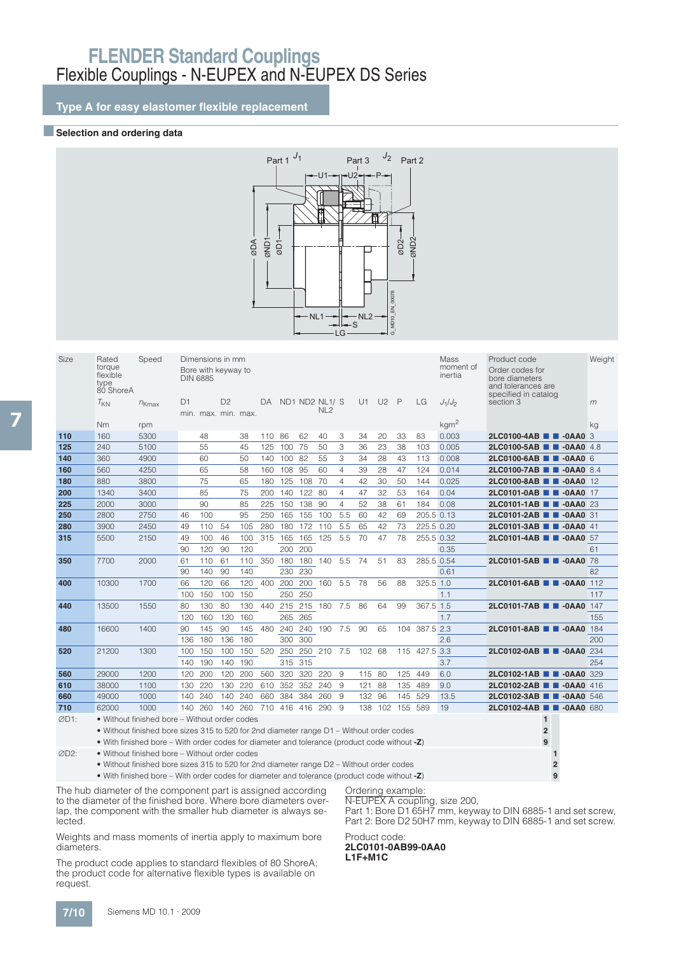**Type A for easy elastomer flexible replacement**

### **■Selection and ordering data**



| Size | Rated<br>torque<br>flexible<br>type<br>80 ShoreA | Speed                                                                                        | <b>DIN 6885</b> |     | Dimensions in mm<br>Bore with keyway to |     |     |         |                 |                                   |                |        |                |              |            | Mass<br>moment of<br>inertia | Product code<br>Order codes for<br>bore diameters<br>and tolerances are<br>specified in catalog | Weight |
|------|--------------------------------------------------|----------------------------------------------------------------------------------------------|-----------------|-----|-----------------------------------------|-----|-----|---------|-----------------|-----------------------------------|----------------|--------|----------------|--------------|------------|------------------------------|-------------------------------------------------------------------------------------------------|--------|
|      | $T_{KN}$                                         | $n_{Kmax}$                                                                                   | D1              |     | D <sub>2</sub><br>min. max. min. max.   |     | DA  |         |                 | ND1 ND2 NL1/ S<br>NL <sub>2</sub> |                | U1     | U <sub>2</sub> | $\mathsf{P}$ | LG         | $J_1/J_2$                    | section 3                                                                                       | m      |
|      | Nm                                               | rpm                                                                                          |                 |     |                                         |     |     |         |                 |                                   |                |        |                |              |            | kgm <sup>2</sup>             |                                                                                                 | kg     |
| 110  | 160                                              | 5300                                                                                         |                 | 48  |                                         | 38  | 110 | 86      | 62              | 40                                | 3              | 34     | 20             | 33           | 83         | 0.003                        | 2LC0100-4AB <b>1 -0AA0</b> 3                                                                    |        |
| 125  | 240                                              | 5100                                                                                         |                 | 55  |                                         | 45  | 125 | 100     | 75              | 50                                | 3              | 36     | 23             | 38           | 103        | 0.005                        | 2LC0100-5AB <b>2LC0100-5AB</b>                                                                  |        |
| 140  | 360                                              | 4900                                                                                         |                 | 60  |                                         | 50  | 140 | 100     | -82             | 55                                | 3              | 34     | 28             | 43           | 113        | 0.008                        | 2LC0100-6AB <b>B</b> -0AA0 6                                                                    |        |
| 160  | 560                                              | 4250                                                                                         |                 | 65  |                                         | 58  | 160 | 108     | 95              | 60                                | $\overline{4}$ | 39     | 28             | 47           | 124        | 0.014                        | 2LC0100-7AB 2-0AA0 8.4                                                                          |        |
| 180  | 880                                              | 3800                                                                                         |                 | 75  |                                         | 65  | 180 | 125     | 108             | 70                                | $\overline{4}$ | 42     | 30             | 50           | 144        | 0.025                        | 2LC0100-8AB 2-0AA0 12                                                                           |        |
| 200  | 1340                                             | 3400                                                                                         |                 | 85  |                                         | 75  | 200 | 140     | 122             | 80                                | 4              | 47     | 32             | 53           | 164        | 0.04                         | 2LC0101-0AB <b>2LC0101-0AB</b>                                                                  |        |
| 225  | 2000                                             | 3000                                                                                         |                 | 90  |                                         | 85  | 225 | 150     | 138             | 90                                | $\overline{4}$ | 52     | 38             | 61           | 184        | 0.08                         | 2LC0101-1AB <b>B</b> -0AA0 23                                                                   |        |
| 250  | 2800                                             | 2750                                                                                         | 46              | 100 |                                         | 95  | 250 | 165     | 155             | 100                               | 5.5            | 60     | 42             | 69           | 205.5 0.13 |                              | 2LC0101-2AB <b>1 -0AA0</b> 31                                                                   |        |
| 280  | 3900                                             | 2450                                                                                         | 49              | 110 | 54                                      | 105 | 280 | 180     | 172             | 110                               | 5.5            | 65     | 42             | 73           | 225.5 0.20 |                              | 2LC0101-3AB 2-0AA0 41                                                                           |        |
| 315  | 5500                                             | 2150                                                                                         | 49              | 100 | 46                                      | 100 | 315 | 165     | 165 125         |                                   | 5.5            | 70     | 47             | 78           | 255.5 0.32 |                              | 2LC0101-4AB <b>B</b> -0AA0 57                                                                   |        |
|      |                                                  |                                                                                              | 90              | 120 | 90                                      | 120 |     | 200     | 200             |                                   |                |        |                |              |            | 0.35                         |                                                                                                 | 61     |
| 350  | 7700                                             | 2000                                                                                         | 61              | 110 | 61                                      | 110 | 350 | 180     | 180             | 140                               | 5.5            | 74     | 51             | 83           | 285.5 0.54 |                              | 2LC0101-5AB 2-0AA0 78                                                                           |        |
|      |                                                  |                                                                                              | 90              | 140 | 90                                      | 140 |     | 230     | 230             |                                   |                |        |                |              |            | 0.61                         |                                                                                                 | 82     |
| 400  | 10300                                            | 1700                                                                                         | 66              | 120 | 66                                      | 120 | 400 | 200     | 200             | 160                               | 5.5            | 78     | 56             | 88           | 325.5 1.0  |                              | 2LC0101-6AB <b>B</b> -0AA0 112                                                                  |        |
|      |                                                  |                                                                                              | 100             | 150 | 100                                     | 150 |     | 250     | 250             |                                   |                |        |                |              |            | 1.1                          |                                                                                                 | 117    |
| 440  | 13500                                            | 1550                                                                                         | 80              | 130 | 80                                      | 130 | 440 | 215     | 215             | 180                               | 7.5            | 86     | 64             | 99           | 367.5 1.5  |                              | 2LC0101-7AB 2-0AA0 147                                                                          |        |
|      |                                                  |                                                                                              | 120             | 160 | 120                                     | 160 |     | 265     | 265             |                                   |                |        |                |              |            | 1.7                          |                                                                                                 | 155    |
| 480  | 16600                                            | 1400                                                                                         | 90              | 145 | 90                                      | 145 | 480 | 240     | 240             | 190                               | 7.5            | 90     | 65             | 104          | 387.5 2.3  |                              | 2LC0101-8AB 2-0AA0                                                                              | 184    |
|      |                                                  |                                                                                              | 136             | 180 | 136                                     | 180 |     | 300     | 300             |                                   |                |        |                |              |            | 2.6                          |                                                                                                 | 200    |
| 520  | 21200                                            | 1300                                                                                         | 100             | 150 | 100                                     | 150 | 520 | 250     | 250             | 210                               | 7.5            | 102    | 68             | 115          | 427.5      | 3.3                          | 2LC0102-0AB <b>B</b> -0AA0                                                                      | 234    |
|      |                                                  |                                                                                              | 140             | 190 | 140                                     | 190 |     | 315     | 315             |                                   |                |        |                |              |            | 3.7                          |                                                                                                 | 254    |
| 560  | 29000                                            | 1200                                                                                         | 120             | 200 | 120                                     | 200 | 560 | 320     | 320             | 220                               | 9              | 115 80 |                | 125          | 449        | 6.0                          | 2LC0102-1AB 2-0AA0 329                                                                          |        |
| 610  | 38000                                            | 1100                                                                                         | 130             | 220 | 130                                     | 220 |     | 610 352 | 352 240         |                                   | -9             | 121    | 88             | 135          | 489        | 9.0                          | 2LC0102-2AB <b>B</b> -0AA0 416                                                                  |        |
| 660  | 49000                                            | 1000                                                                                         | 140             | 240 | 140                                     | 240 | 660 | 384     | 384             | 260                               | 9              | 132    | 96             | 145          | 529        | 13.5                         | 2LC0102-3AB <b>B</b> -0AA0 546                                                                  |        |
| 710  | 62000                                            | 1000                                                                                         | 140             | 260 | 140                                     | 260 |     |         | 710 416 416 290 |                                   | -9             |        | 138 102        | 155 589      |            | 19                           | 2LC0102-4AB <b>1 -0AA0</b> 680                                                                  |        |
| ØD1: |                                                  | • Without finished bore – Without order codes                                                |                 |     |                                         |     |     |         |                 |                                   |                |        |                |              |            |                              | $\mathbf{1}$                                                                                    |        |
|      |                                                  | • Without finished bore sizes 315 to 520 for 2nd diameter range D1 – Without order codes     |                 |     |                                         |     |     |         |                 |                                   |                |        |                |              |            |                              | $\overline{2}$                                                                                  |        |
|      |                                                  | • With finished bore – With order codes for diameter and tolerance (product code without -Z) |                 |     |                                         |     |     |         |                 |                                   |                |        |                |              |            |                              | 9                                                                                               |        |
|      |                                                  |                                                                                              |                 |     |                                         |     |     |         |                 |                                   |                |        |                |              |            |                              |                                                                                                 |        |

D2: • Without finished bore – Without order codes **1**

• Without finished bore sizes 315 to 520 for 2nd diameter range D2 – Without order codes **2** • With finished bore – With order codes for diameter and tolerance (product code without **-Z**) **9**

The hub diameter of the component part is assigned according to the diameter of the finished bore. Where bore diameters overlap, the component with the smaller hub diameter is always selected.

Weights and mass moments of inertia apply to maximum bore diameters.

The product code applies to standard flexibles of 80 ShoreA; the product code for alternative flexible types is available on request.

## Ordering example:

N-EUPEX A coupling, size 200,

Part 1: Bore D1 65H7 mm, keyway to DIN 6885-1 and set screw, Part 2: Bore D2 50H7 mm, keyway to DIN 6885-1 and set screw.

## Product code: **2LC0101-0AB99-0AA0**

**L1F+M1C**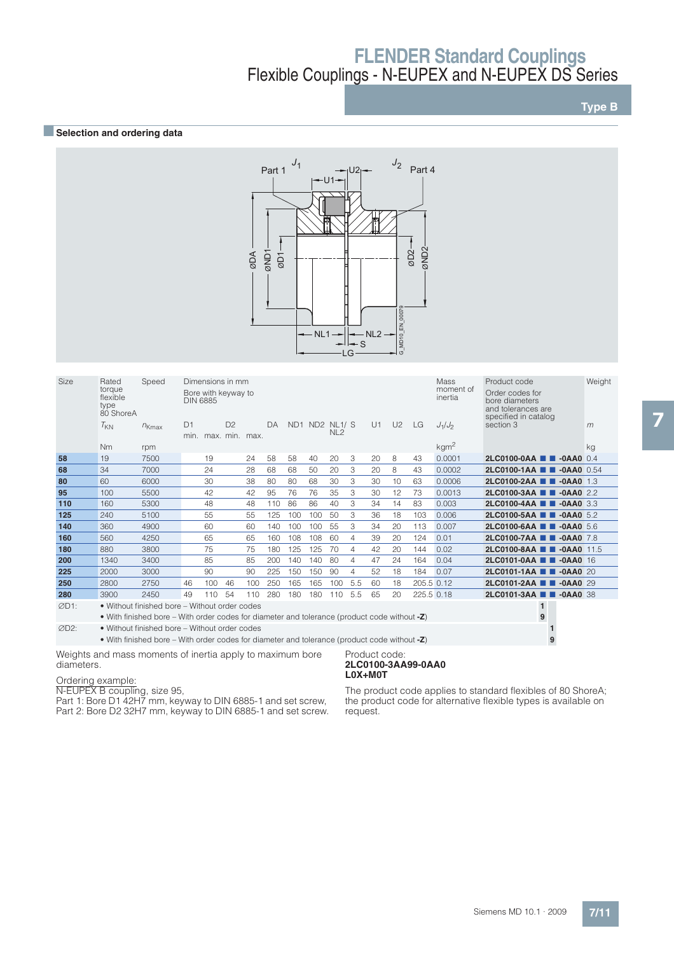## **BSelection and ordering data**



| <b>Size</b> | Rated<br>torque<br>flexible<br>type<br>80 ShoreA | Speed                                                                                        | <b>DIN 6885</b>        |     | Dimensions in mm<br>Bore with keyway to |     |     |     |               |                 |     |    |                |            | Mass<br>moment of<br>inertia | Product code<br>Order codes for<br>bore diameters<br>and tolerances are<br>specified in catalog | Weight |
|-------------|--------------------------------------------------|----------------------------------------------------------------------------------------------|------------------------|-----|-----------------------------------------|-----|-----|-----|---------------|-----------------|-----|----|----------------|------------|------------------------------|-------------------------------------------------------------------------------------------------|--------|
|             | $T_{KN}$                                         | $n_{Kmax}$                                                                                   | D <sub>1</sub><br>min. |     | D <sup>2</sup><br>max, min, max.        |     | DA  |     | ND1 ND2 NL1/S | NL <sub>2</sub> |     | U1 | U <sub>2</sub> | LG         | $J_1/J_2$                    | section 3                                                                                       | m      |
|             | <b>Nm</b>                                        | rpm                                                                                          |                        |     |                                         |     |     |     |               |                 |     |    |                |            | kgm <sup>2</sup>             |                                                                                                 | kg     |
| 58          | 19                                               | 7500                                                                                         |                        | 19  |                                         | 24  | 58  | 58  | 40            | 20              | 3   | 20 | 8              | 43         | 0.0001                       | $2LC0100-0AA$<br>$-0$ AA0 0.4                                                                   |        |
| 68          | 34                                               | 7000                                                                                         |                        | 24  |                                         | 28  | 68  | 68  | 50            | 20              | 3   | 20 | 8              | 43         | 0.0002                       | $2LCO100-1AA$ $\blacksquare$<br>$-0$ AA0 0.54                                                   |        |
| 80          | 60                                               | 6000                                                                                         |                        | 30  |                                         | 38  | 80  | 80  | 68            | 30              | 3   | 30 | 10             | 63         | 0.0006                       | $2LC0100-2AA$<br>$-0AA0$ 1.3                                                                    |        |
| 95          | 100                                              | 5500                                                                                         |                        | 42  |                                         | 42  | 95  | 76  | 76            | 35              | 3   | 30 | 12             | 73         | 0.0013                       | $2LC0100-3AA$<br>$-0AAA0$ 2.2                                                                   |        |
| 110         | 160                                              | 5300                                                                                         |                        | 48  |                                         | 48  | 110 | 86  | 86            | 40              | 3   | 34 | 14             | 83         | 0.003                        | $2LC0100-4AA$<br>$-0AAA0$ 3.3                                                                   |        |
| 125         | 240                                              | 5100                                                                                         |                        | 55  |                                         | 55  | 125 | 100 | 100           | 50              | 3   | 36 | 18             | 103        | 0.006                        | 2LC0100-5AA<br>$-0$ AA0 5.2                                                                     |        |
| 140         | 360                                              | 4900                                                                                         |                        | 60  |                                         | 60  | 140 | 100 | 100           | 55              | 3   | 34 | 20             | 113        | 0.007                        | 2LC0100-6AA <b>1 4</b> -0AA0 5.6                                                                |        |
| 160         | 560                                              | 4250                                                                                         |                        | 65  |                                         | 65  | 160 | 108 | 108           | 60              | 4   | 39 | 20             | 124        | 0.01                         | $2LC0100-7AA$ $\blacksquare$<br>$-0$ AA0 7.8                                                    |        |
| 180         | 880                                              | 3800                                                                                         |                        | 75  |                                         | 75  | 180 | 125 | 125           | 70              | 4   | 42 | 20             | 144        | 0.02                         | $2LC0100-8AA$ $\blacksquare$<br>$-0AA0$ 11.5                                                    |        |
| 200         | 1340                                             | 3400                                                                                         |                        | 85  |                                         | 85  | 200 | 140 | 140           | 80              | 4   | 47 | 24             | 164        | 0.04                         | $2LCO101-OAA$<br>$-0$ AA0 16                                                                    |        |
| 225         | 2000                                             | 3000                                                                                         |                        | 90  |                                         | 90  | 225 | 150 | 150           | 90              | 4   | 52 | 18             | 184        | 0.07                         | $2LCO101-1AA$ $\blacksquare$<br>$-0AAO$ 20                                                      |        |
| 250         | 2800                                             | 2750                                                                                         | 46                     | 100 | 46                                      | 100 | 250 | 165 | 165           | 100             | 5.5 | 60 | 18             | 205.5 0.12 |                              | 2LC0101-2AA <b>1 4</b> -0AA0 29                                                                 |        |
| 280         | 3900                                             | 2450                                                                                         | 49                     | 110 | 54                                      | 110 | 280 | 180 | 180           | 110             | 5.5 | 65 | 20             | 225.5 0.18 |                              | 2LC0101-3AA <b>1 4</b> -0AA0 38                                                                 |        |
| ØD1:        |                                                  | • Without finished bore – Without order codes                                                |                        |     |                                         |     |     |     |               |                 |     |    |                |            |                              | $\mathbf{1}$                                                                                    |        |
|             |                                                  | • With finished bore – With order codes for diameter and tolerance (product code without -Z) |                        |     |                                         |     |     |     |               |                 |     |    |                |            |                              | 9                                                                                               |        |
| ØD2:        |                                                  | • Without finished bore – Without order codes                                                |                        |     |                                         |     |     |     |               |                 |     |    |                |            |                              |                                                                                                 |        |

• With finished bore – With order codes for diameter and tolerance (product code without **-Z**) **9**

Weights and mass moments of inertia apply to maximum bore diameters.

#### Product code: **2LC0100-3AA99-0AA0 L0X+M0T**

Ordering example:

N-EUPEX B coupling, size 95, Part 1: Bore D1 42H7 mm, keyway to DIN 6885-1 and set screw, Part 2: Bore D2 32H7 mm, keyway to DIN 6885-1 and set screw.

The product code applies to standard flexibles of 80 ShoreA; the product code for alternative flexible types is available on request.

## **Type B**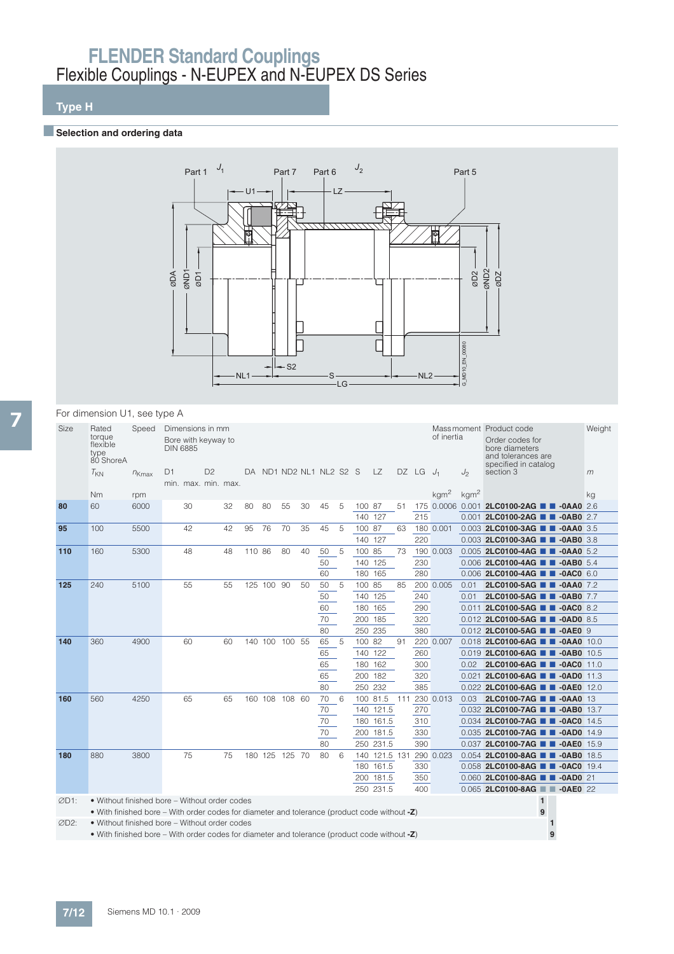## **Type H**

### **BSelection and ordering data**



### For dimension U1, see type A

| Size             | Rated<br>torque<br>flexible<br>type<br>80 ShoreA                                             | Speed      |                | Dimensions in mm<br>Bore with keyway to<br><b>DIN 6885</b> |                |    |        |                |    |                         |          |     |                    |               |     |            | of inertia       |                  | Mass moment Product code<br>Order codes for<br>bore diameters<br>and tolerances are<br>specified in catalog |   | Weight |
|------------------|----------------------------------------------------------------------------------------------|------------|----------------|------------------------------------------------------------|----------------|----|--------|----------------|----|-------------------------|----------|-----|--------------------|---------------|-----|------------|------------------|------------------|-------------------------------------------------------------------------------------------------------------|---|--------|
|                  | $T_{KN}$                                                                                     | $n_{Kmax}$ | D <sub>1</sub> | min. max. min. max.                                        | D <sub>2</sub> |    |        |                |    | DA ND1 ND2 NL1 NL2 S2 S |          |     |                    | LZ.           |     | DZ LG      | $J_1$            | $J_2$            | section 3                                                                                                   |   | m      |
|                  | Nm                                                                                           | rpm        |                |                                                            |                |    |        |                |    |                         |          |     |                    |               |     |            | kgm <sup>2</sup> | kgm <sup>2</sup> |                                                                                                             |   | kg     |
| 80               | 60                                                                                           | 6000       |                | 30                                                         |                | 32 | 80     | 80             | 55 | 30                      | 45       | 5   | 100 87             |               | 51  |            |                  |                  | 175 0.0006 0.001 2LC0100-2AG <b>B -0AA0</b> 2.6                                                             |   |        |
|                  |                                                                                              |            |                |                                                            |                |    |        |                |    |                         |          |     | 140 127            |               |     | 215        |                  |                  | 0.001 2LC0100-2AG <b>1 4 -0AB0</b> 2.7                                                                      |   |        |
| 95               | 100                                                                                          | 5500       |                | 42                                                         |                | 42 | 95     | 76             | 70 | 35                      | 45       | 5   | 100 87             |               | 63  |            | 180 0.001        |                  | 0.003 2LC0100-3AG <b>1 -0AA0</b> 3.5                                                                        |   |        |
|                  |                                                                                              |            |                |                                                            |                |    |        |                |    |                         |          |     | 140 127            |               |     | 220        |                  |                  | 0.003 2LC0100-3AG <b>1 4-0AB0</b> 3.8                                                                       |   |        |
| 110              | 160                                                                                          | 5300       |                | 48                                                         |                | 48 | 110 86 |                | 80 | 40                      | 50       | 5   | 100 85             |               | 73  |            | 190 0.003        |                  | 0.005 2LC0100-4AG <b>T -0AA0</b> 5.2                                                                        |   |        |
|                  |                                                                                              |            |                |                                                            |                |    |        |                |    |                         | 50       |     | 140 125            |               |     | 230        |                  |                  | 0.006 2LC0100-4AG <b>1 -0AB0</b> 5.4                                                                        |   |        |
|                  |                                                                                              |            |                |                                                            |                |    |        |                |    |                         | 60       |     | 180 165            |               |     | 280        |                  |                  | 0.006 2LC0100-4AG <b>B</b> -0AC0 6.0                                                                        |   |        |
| 125              | 240                                                                                          | 5100       |                | 55                                                         |                | 55 |        | 125 100 90     |    | 50                      | 50       | -5  | 100 85             |               | 85  |            | 200 0.005        | 0.01             | 2LC0100-5AG <b>1 -0AA0</b> 7.2                                                                              |   |        |
|                  |                                                                                              |            |                |                                                            |                |    |        |                |    |                         | 50       |     | 140 125            |               |     | 240        |                  | 0.01             | 2LC0100-5AG <b>1 4</b> -0AB0 7.7                                                                            |   |        |
|                  |                                                                                              |            |                |                                                            |                |    |        |                |    |                         | 60       |     | 180 165            |               |     | 290        |                  |                  | 0.011 2LC0100-5AG <b>1 -0AC0</b> 8.2                                                                        |   |        |
|                  |                                                                                              |            |                |                                                            |                |    |        |                |    |                         | 70<br>80 |     | 200 185<br>250 235 |               |     | 320<br>380 |                  |                  | 0.012 2LC0100-5AG <b>1 -0AD0</b> 8.5<br>0.012 2LC0100-5AG <b>T -0AE0</b> 9                                  |   |        |
| 140              | 360                                                                                          | 4900       |                | 60                                                         |                | 60 |        | 140 100 100 55 |    |                         | 65       | -5  | 100 82             |               | 91  |            | 220 0.007        |                  | 0.018 2LC0100-6AG <b>1 -0AA0</b> 10.0                                                                       |   |        |
|                  |                                                                                              |            |                |                                                            |                |    |        |                |    |                         | 65       |     |                    | 140 122       |     | 260        |                  |                  | 0.019 2LC0100-6AG <b>1 -0AB0</b> 10.5                                                                       |   |        |
|                  |                                                                                              |            |                |                                                            |                |    |        |                |    |                         | 65       |     |                    | 180 162       |     | 300        |                  | 0.02             | 2LC0100-6AG <b>TH</b> -0AC0 11.0                                                                            |   |        |
|                  |                                                                                              |            |                |                                                            |                |    |        |                |    |                         | 65       |     | 200 182            |               |     | 320        |                  |                  | 0.021 2LC0100-6AG <b>T 7-0AD0</b> 11.3                                                                      |   |        |
|                  |                                                                                              |            |                |                                                            |                |    |        |                |    |                         | 80       |     | 250 232            |               |     | 385        |                  |                  | 0.022 2LC0100-6AG <b>1 -0AE0</b> 12.0                                                                       |   |        |
| 160              | 560                                                                                          | 4250       |                | 65                                                         |                | 65 |        | 160 108 108 60 |    |                         | 70       | - 6 |                    | 100 81.5      | 111 |            | 230 0.013        | 0.03             | 2LC0100-7AG <b>1 -0AA0</b> 13                                                                               |   |        |
|                  |                                                                                              |            |                |                                                            |                |    |        |                |    |                         | 70       |     |                    | 140 121.5     |     | 270        |                  |                  | 0.032 2LC0100-7AG <b>1 -0AB0</b> 13.7                                                                       |   |        |
|                  |                                                                                              |            |                |                                                            |                |    |        |                |    |                         | 70       |     |                    | 180 161.5     |     | 310        |                  |                  | 0.034 2LC0100-7AG <b>B</b> -0AC0 14.5                                                                       |   |        |
|                  |                                                                                              |            |                |                                                            |                |    |        |                |    |                         | 70       |     |                    | 200 181.5     |     | 330        |                  |                  | 0.035 2LC0100-7AG <b>1 -0AD0</b> 14.9                                                                       |   |        |
|                  |                                                                                              |            |                |                                                            |                |    |        |                |    |                         | 80       |     |                    | 250 231.5     |     | 390        |                  |                  | 0.037 2LC0100-7AG <b>1 -0AE0</b> 15.9                                                                       |   |        |
| 180              | 880                                                                                          | 3800       |                | 75                                                         |                | 75 |        | 180 125 125 70 |    |                         | 80       | 6   |                    | 140 121.5 131 |     |            | 290 0.023        |                  | 0.054 2LC0100-8AG <b>1 -0AB0</b> 18.5                                                                       |   |        |
|                  |                                                                                              |            |                |                                                            |                |    |        |                |    |                         |          |     |                    | 180 161.5     |     | 330        |                  |                  | 0.058 2LC0100-8AG <b>1 -0AC0</b> 19.4                                                                       |   |        |
|                  |                                                                                              |            |                |                                                            |                |    |        |                |    |                         |          |     |                    | 200 181.5     |     | 350        |                  |                  | 0.060 2LC0100-8AG <b>1 4 -0AD0</b> 21                                                                       |   |        |
|                  |                                                                                              |            |                |                                                            |                |    |        |                |    |                         |          |     |                    | 250 231.5     |     | 400        |                  |                  | 0.065 2LC0100-8AG <b># # -0AE0</b> 22                                                                       |   |        |
| ØD1:             | • Without finished bore – Without order codes                                                |            |                |                                                            |                |    |        |                |    |                         |          |     |                    |               |     |            |                  |                  | $\mathbf{1}$                                                                                                |   |        |
|                  | • With finished bore – With order codes for diameter and tolerance (product code without -Z) |            |                |                                                            |                |    |        |                |    |                         |          |     |                    |               |     |            |                  |                  | 9                                                                                                           |   |        |
| ØD <sub>2:</sub> | • Without finished bore - Without order codes                                                |            |                |                                                            |                |    |        |                |    |                         |          |     |                    |               |     |            |                  |                  |                                                                                                             |   |        |
|                  | • With finished bore – With order codes for diameter and tolerance (product code without -Z) |            |                |                                                            |                |    |        |                |    |                         |          |     |                    |               |     |            |                  |                  |                                                                                                             | 9 |        |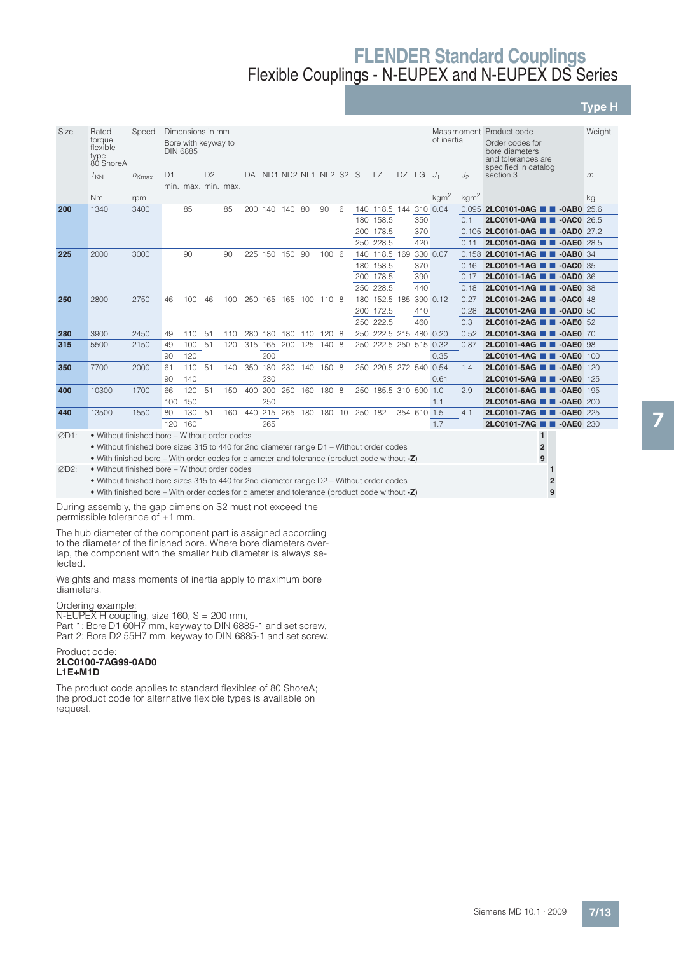**Type H**

| Size | Rated<br>torque<br>flexible<br>type<br>80 ShoreA                                             | Speed      |                | Dimensions in mm<br>Bore with keyway to<br><b>DIN 6885</b> |                |                     |         |         |                |                        |     |         |                        |       |             | of inertia       |                  | Mass moment Product code<br>Order codes for<br>bore diameters<br>and tolerances are<br>specified in catalog | Weight |
|------|----------------------------------------------------------------------------------------------|------------|----------------|------------------------------------------------------------|----------------|---------------------|---------|---------|----------------|------------------------|-----|---------|------------------------|-------|-------------|------------------|------------------|-------------------------------------------------------------------------------------------------------------|--------|
|      | $T_{KN}$                                                                                     | $n_{Kmax}$ | D <sub>1</sub> |                                                            | D <sub>2</sub> | min. max. min. max. | DA.     |         |                | ND1 ND2 NL1 NL2 S2 S   |     |         | LZ.                    | DZ LG |             | $J_1$            | J <sub>2</sub>   | section 3                                                                                                   | m      |
|      | <b>Nm</b>                                                                                    | rpm        |                |                                                            |                |                     |         |         |                |                        |     |         |                        |       |             | kgm <sup>2</sup> | kgm <sup>2</sup> |                                                                                                             | kg     |
| 200  | 1340                                                                                         | 3400       |                | 85                                                         |                | 85                  |         |         | 200 140 140 80 | 90                     | - 6 |         | 140 118.5 144 310 0.04 |       |             |                  |                  | 0.095 2LC0101-0AG <b>1 1 -0AB0</b> 25.6                                                                     |        |
|      |                                                                                              |            |                |                                                            |                |                     |         |         |                |                        |     |         | 180 158.5              |       | 350         |                  | 0.1              | 2LC0101-0AG <b>T -0AC0</b> 26.5                                                                             |        |
|      |                                                                                              |            |                |                                                            |                |                     |         |         |                |                        |     |         | 200 178.5              |       | 370         |                  |                  | 0.105 2LC0101-0AG <b>1 -0AD0</b> 27.2                                                                       |        |
|      |                                                                                              |            |                |                                                            |                |                     |         |         |                |                        |     |         | 250 228.5              |       | 420         |                  | 011              | 2LC0101-0AG<br>$-0A E0$ 28.5                                                                                |        |
| 225  | 2000                                                                                         | 3000       |                | 90                                                         |                | 90                  |         |         | 225 150 150 90 | 1006                   |     |         | 140 118.5 169          |       |             | 330 0.07         |                  | 0.158 2LC0101-1AG <b>1 -0AB0</b> 34                                                                         |        |
|      |                                                                                              |            |                |                                                            |                |                     |         |         |                |                        |     |         | 180 158.5              |       | 370         |                  | 0.16             | 2LC0101-1AG <b>1 -0AC0</b> 35                                                                               |        |
|      |                                                                                              |            |                |                                                            |                |                     |         |         |                |                        |     |         | 200 178.5              |       | 390         |                  | 0.17             | 2LC0101-1AG <b>1 -0AD0</b> 36                                                                               |        |
|      |                                                                                              |            |                |                                                            |                |                     |         |         |                |                        |     |         | 250 228.5              |       | 440         |                  | 0.18             | 2LC0101-1AG <b>T -0AE0</b> 38                                                                               |        |
| 250  | 2800                                                                                         | 2750       | 46             | 100                                                        | 46             | 100                 |         |         |                | 250 165 165 100 110 8  |     |         | 180 152.5 185          |       |             | 390 0.12         | 0.27             | 2LC0101-2AG <b>B</b> -0AC0 48                                                                               |        |
|      |                                                                                              |            |                |                                                            |                |                     |         |         |                |                        |     |         | 200 172.5              |       | 410         |                  | 0.28             | 2LC0101-2AG <b>1 4</b> -0AD0 50                                                                             |        |
|      |                                                                                              |            |                |                                                            |                |                     |         |         |                |                        |     |         | 250 222.5              |       | 460         |                  | 0.3              | 2LC0101-2AG 2 -0AE0 52                                                                                      |        |
| 280  | 3900                                                                                         | 2450       | 49             | 110                                                        | -51            | 110                 |         | 280 180 | 180            | 110 120 8              |     |         | 250 222.5 215 480 0.20 |       |             |                  | 0.52             | 2LC0101-3AG 2-0AE0 70                                                                                       |        |
| 315  | 5500                                                                                         | 2150       | 49             | 100                                                        | -51            | 120                 | 315 165 |         | 200            | 125 140 8              |     |         | 250 222.5 250 515 0.32 |       |             |                  | 0.87             | 2LC0101-4AG<br>$\blacksquare$ -OAEO 98                                                                      |        |
|      |                                                                                              |            | 90             | 120                                                        |                |                     |         | 200     |                |                        |     |         |                        |       |             | 0.35             |                  | 2LC0101-4AG<br><b>0AE0</b> 100                                                                              |        |
| 350  | 7700                                                                                         | 2000       | 61             | 110                                                        | 51             | 140                 |         |         |                | 350 180 230 140 150 8  |     |         | 250 220.5 272 540 0.54 |       |             |                  | 1.4              | 2LC0101-5AG <b>N</b> -0AE0 120                                                                              |        |
|      |                                                                                              |            | 90             | 140                                                        |                |                     |         | 230     |                |                        |     |         |                        |       |             | 0.61             |                  | 2LC0101-5AG <b>N</b> -0AE0 125                                                                              |        |
| 400  | 10300                                                                                        | 1700       | 66             | 120                                                        | -51            | 150                 |         |         |                | 400 200 250 160 180 8  |     |         | 250 185.5 310 590 1.0  |       |             |                  | 2.9              | 2LC0101-6AG<br>$\blacksquare$ -OAEO 195                                                                     |        |
|      |                                                                                              |            | 100            | 150                                                        |                |                     |         | 250     |                |                        |     |         |                        |       |             | 1.1              |                  | 2LC0101-6AG <b>T -0AE0</b> 200                                                                              |        |
| 440  | 13500                                                                                        | 1550       | 80             | 130                                                        | 51             | 160                 |         |         |                | 440 215 265 180 180 10 |     | 250 182 |                        |       | 354 610 1.5 |                  | 4.1              | 2LC0101-7AG <b>N</b> -0AE0 225                                                                              |        |
|      |                                                                                              |            | 120            | 160                                                        |                |                     |         | 265     |                |                        |     |         |                        |       |             | 1.7              |                  | 2LC0101-7AG <b>1 -0AE0</b> 230                                                                              |        |
| ØD1: | • Without finished bore – Without order codes                                                |            |                |                                                            |                |                     |         |         |                |                        |     |         |                        |       |             |                  |                  | $\mathbf{1}$                                                                                                |        |
|      | • Without finished bore sizes 315 to 440 for 2nd diameter range D1 – Without order codes     |            |                |                                                            |                |                     |         |         |                |                        |     |         |                        |       |             |                  |                  | $\overline{2}$                                                                                              |        |
|      | • With finished bore – With order codes for diameter and tolerance (product code without -Z) |            |                |                                                            |                |                     |         |         |                |                        |     |         |                        |       |             |                  |                  | 9                                                                                                           |        |

D2: • Without finished bore – Without order codes **1**

- Without finished bore sizes 315 to 440 for 2nd diameter range D2 Without order codes **2**
- With finished bore With order codes for diameter and tolerance (product code without **-Z**) **9**

During assembly, the gap dimension S2 must not exceed the permissible tolerance of +1 mm.

The hub diameter of the component part is assigned according to the diameter of the finished bore. Where bore diameters overlap, the component with the smaller hub diameter is always selected.

Weights and mass moments of inertia apply to maximum bore diameters.

Ordering example:

N-EUPEX H coupling, size 160, S = 200 mm, Part 1: Bore D1 60H7 mm, keyway to DIN 6885-1 and set screw, Part 2: Bore D2 55H7 mm, keyway to DIN 6885-1 and set screw.

#### Product code: **2LC0100-7AG99-0AD0 L1E+M1D**

The product code applies to standard flexibles of 80 ShoreA; the product code for alternative flexible types is available on request.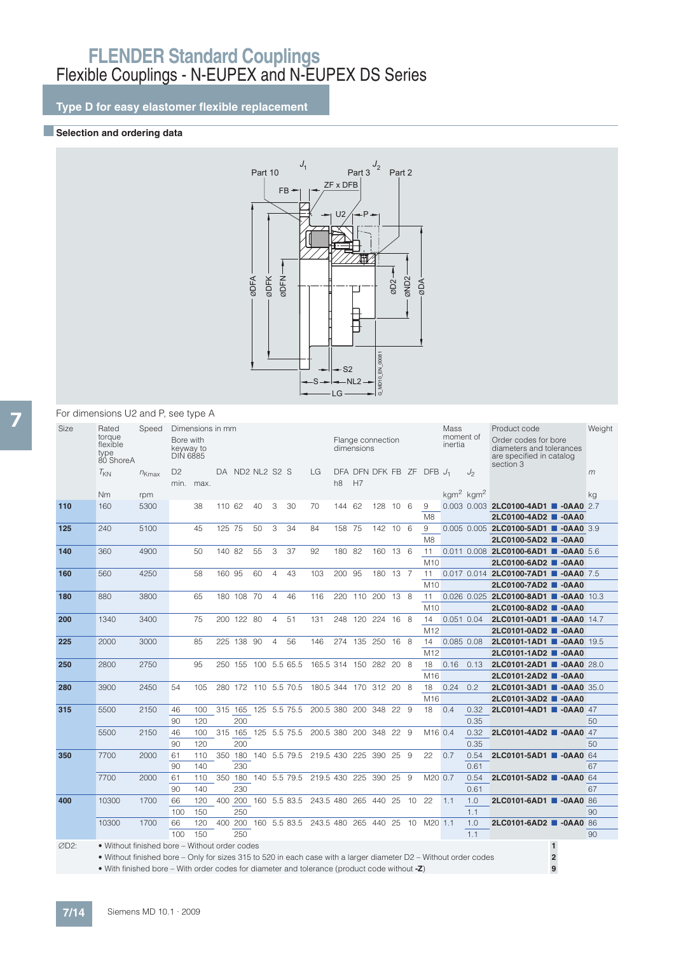**Type D for easy elastomer flexible replacement**

## **BSelection and ordering data**



#### For dimensions U2 and P, see type A

| <b>Size</b> | Rated<br>torque<br>flexible<br>type<br>80 ShoreA                                                                 | Speed      | Bore with<br>keyway to<br><b>DIN 6885</b> | Dimensions in mm |         |            |                 |                |                      |                                             |                | dimensions | Flange connection |      |     |                          | Mass<br>moment of<br>inertia |       | Product code<br>Order codes for bore<br>diameters and tolerances<br>are specified in catalog<br>section 3 |                | Weight |
|-------------|------------------------------------------------------------------------------------------------------------------|------------|-------------------------------------------|------------------|---------|------------|-----------------|----------------|----------------------|---------------------------------------------|----------------|------------|-------------------|------|-----|--------------------------|------------------------------|-------|-----------------------------------------------------------------------------------------------------------|----------------|--------|
|             | $T_{KN}$                                                                                                         | $n_{Kmax}$ | D <sub>2</sub><br>min.                    | max.             |         |            | DA ND2 NL2 S2 S |                |                      | LG                                          | h <sub>8</sub> | H7         |                   |      |     | DFA DFN DFK FB ZF DFB J1 |                              | $J_2$ |                                                                                                           |                | m      |
|             | <b>Nm</b>                                                                                                        | rpm        |                                           |                  |         |            |                 |                |                      |                                             |                |            |                   |      |     |                          | $kgm2$ kgm <sup>2</sup>      |       |                                                                                                           |                | ka     |
| 110         | 160                                                                                                              | 5300       |                                           | 38               | 110 62  |            | 40              | 3              | 30                   | 70                                          | 144 62         |            | 128 10 6          |      |     | 9                        |                              |       | 0.003 0.003 2LC0100-4AD1 <b>4 -0AA0</b> 2.7                                                               |                |        |
|             |                                                                                                                  |            |                                           |                  |         |            |                 |                |                      |                                             |                |            |                   |      |     | M <sub>8</sub>           |                              |       | 2LC0100-4AD2 <b>4</b> -0AA0                                                                               |                |        |
| 125         | 240                                                                                                              | 5100       |                                           | 45               | 125 75  |            | 50              | 3              | 34                   | 84                                          | 158 75         |            | 142 10 6          |      |     | 9                        |                              |       | 0.005 0.005 2LC0100-5AD1 -0AA0 3.9                                                                        |                |        |
|             |                                                                                                                  |            |                                           |                  |         |            |                 |                |                      |                                             |                |            |                   |      |     | M <sub>8</sub>           |                              |       | 2LC0100-5AD2 ■ -0AA0                                                                                      |                |        |
| 140         | 360                                                                                                              | 4900       |                                           | 50               | 140 82  |            | 55              | 3              | 37                   | 92                                          | 180 82         |            | 160 13 6          |      |     | 11                       |                              |       | 0.011 0.008 2LC0100-6AD1 -0AA0 5.6                                                                        |                |        |
|             |                                                                                                                  |            |                                           |                  |         |            |                 |                |                      |                                             |                |            |                   |      |     | M10                      |                              |       | 2LC0100-6AD2 <b>4</b> -0AA0                                                                               |                |        |
| 160         | 560                                                                                                              | 4250       |                                           | 58               | 160 95  |            | 60              | $\overline{4}$ | 43                   | 103                                         | 200 95         |            | 180 13 7          |      |     | 11                       |                              |       | 0.017 0.014 2LC0100-7AD1 -0AA0 7.5                                                                        |                |        |
|             |                                                                                                                  |            |                                           |                  |         |            |                 |                |                      |                                             |                |            |                   |      |     | M10                      |                              |       | 2LC0100-7AD2 0-0AA0                                                                                       |                |        |
| 180         | 880                                                                                                              | 3800       |                                           | 65               |         | 180 108 70 |                 | $\overline{4}$ | 46                   | 116                                         | 220            | 110        | 200               | 13 8 |     | 11                       |                              |       | 0.026 0.025 2LC0100-8AD1 -0AA0 10.3                                                                       |                |        |
|             |                                                                                                                  |            |                                           |                  |         |            |                 |                |                      |                                             |                |            |                   |      |     | M10                      |                              |       | 2LC0100-8AD2 0-0AA0                                                                                       |                |        |
| 200         | 1340                                                                                                             | 3400       |                                           | 75               |         | 200 122 80 |                 | $\overline{4}$ | 51                   | 131                                         | 248            |            | 120 224 16 8      |      |     | 14                       | 0.051 0.04                   |       | 2LC0101-0AD1 -0AA0 14.7                                                                                   |                |        |
|             |                                                                                                                  |            |                                           |                  |         |            |                 |                |                      |                                             |                |            |                   |      |     | M12                      |                              |       | 2LC0101-0AD2 <b>4</b> -0AA0                                                                               |                |        |
| 225         | 2000                                                                                                             | 3000       |                                           | 85               |         | 225 138 90 |                 | $\overline{4}$ | 56                   | 146                                         |                |            | 274 135 250 16 8  |      |     | 14                       | 0.085 0.08                   |       | 2LC0101-1AD1 -0AA0 19.5                                                                                   |                |        |
|             |                                                                                                                  |            |                                           |                  |         |            |                 |                |                      |                                             |                |            |                   |      |     | M <sub>12</sub>          |                              |       | 2LC0101-1AD2 <b>4</b> -0AA0                                                                               |                |        |
| 250         | 2800                                                                                                             | 2750       |                                           | 95               |         | 250 155    |                 |                | 100 5.5 65.5         | 165.5 314 150                               |                |            | 282 20 8          |      |     | 18                       | 0.16                         | 0.13  | 2LC0101-2AD1 0-0AA0 28.0                                                                                  |                |        |
|             |                                                                                                                  |            |                                           |                  |         |            |                 |                |                      |                                             |                |            |                   |      |     | M <sub>16</sub>          |                              |       | 2LC0101-2AD2 0-0AA0                                                                                       |                |        |
| 280         | 3900                                                                                                             | 2450       | 54                                        | 105              |         |            |                 |                | 280 172 110 5.5 70.5 | 180.5 344 170 312 20 8                      |                |            |                   |      |     | 18                       | 0.24                         | 0.2   | 2LC0101-3AD1 -0AA0 35.0                                                                                   |                |        |
|             |                                                                                                                  |            |                                           |                  |         |            |                 |                |                      |                                             |                |            |                   |      |     | M16                      |                              |       | 2LC0101-3AD2 0-0AA0                                                                                       |                |        |
| 315         | 5500                                                                                                             | 2150       | 46                                        | 100              |         |            |                 |                | 315 165 125 5.5 75.5 | 200.5 380                                   |                |            | 200 348 22 9      |      |     | 18                       | 0.4                          | 0.32  | 2LC0101-4AD1 -0AA0 47                                                                                     |                |        |
|             |                                                                                                                  |            | 90                                        | 120              |         | 200        |                 |                |                      |                                             |                |            |                   |      |     |                          |                              | 0.35  |                                                                                                           |                | 50     |
|             | 5500                                                                                                             | 2150       | 46                                        | 100              | 315 165 |            |                 |                | 125 5.5 75.5         | 200.5 380 200 348 22 9                      |                |            |                   |      |     | M <sub>16</sub> 0.4      |                              | 0.32  | 2LC0101-4AD2 -0AA0 47                                                                                     |                |        |
|             |                                                                                                                  |            | 90                                        | 120              |         | 200        |                 |                |                      |                                             |                |            |                   |      |     |                          |                              | 0.35  |                                                                                                           |                | 50     |
| 350         | 7700                                                                                                             | 2000       | 61                                        | 110              |         |            |                 |                |                      | 350 180 140 5.5 79.5 219.5 430 225 390 25 9 |                |            |                   |      |     | 22                       | 0.7                          | 0.54  | 2LC0101-5AD1 0-0AA0 64                                                                                    |                |        |
|             |                                                                                                                  |            | 90                                        | 140              |         | 230        |                 |                |                      |                                             |                |            |                   |      |     |                          |                              | 0.61  |                                                                                                           |                | 67     |
|             | 7700                                                                                                             | 2000       | 61                                        | 110              |         | 350 180    |                 |                | 140 5.5 79.5         | 219.5 430                                   |                | 225        | 390               | -25  | - 9 | M20 0.7                  |                              | 0.54  | 2LC0101-5AD2 -0AA0 64                                                                                     |                |        |
|             |                                                                                                                  |            | 90                                        | 140              |         | 230        |                 |                |                      |                                             |                |            |                   |      |     |                          |                              | 0.61  |                                                                                                           |                | 67     |
| 400         | 10300                                                                                                            | 1700       | 66                                        | 120              |         |            |                 |                | 400 200 160 5.5 83.5 | 243.5 480 265 440 25                        |                |            |                   |      | 10  | 22                       | 1.1                          | 1.0   | 2LC0101-6AD1 -0AA0 86                                                                                     |                |        |
|             |                                                                                                                  |            | 100                                       | 150              |         | 250        |                 |                |                      |                                             |                |            |                   |      |     |                          |                              | 1.1   |                                                                                                           |                | 90     |
|             | 10300                                                                                                            | 1700       | 66                                        | 120              |         |            |                 |                |                      | 400 200 160 5.5 83.5 243.5 480              |                |            | 265 440 25        |      | 10  | M20 1.1                  |                              | 1.0   | 2LC0101-6AD2 -0AA0 86                                                                                     |                |        |
|             |                                                                                                                  |            | 100                                       | 150              |         | 250        |                 |                |                      |                                             |                |            |                   |      |     |                          |                              | 1.1   |                                                                                                           |                | 90     |
| ØD2:        | • Without finished bore – Without order codes                                                                    |            |                                           |                  |         |            |                 |                |                      |                                             |                |            |                   |      |     |                          |                              |       |                                                                                                           | $\mathbf{1}$   |        |
|             | • Without finished bore – Only for sizes 315 to 520 in each case with a larger diameter D2 – Without order codes |            |                                           |                  |         |            |                 |                |                      |                                             |                |            |                   |      |     |                          |                              |       |                                                                                                           | $\overline{2}$ |        |
|             |                                                                                                                  |            |                                           |                  |         |            |                 |                |                      |                                             |                |            |                   |      |     |                          |                              |       |                                                                                                           |                |        |

• With finished bore – With order codes for diameter and tolerance (product code without **-Z**) **9**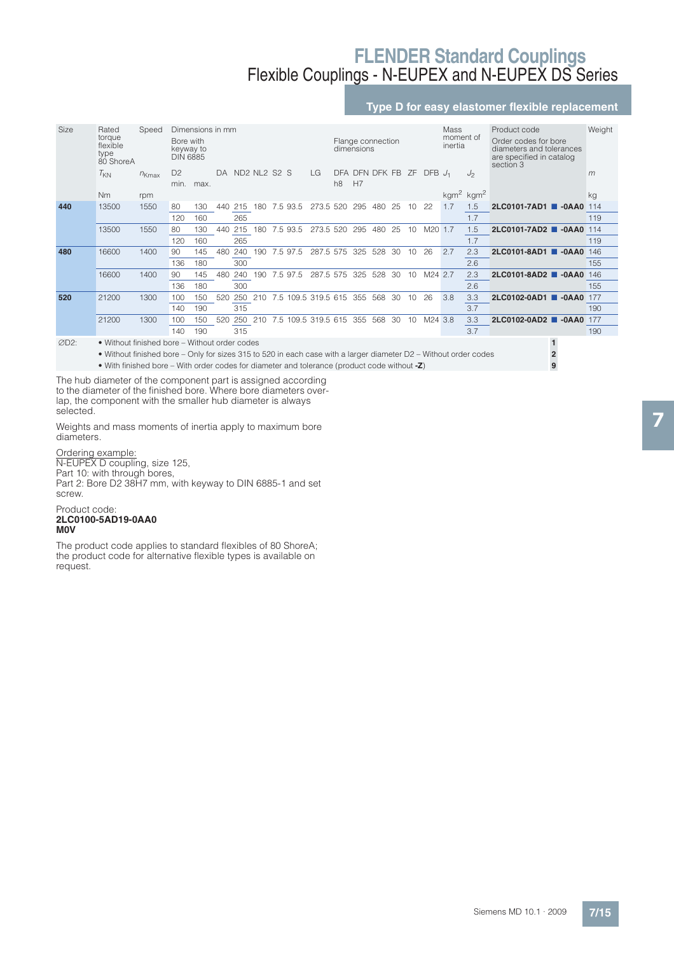## **Type D for easy elastomer flexible replacement**

| Size | Rated                                                                                                            | Speed      |                                           | Dimensions in mm |     |     |                                                  |          |                     |                              |            |                   |     |    |             | Mass                 |                         | Product code                                                                              | Weight |
|------|------------------------------------------------------------------------------------------------------------------|------------|-------------------------------------------|------------------|-----|-----|--------------------------------------------------|----------|---------------------|------------------------------|------------|-------------------|-----|----|-------------|----------------------|-------------------------|-------------------------------------------------------------------------------------------|--------|
|      | torque<br>flexible<br>type<br>80 ShoreA                                                                          |            | Bore with<br>keyway to<br><b>DIN 6885</b> |                  |     |     |                                                  |          |                     |                              | dimensions | Flange connection |     |    |             | moment of<br>inertia |                         | Order codes for bore<br>diameters and tolerances<br>are specified in catalog<br>section 3 |        |
|      | $T_{KN}$                                                                                                         | $n_{Kmax}$ | D <sub>2</sub><br>min.                    | max.             | DA  |     | ND <sub>2</sub> NL <sub>2</sub> S <sub>2</sub> S |          | LG                  | <b>DFA</b><br>h <sub>8</sub> | H7         | DFN DFK FB        |     | ΖF | $DFB$ $J_1$ |                      | J <sub>2</sub>          |                                                                                           | m      |
|      | <b>Nm</b>                                                                                                        | rpm        |                                           |                  |     |     |                                                  |          |                     |                              |            |                   |     |    |             |                      | $kgm2$ kgm <sup>2</sup> |                                                                                           | kg     |
| 440  | 13500                                                                                                            | 1550       | 80                                        | 130              | 440 | 215 | 180                                              | 7.5 93.5 | 273.5 520           |                              | 295        | 480               | 25  | 10 | 22          | 1.7                  | 1.5                     | 2LC0101-7AD1 0-0AA0 114                                                                   |        |
|      |                                                                                                                  |            | 120                                       | 160              |     | 265 |                                                  |          |                     |                              |            |                   |     |    |             |                      | 1.7                     |                                                                                           | 119    |
|      | 13500                                                                                                            | 1550       | 80                                        | 130              | 440 | 215 | 180                                              | 7.593.5  | 273.5 520           |                              | 295        | 480               | 25  | 10 | M20 1.7     |                      | 1.5                     | 2LC0101-7AD2 -0AA0 114                                                                    |        |
|      |                                                                                                                  |            | 120                                       | 160              |     | 265 |                                                  |          |                     |                              |            |                   |     |    |             |                      | 1.7                     |                                                                                           | 119    |
| 480  | 16600                                                                                                            | 1400       | 90                                        | 145              | 480 | 240 | 190                                              | 7.5 97.5 | 287.5 575           |                              | 325        | 528               | -30 | 10 | 26          | 2.7                  | 2.3                     | 2LC0101-8AD1 0-0AA0 146                                                                   |        |
|      |                                                                                                                  |            | 136                                       | 180              |     | 300 |                                                  |          |                     |                              |            |                   |     |    |             |                      | 2.6                     |                                                                                           | 155    |
|      | 16600                                                                                                            | 1400       | 90                                        | 145              | 480 | 240 | 190                                              | 7.5 97.5 | 287.5 575           |                              | 325        | 528               | 30  | 10 | M24 2.7     |                      | 2.3                     | 2LC0101-8AD2 <b>4</b> -0AA0                                                               | 146    |
|      |                                                                                                                  |            | 136                                       | 180              |     | 300 |                                                  |          |                     |                              |            |                   |     |    |             |                      | 2.6                     |                                                                                           | 155    |
| 520  | 21200                                                                                                            | 1300       | 100                                       | 150              | 520 | 250 | 210                                              |          | 7.5 109.5 319.5 615 |                              | 355        | 568               | 30  | 10 | 26          | 3.8                  | 3.3                     | 2LC0102-0AD1 0-0AA0                                                                       | 177    |
|      |                                                                                                                  |            | 140                                       | 190              |     | 315 |                                                  |          |                     |                              |            |                   |     |    |             |                      | 3.7                     |                                                                                           | 190    |
|      | 21200                                                                                                            | 1300       | 100                                       | 150              | 520 | 250 | 210                                              |          | 7.5 109.5 319.5 615 |                              | 355        | 568               | 30  | 10 | M24 3.8     |                      | 3.3                     | 2LC0102-0AD2 <b>4</b> -0AA0                                                               | 177    |
|      |                                                                                                                  |            | 140                                       | 190              |     | 315 |                                                  |          |                     |                              |            |                   |     |    |             |                      | 3.7                     |                                                                                           | 190    |
| ØD2: | • Without finished bore – Without order codes                                                                    |            |                                           |                  |     |     |                                                  |          |                     |                              |            |                   |     |    |             |                      |                         |                                                                                           |        |
|      | • Without finished bore – Only for sizes 315 to 520 in each case with a larger diameter D2 – Without order codes |            |                                           |                  |     |     |                                                  |          |                     |                              |            |                   |     |    |             |                      |                         |                                                                                           |        |

• With finished bore – With order codes for diameter and tolerance (product code without **-Z**) **9**

The hub diameter of the component part is assigned according to the diameter of the finished bore. Where bore diameters overlap, the component with the smaller hub diameter is always selected.

Weights and mass moments of inertia apply to maximum bore diameters.

Ordering example: N-EUPEX D coupling, size 125, Part 10: with through bores, Part 2: Bore D2 38H7 mm, with keyway to DIN 6885-1 and set screw.

Product code: **2LC0100-5AD19-0AA0 M0V**

The product code applies to standard flexibles of 80 ShoreA; the product code for alternative flexible types is available on request.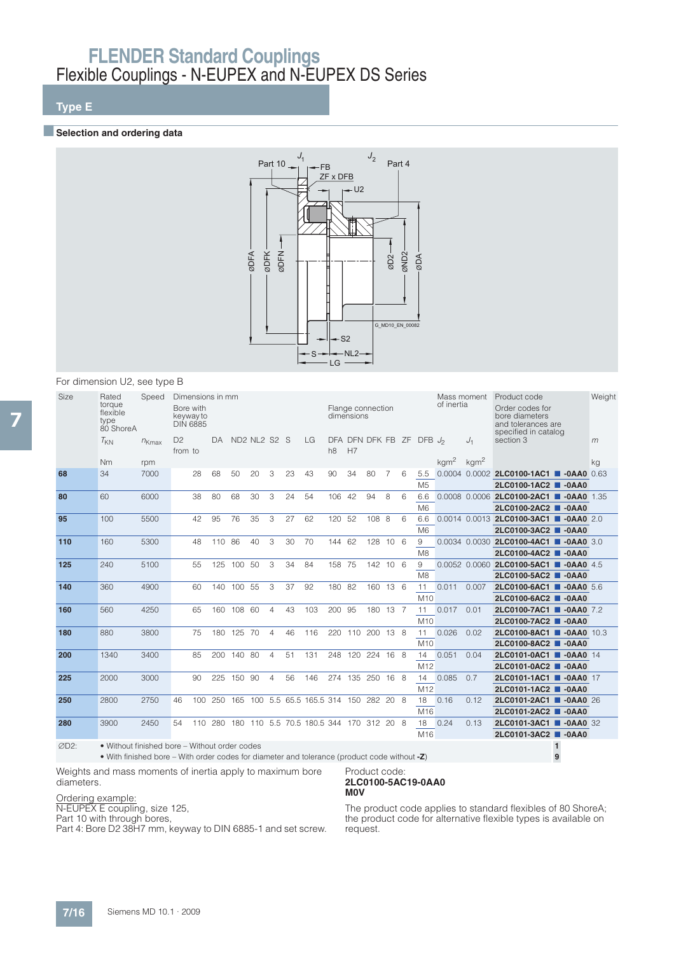## **Type E**

### **Exercise Selection and ordering data**



### For dimension U2, see type B

| Size | Rated<br>torque<br>flexible<br>type<br>80 ShoreA | Speed      | Bore with<br>keyway to<br><b>DIN 6885</b> | Dimensions in mm |                        |        |                                                  |                |    |                                     |                | dimensions | Flange connection |                 |   |                             | Mass moment<br>of inertia |                  | Product code<br>Order codes for<br>bore diameters<br>and tolerances are<br>specified in catalog | Weight |
|------|--------------------------------------------------|------------|-------------------------------------------|------------------|------------------------|--------|--------------------------------------------------|----------------|----|-------------------------------------|----------------|------------|-------------------|-----------------|---|-----------------------------|---------------------------|------------------|-------------------------------------------------------------------------------------------------|--------|
|      | $T_{KN}$                                         | $n_{Kmax}$ | D <sub>2</sub><br>from to                 |                  | $\mathsf{D}\mathsf{A}$ |        | ND <sub>2</sub> NL <sub>2</sub> S <sub>2</sub> S |                |    | LG                                  | h <sub>8</sub> | H7         |                   |                 |   | DFA DFN DFK FB ZF DFB $J_2$ |                           | $J_1$            | section 3                                                                                       | m      |
|      | <b>Nm</b>                                        | rpm        |                                           |                  |                        |        |                                                  |                |    |                                     |                |            |                   |                 |   |                             | kgm <sup>2</sup>          | kgm <sup>2</sup> |                                                                                                 | ka     |
| 68   | 34                                               | 7000       |                                           | 28               | 68                     | 50     | 20                                               | 3              | 23 | 43                                  | 90             | 34         | 80                |                 | 6 | 5.5<br>M <sub>5</sub>       |                           |                  | 0.0004 0.0002 2LC0100-1AC1 -0AA0 0.63<br>2LC0100-1AC2<br>$-0AAO$                                |        |
| 80   | 60                                               | 6000       |                                           | 38               | 80                     | 68     | 30                                               | 3              | 24 | 54                                  | 106            | 42         | 94                | 8               | 6 | 6.6<br>M <sub>6</sub>       |                           |                  | 0.0008 0.0006 2LC0100-2AC1 -0AA0 1.35<br>2LC0100-2AC2 <b>COALCO</b>                             |        |
| 95   | 100                                              | 5500       |                                           | 42               | 95                     | 76     | 35                                               | 3              | 27 | 62                                  | 120            | 52         | 108               | -8              | 6 | 6.6<br>M6                   |                           |                  | 0.0014 0.0013 2LC0100-3AC1 -0AA0 2.0<br>2LC0100-3AC2 <b>COALCO</b>                              |        |
| 110  | 160                                              | 5300       |                                           | 48               | 110 86                 |        | 40                                               | 3              | 30 | 70                                  | 144 62         |            | 128               | 10 <sub>6</sub> |   | 9<br>M8                     |                           |                  | 0.0034 0.0030 2LC0100-4AC1 -0AA0 3.0<br>2LC0100-4AC2<br>$-0AAO$                                 |        |
| 125  | 240                                              | 5100       |                                           | 55               | 125                    | 100    | 50                                               | 3              | 34 | 84                                  | 158            | 75         | 142 10            |                 | 6 | 9<br>M <sub>8</sub>         |                           |                  | 0.0052 0.0060 2LC0100-5AC1 -0AA0 4.5<br>2LC0100-5AC2 <b>CD</b> -0AA0                            |        |
| 140  | 360                                              | 4900       |                                           | 60               | 140                    | 100    | -55                                              | 3              | 37 | 92                                  | 180            | 82         | 160               | 136             |   | 11<br>M10                   | 0.011                     | 0.007            | 2LC0100-6AC1 -0AA0 5.6<br>2LC0100-6AC2 <b>0 -0AA0</b>                                           |        |
| 160  | 560                                              | 4250       |                                           | 65               | 160                    | 108 60 |                                                  | 4              | 43 | 103                                 | 200            | 95         | 180 13 7          |                 |   | 11<br>M10                   | 0.017                     | 0.01             | 2LC0100-7AC1 0-0AA0 7.2<br>2LC0100-7AC2 <b>COALCO</b>                                           |        |
| 180  | 880                                              | 3800       |                                           | 75               | 180                    | 125 70 |                                                  | $\overline{4}$ | 46 | 116                                 | 220            | 110        | 200               | 138             |   | 11<br>M10                   | 0.026                     | 0.02             | 2LC0100-8AC1 -0AA0 10.3<br>2LC0100-8AC2 <b>0 -0AA0</b>                                          |        |
| 200  | 1340                                             | 3400       |                                           | 85               | 200                    | 140 80 |                                                  | $\overline{4}$ | 51 | 131                                 | 248            | 120        | 224               | $16 \quad 8$    |   | 14<br>M12                   | 0.051                     | 0.04             | 2LC0101-0AC1 -0AA0 14<br>2LC0101-0AC2 <b>COAC</b>                                               |        |
| 225  | 2000                                             | 3000       |                                           | 90               | 225                    | 150 90 |                                                  | 4              | 56 | 146                                 |                |            | 274 135 250 16 8  |                 |   | 14<br>M12                   | 0.085                     | 0.7              | 2LC0101-1AC1 -0AA0 17<br>2LC0101-1AC2 <b>COALCORD</b>                                           |        |
| 250  | 2800                                             | 2750       | 46                                        | 100              | 250                    | 165    |                                                  |                |    | 100 5.5 65.5 165.5 314 150 282 20 8 |                |            |                   |                 |   | 18<br>M16                   | 0.16                      | 0.12             | 2LC0101-2AC1 -0AA0 26<br>2LC0101-2AC2 <b>0 -0AA0</b>                                            |        |
| 280  | 3900                                             | 2450       | 54                                        | 110              | 280                    | 180    |                                                  |                |    | 110 5.5 70.5 180.5 344 170 312 20 8 |                |            |                   |                 |   | 18<br>M16                   | 0.24                      | 0.13             | 2LC0101-3AC1 -0AA0 32<br>2LC0101-3AC2 <b>4</b> -0AA0                                            |        |
| ØD2: | . Without finished bore - Without order codes    |            |                                           |                  |                        |        |                                                  |                |    |                                     |                |            |                   |                 |   |                             |                           |                  | $\mathbf{1}$                                                                                    |        |

Product code: **2LC0100-5AC19-0AA0**

**M0V**

• With finished bore – With order codes for diameter and tolerance (product code without **-Z**) **9**

Weights and mass moments of inertia apply to maximum bore diameters.

#### Ordering example:

N-EUPEX E coupling, size 125,

Part 10 with through bores,

Part 4: Bore D2 38H7 mm, keyway to DIN 6885-1 and set screw.

The product code applies to standard flexibles of 80 ShoreA; the product code for alternative flexible types is available on request.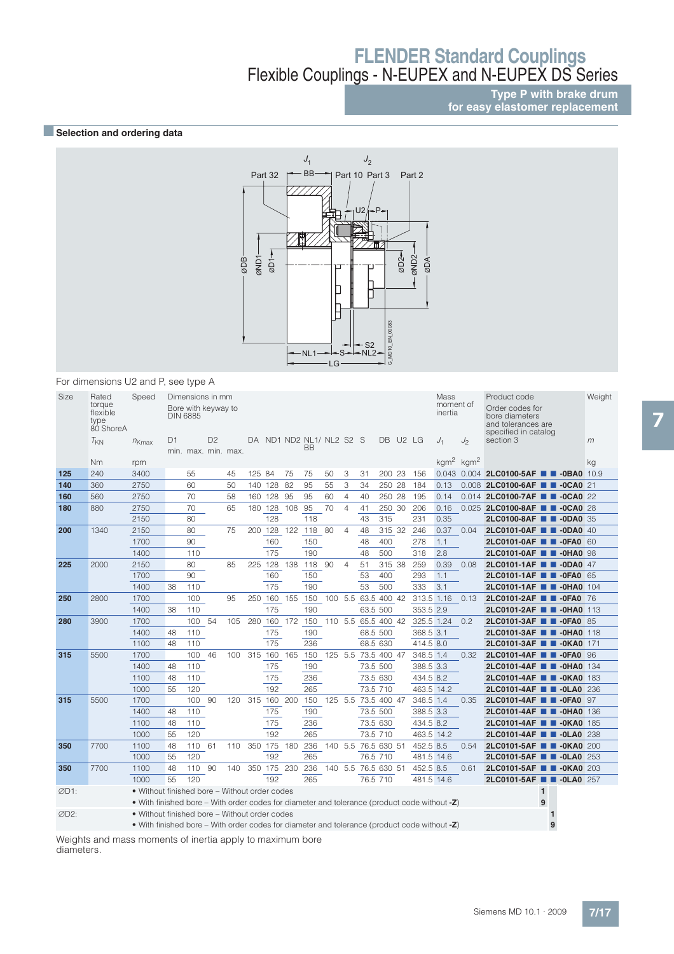### **Type P with brake drum for easy elastomer replacement**

## ■**Selection and ordering data**



For dimensions U2 and P, see type A

| Size | Rated<br>torque<br>flexible<br>type<br>80 ShoreA | Speed                                                                                           | <b>DIN 6885</b> | Dimensions in mm<br>Bore with keyway to |                |     |        |                 |     |                                |    |                |                     |        |                   |            | Mass<br>moment of<br>inertia |                | Product code<br>Order codes for<br>bore diameters<br>and tolerances are<br>specified in catalog | Weight |
|------|--------------------------------------------------|-------------------------------------------------------------------------------------------------|-----------------|-----------------------------------------|----------------|-----|--------|-----------------|-----|--------------------------------|----|----------------|---------------------|--------|-------------------|------------|------------------------------|----------------|-------------------------------------------------------------------------------------------------|--------|
|      | $T_{KN}$                                         | $n_{Kmax}$                                                                                      | D1              | min. max. min. max.                     | D <sub>2</sub> |     |        |                 |     | DA ND1 ND2 NL1/ NL2 S2 S<br>BB |    |                |                     | DB.    | U <sub>2</sub> LG |            | $J_1$                        | J <sub>2</sub> | section 3                                                                                       | m      |
|      | Nm                                               | rpm                                                                                             |                 |                                         |                |     |        |                 |     |                                |    |                |                     |        |                   |            | $kgm2$ kgm <sup>2</sup>      |                |                                                                                                 | kg     |
| 125  | 240                                              | 3400                                                                                            |                 | 55                                      |                | 45  | 125 84 |                 | 75  | 75                             | 50 | 3              | 31                  | 200 23 |                   | 156        |                              |                | 0.043 0.004 2LC0100-5AF <b>0 -0BA0</b> 10.9                                                     |        |
| 140  | 360                                              | 2750                                                                                            |                 | 60                                      |                | 50  |        | 140 128 82      |     | 95                             | 55 | 3              | 34                  | 250 28 |                   | 184        | 0.13                         |                | 0.008 2LC0100-6AF <b>1 -0CA0</b> 21                                                             |        |
| 160  | 560                                              | 2750                                                                                            |                 | 70                                      |                | 58  |        | 160 128 95      |     | 95                             | 60 | 4              | 40                  | 250 28 |                   | 195        | 0.14                         |                | 0.014 2LC0100-7AF <b>1 -0CA0</b> 22                                                             |        |
| 180  | 880                                              | 2750                                                                                            |                 | 70                                      |                | 65  |        | 180 128         | 108 | 95                             | 70 | $\overline{4}$ | 41                  | 250 30 |                   | 206        | 0.16                         |                | 0.025 2LC0100-8AF <b>1 -0CA0</b> 28                                                             |        |
|      |                                                  | 2150                                                                                            |                 | 80                                      |                |     |        | 128             |     | 118                            |    |                | 43                  | 315    |                   | 231        | 0.35                         |                | 2LC0100-8AF <b>TH</b> -0DA0 35                                                                  |        |
| 200  | 1340                                             | 2150                                                                                            |                 | 80                                      |                | 75  | 200    | 128             | 122 | 118                            | 80 | $\overline{4}$ | 48                  | 315 32 |                   | 246        | 0.37                         | 0.04           | 2LC0101-0AF <b>1 -0DA0</b> 40                                                                   |        |
|      |                                                  | 1700                                                                                            |                 | 90                                      |                |     |        | 160             |     | 150                            |    |                | 48                  | 400    |                   | 278        | 1.1                          |                | 2LC0101-0AF <b>1 -0FA0</b> 60                                                                   |        |
|      |                                                  | 1400                                                                                            |                 | 110                                     |                |     |        | 175             |     | 190                            |    |                | 48                  | 500    |                   | 318        | 2.8                          |                | 2LC0101-0AF <b>1 -0HA0 98</b>                                                                   |        |
| 225  | 2000                                             | 2150                                                                                            |                 | 80                                      |                | 85  | 225    | 128 138         |     | 118                            | 90 | $\overline{4}$ | 51                  | 315 38 |                   | 259        | 0.39                         | 0.08           | 2LC0101-1AF <b>1</b> -0DA0 47                                                                   |        |
|      |                                                  | 1700                                                                                            |                 | 90                                      |                |     |        | 160             |     | 150                            |    |                | 53                  | 400    |                   | 293        | 1.1                          |                | 2LC0101-1AF <b>1 -0FA0</b> 65                                                                   |        |
|      |                                                  | 1400                                                                                            | 38              | 110                                     |                |     |        | 175             |     | 190                            |    |                | 53                  | 500    |                   | 333        | 3.1                          |                | 2LC0101-1AF <b>T</b> -0HA0 104                                                                  |        |
| 250  | 2800                                             | 1700                                                                                            |                 | 100                                     |                | 95  |        | 250 160         | 155 | 150                            |    |                | 100 5.5 63.5 400 42 |        |                   | 313.5 1.16 |                              | 0.13           | 2LC0101-2AF <b>III -0FA0</b> 76                                                                 |        |
|      |                                                  | 1400                                                                                            | 38              | 110                                     |                |     |        | 175             |     | 190                            |    |                | 63.5 500            |        |                   | 353.5 2.9  |                              |                | 2LC0101-2AF <b>T</b> J-0HA0 113                                                                 |        |
| 280  | 3900                                             | 1700                                                                                            |                 | 100                                     | 54             | 105 |        | 280 160 172     |     | 150                            |    |                | 110 5.5 65.5 400 42 |        |                   | 325.5 1.24 |                              | 0.2            | 2LC0101-3AF <b>1 -0FA0 85</b>                                                                   |        |
|      |                                                  | 1400                                                                                            | 48              | 110                                     |                |     |        | 175             |     | 190                            |    |                | 68.5 500            |        |                   | 368.5 3.1  |                              |                | 2LC0101-3AF <b>1 -0HA0</b> 118                                                                  |        |
|      |                                                  | 1100                                                                                            | 48              | 110                                     |                |     |        | 175             |     | 236                            |    |                | 68.5 630            |        |                   | 414.5 8.0  |                              |                | 2LC0101-3AF <b>1 -0KA0</b> 171                                                                  |        |
| 315  | 5500                                             | 1700                                                                                            |                 | 100                                     | 46             |     |        | 100 315 160 165 |     | 150                            |    |                | 125 5.5 73.5 400 47 |        |                   | 348.5 1.4  |                              | 0.32           | 2LC0101-4AF <b>III -0FA0</b> 96                                                                 |        |
|      |                                                  | 1400                                                                                            | 48              | 110                                     |                |     |        | 175             |     | 190                            |    |                | 73.5 500            |        |                   | 388.5 3.3  |                              |                | 2LC0101-4AF <b>TH</b> -0HA0 134                                                                 |        |
|      |                                                  | 1100                                                                                            | 48              | 110                                     |                |     |        | 175             |     | 236                            |    |                | 73.5 630            |        |                   | 434.5 8.2  |                              |                | 2LC0101-4AF <b>II</b> -0KA0 183                                                                 |        |
|      |                                                  | 1000                                                                                            | 55              | 120                                     |                |     |        | 192             |     | 265                            |    |                | 73.5 710            |        |                   | 463.5 14.2 |                              |                | 2LC0101-4AF <b>III -0LA0</b> 236                                                                |        |
| 315  | 5500                                             | 1700                                                                                            |                 | 100                                     | -90            | 120 |        | 315 160 200     |     | 150                            |    |                | 125 5.5 73.5 400 47 |        |                   | 348.5 1.4  |                              | 0.35           | 2LC0101-4AF <b>B</b> -0FA0 97                                                                   |        |
|      |                                                  | 1400                                                                                            | 48              | 110                                     |                |     |        | 175             |     | 190                            |    |                | 73.5 500            |        |                   | 388.5 3.3  |                              |                | 2LC0101-4AF <b>T</b> -0HA0 136                                                                  |        |
|      |                                                  | 1100                                                                                            | 48              | 110                                     |                |     |        | 175             |     | 236                            |    |                | 73.5 630            |        |                   | 434.5 8.2  |                              |                | 2LC0101-4AF <b>N 3</b> -0KA0 185                                                                |        |
|      |                                                  | 1000                                                                                            | 55              | 120                                     |                |     |        | 192             |     | 265                            |    |                | 73.5 710            |        |                   | 463.5 14.2 |                              |                | 2LC0101-4AF <b>T</b> J-0LA0 238                                                                 |        |
| 350  | 7700                                             | 1100                                                                                            | 48              | 110                                     | 61             | 110 |        | 350 175 180     |     | 236                            |    |                | 140 5.5 76.5 630 51 |        |                   | 452.5 8.5  |                              | 0.54           | 2LC0101-5AF <b>III -0KA0</b> 200                                                                |        |
|      |                                                  | 1000                                                                                            | 55              | 120                                     |                |     |        | 192             |     | 265                            |    |                | 76.5 710            |        |                   | 481.5 14.6 |                              |                | 2LC0101-5AF <b>T</b> -0LA0 253                                                                  |        |
| 350  | 7700                                             | 1100                                                                                            | 48              | 110                                     | 90             | 140 |        | 350 175 230     |     | 236                            |    |                | 140 5.5 76.5 630 51 |        |                   | 452.5 8.5  |                              | 0.61           | 2LC0101-5AF <b>B</b> -0KA0 203                                                                  |        |
|      |                                                  | 1000                                                                                            | 55              | 120                                     |                |     |        | 192             |     | 265                            |    |                | 76.5 710            |        |                   | 481.5 14.6 |                              |                | 2LC0101-5AF <b>T</b> J-0LA0 257                                                                 |        |
| ØD1: |                                                  | • Without finished bore – Without order codes                                                   |                 |                                         |                |     |        |                 |     |                                |    |                |                     |        |                   |            |                              |                | $\mathbf{1}$                                                                                    |        |
|      |                                                  | • With finished bore – With order codes for diameter and tolerance (product code without -Z)    |                 |                                         |                |     |        |                 |     |                                |    |                |                     |        |                   |            |                              |                | 9                                                                                               |        |
| ØD2: |                                                  | • Without finished bore - Without order codes                                                   |                 |                                         |                |     |        |                 |     |                                |    |                |                     |        |                   |            |                              |                | 1                                                                                               |        |
|      |                                                  | • With finished bore – With order codes for diameter and tolerance (product code without $-Z$ ) |                 |                                         |                |     |        |                 |     |                                |    |                |                     |        |                   |            |                              |                | 9                                                                                               |        |

Weights and mass moments of inertia apply to maximum bore

diameters.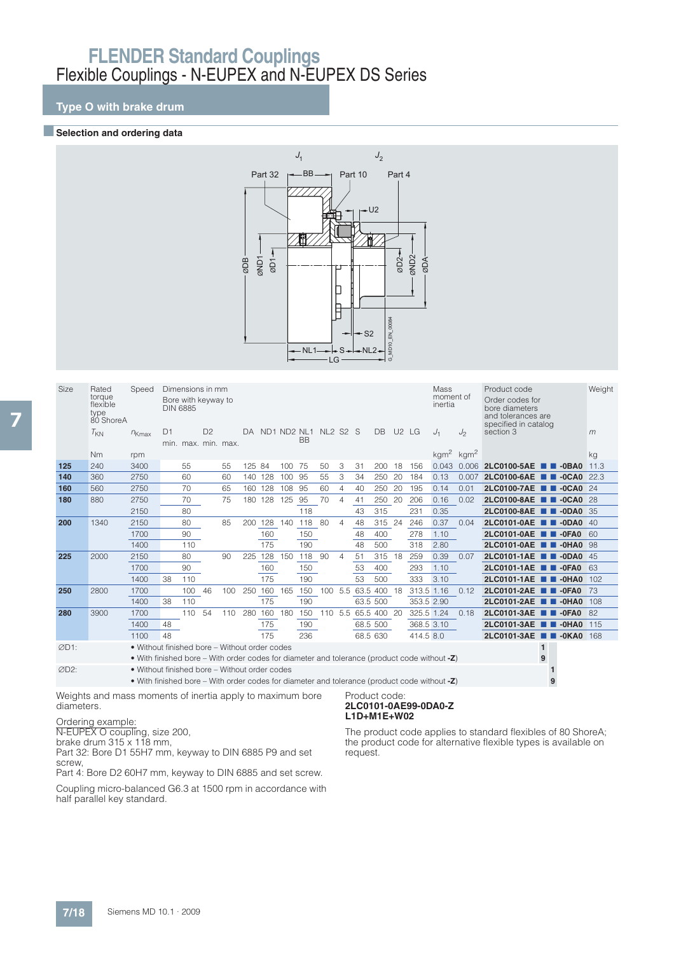## **Type O with brake drum**

#### **Exercise Selection and ordering data**



| Size | Rated<br>torque<br>flexible<br>type<br>80 ShoreA | Speed                                                                                                                                         |    | Dimensions in mm<br>Bore with keyway to<br><b>DIN 6885</b> |                |     |         |         |        |                                   |         |                |          |             |     |            | Mass<br>moment of<br>inertia |       | Product code<br>Order codes for<br>bore diameters<br>and tolerances are | Weight |
|------|--------------------------------------------------|-----------------------------------------------------------------------------------------------------------------------------------------------|----|------------------------------------------------------------|----------------|-----|---------|---------|--------|-----------------------------------|---------|----------------|----------|-------------|-----|------------|------------------------------|-------|-------------------------------------------------------------------------|--------|
|      | $T_{KN}$                                         | $n_{Kmax}$                                                                                                                                    | D1 | min. max. min. max.                                        | D <sub>2</sub> |     | DA      |         |        | ND1 ND2 NL1 NL2 S2 S<br><b>BB</b> |         |                |          | DB U2 LG    |     |            | $J_1$                        | $J_2$ | specified in catalog<br>section 3                                       | m      |
|      | N <sub>m</sub>                                   | rpm                                                                                                                                           |    |                                                            |                |     |         |         |        |                                   |         |                |          |             |     |            | $kgm2$ kgm <sup>2</sup>      |       |                                                                         | kg     |
| 125  | 240                                              | 3400                                                                                                                                          |    | 55                                                         |                | 55  | 125 84  |         | 100 75 |                                   | 50      | 3              | 31       | 200         | 18  | 156        | 0.043                        | 0.006 | 2LC0100-5AE<br>$\blacksquare$ -0BA0                                     | 11.3   |
| 140  | 360                                              | 2750                                                                                                                                          |    | 60                                                         |                | 60  | 140 128 |         | 100    | 95                                | 55      | 3              | 34       | 250         | 20  | 184        | 0.13                         | 0.007 | 2LC0100-6AE<br>$\blacksquare$ -0CA0                                     | 22.3   |
| 160  | 560                                              | 2750                                                                                                                                          |    | 70                                                         |                | 65  | 160     | 128     | 108 95 |                                   | 60      | 4              | 40       | 250         | 20  | 195        | 0.14                         | 0.01  | 2LC0100-7AE <b>1 -0CA0</b> 24                                           |        |
| 180  | 880                                              | 2750                                                                                                                                          |    | 70                                                         |                | 75  |         | 180 128 | 125    | 95                                | 70      | $\overline{4}$ | 41       | 250         | -20 | 206        | 0.16                         | 0.02  | 2LC0100-8AE <b>2</b> -0CA0                                              | -28    |
|      |                                                  | 2150                                                                                                                                          |    | 80                                                         |                |     |         |         |        | 118                               |         |                | 43       | 315         |     | 231        | 0.35                         |       | 2LC0100-8AE <b>B B-0DA0</b> 35                                          |        |
| 200  | 1340                                             | 2150                                                                                                                                          |    | 80                                                         |                | 85  | 200     | 128     | 140    | 118                               | -80     | 4              | 48       | 315         | 24  | 246        | 0.37                         | 0.04  | 2LC0101-0AE<br>$\blacksquare$ -0DA0                                     | 40     |
|      |                                                  | 1700                                                                                                                                          |    | 90                                                         |                |     |         | 160     |        | 150                               |         |                | 48       | 400         |     | 278        | 1.10                         |       | 2LC0101-0AE <b>2</b> -0FA0                                              | 60     |
|      |                                                  | 1400                                                                                                                                          |    | 110                                                        |                |     |         | 175     |        | 190                               |         |                | 48       | 500         |     | 318        | 2.80                         |       | 2LC0101-0AE <b>1 -0HA0</b>                                              | 98     |
| 225  | 2000                                             | 2150                                                                                                                                          |    | 80                                                         |                | 90  | 225     | 128     | 150    | 118                               | 90      | $\overline{4}$ | 51       | 315         | -18 | 259        | 0.39                         | 0.07  | 2LC0101-1AE <b>1 -0DA0</b>                                              | 45     |
|      |                                                  | 1700                                                                                                                                          |    | 90                                                         |                |     |         | 160     |        | 150                               |         |                | 53       | 400         |     | 293        | 1.10                         |       | 2LC0101-1AE 2-0FA0                                                      | 63     |
|      |                                                  | 1400                                                                                                                                          | 38 | 110                                                        |                |     |         | 175     |        | 190                               |         |                | 53       | 500         |     | 333        | 3.10                         |       | 2LC0101-1AE <b>2</b> -0HA0                                              | 102    |
| 250  | 2800                                             | 1700                                                                                                                                          |    | 100                                                        | 46             | 100 | 250     | 160     | 165    | 150                               | 100 5.5 |                |          | 63.5 400 18 |     | 313.5 1.16 |                              | 0.12  | 2LC0101-2AE <b>1 -0FA0</b>                                              | 73     |
|      |                                                  | 1400                                                                                                                                          | 38 | 110                                                        |                |     |         | 175     |        | 190                               |         |                | 63.5 500 |             |     | 353.5 2.90 |                              |       | 2LC0101-2AE <b>1 -0HA0</b>                                              | 108    |
| 280  | 3900                                             | 1700                                                                                                                                          |    | 110                                                        | 54             | 110 | 280     | 160 180 |        | 150                               | 110 5.5 |                |          | 65.5 400 20 |     | 325.5 1.24 |                              | 0.18  | 2LC0101-3AE<br>$\blacksquare$ -0FA0                                     | 82     |
|      |                                                  | 1400                                                                                                                                          | 48 |                                                            |                |     |         | 175     |        | 190                               |         |                | 68.5 500 |             |     | 368.5 3.10 |                              |       | 2LC0101-3AE ■■ -0HA0                                                    | 115    |
|      |                                                  | 1100                                                                                                                                          | 48 |                                                            |                |     |         | 175     |        | 236                               |         |                | 68.5 630 |             |     | 414.5 8.0  |                              |       | 2LC0101-3AE <b>1 -0KA0</b> 168                                          |        |
| ØD1: |                                                  | • Without finished bore – Without order codes<br>• With finished bore – With order codes for diameter and tolerance (product code without -Z) |    |                                                            |                |     |         |         |        |                                   |         |                |          |             |     |            |                              |       | $\mathbf{1}$<br>9                                                       |        |
| ØD2: |                                                  | • Without finished bore - Without order codes<br>• With finished bore – With order codes for diameter and tolerance (product code without -Z) |    |                                                            |                |     |         |         |        |                                   |         |                |          |             |     |            |                              |       | 9                                                                       |        |

Weights and mass moments of inertia apply to maximum bore diameters.

Ordering example:

N-EUPEX O coupling, size 200,

brake drum 315 x 118 mm, Part 32: Bore D1 55H7 mm, keyway to DIN 6885 P9 and set screw,

Part 4: Bore D2 60H7 mm, keyway to DIN 6885 and set screw.

Coupling micro-balanced G6.3 at 1500 rpm in accordance with half parallel key standard.

#### Product code: **2LC0101-0AE99-0DA0-Z L1D+M1E+W02**

The product code applies to standard flexibles of 80 ShoreA; the product code for alternative flexible types is available on request.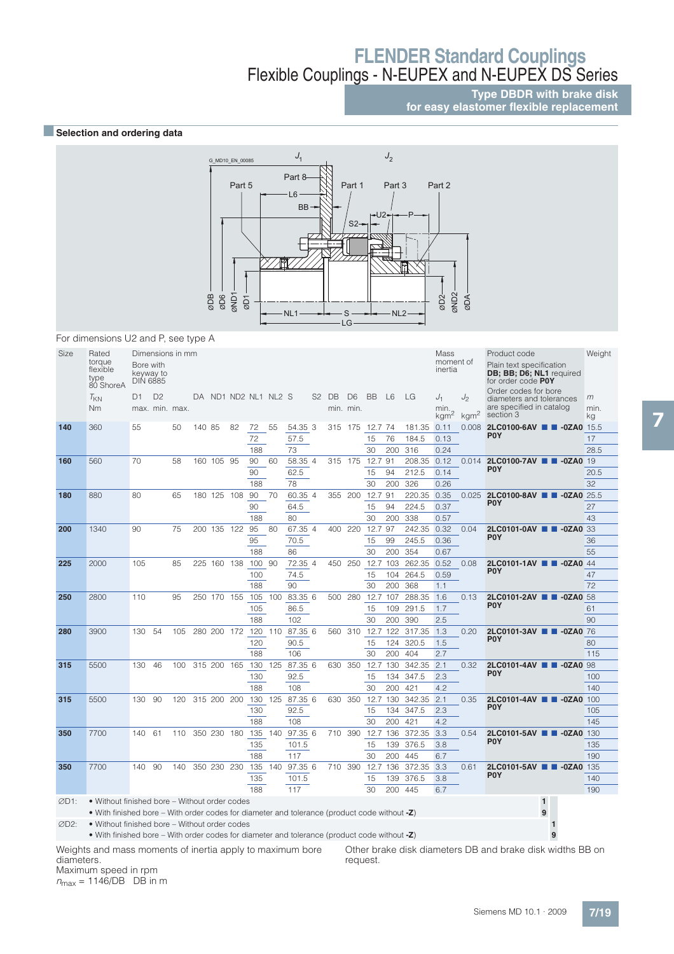### **Type DBDR with brake disk for easy elastomer flexible replacement**

### **B** Selection and ordering data



For dimensions U2 and P, see type A

| Size | Rated<br>torque<br>flexible<br>type<br>80 ShoreA                                                | Bore with<br><b>DIN 6885</b> | keyway to      | Dimensions in mm |        |             |                      |        |         |         |                   |                             |              |                |             | Mass<br>moment of<br>inertia      |                                    | Product code<br>Plain text specification<br>DB; BB; D6; NL1 required<br>for order code P0Y | Weight          |
|------|-------------------------------------------------------------------------------------------------|------------------------------|----------------|------------------|--------|-------------|----------------------|--------|---------|---------|-------------------|-----------------------------|--------------|----------------|-------------|-----------------------------------|------------------------------------|--------------------------------------------------------------------------------------------|-----------------|
|      | $T_{KN}$<br>Nm                                                                                  | D1                           | D <sub>2</sub> | max. min. max.   |        |             | DA ND1 ND2 NL1 NL2 S |        |         |         | S <sub>2</sub> DB | D <sub>6</sub><br>min. min. | <b>BB</b>    | L <sub>6</sub> | LG          | $J_1$<br>min.<br>kgm <sup>2</sup> | J <sub>2</sub><br>kgm <sup>2</sup> | Order codes for bore<br>diameters and tolerances<br>are specified in catalog<br>section 3  | m<br>min.<br>kg |
| 140  | 360                                                                                             | 55                           |                | 50               | 140 85 |             | 82                   | 72     | 55      | 54.35 3 |                   |                             | 315 175 12.7 | 74             | 181.35      | 0.11                              |                                    | 0.008 2LC0100-6AV <b>D</b> -0ZA0 15.5                                                      |                 |
|      |                                                                                                 |                              |                |                  |        |             |                      | 72     |         | 57.5    |                   |                             | 15           | 76             | 184.5       | 0.13                              |                                    | <b>POY</b>                                                                                 | 17              |
|      |                                                                                                 |                              |                |                  |        |             |                      | 188    |         | 73      |                   |                             | 30           | 200            | 316         | 0.24                              |                                    |                                                                                            | 28.5            |
| 160  | 560                                                                                             | 70                           |                | 58               |        | 160 105 95  |                      | 90     | 60      | 58.35 4 |                   | 315 175                     | 12.7         | 91             | 208.35      | 0.12                              | 0.014                              | 2LC0100-7AV ■ ■ -0ZA0                                                                      | 19              |
|      |                                                                                                 |                              |                |                  |        |             |                      | 90     |         | 62.5    |                   |                             | 15           | 94             | 212.5       | 0.14                              |                                    | P <sub>0</sub> Y                                                                           | 20.5            |
|      |                                                                                                 |                              |                |                  |        |             |                      | 188    |         | 78      |                   |                             | 30           | 200            | 326         | 0.26                              |                                    |                                                                                            | 32              |
| 180  | 880                                                                                             | 80                           |                | 65               |        | 180 125     | 108                  | 90     | 70      | 60.35 4 | 355               | 200                         | 12.7         | 91             | 220.35      | 0.35                              | 0.025                              | 2LC0100-8AV <b>2-3</b> -0ZA0 25.5                                                          |                 |
|      |                                                                                                 |                              |                |                  |        |             |                      | 90     |         | 64.5    |                   |                             | 15           | 94             | 224.5       | 0.37                              |                                    | P <sub>0</sub> Y                                                                           | 27              |
|      |                                                                                                 |                              |                |                  |        |             |                      | 188    |         | 80      |                   |                             | 30           | 200            | 338         | 0.57                              |                                    |                                                                                            | 43              |
| 200  | 1340                                                                                            | 90                           |                | 75               |        | 200 135     | 122                  | 95     | 80      | 67.35 4 | 400               | 220                         | 12.7         | 97             | 242.35      | 0.32                              | 0.04                               | 2LC0101-0AV <b>1 -0ZA0 33</b>                                                              |                 |
|      |                                                                                                 |                              |                |                  |        |             |                      | 95     |         | 70.5    |                   |                             | 15           | 99             | 245.5       | 0.36                              |                                    | P <sub>0</sub> Y                                                                           | 36              |
|      |                                                                                                 |                              |                |                  |        |             |                      | 188    |         | 86      |                   |                             | 30           | 200            | 354         | 0.67                              |                                    |                                                                                            | 55              |
| 225  | 2000                                                                                            | 105                          |                | 85               |        | 225 160 138 |                      | 100 90 |         | 72.35 4 |                   | 450 250                     | 12.7         | 103            | 262.35 0.52 |                                   | 0.08                               | 2LC0101-1AV <b>1 -0ZA0</b> 44<br>P <sub>0</sub> Y                                          |                 |
|      |                                                                                                 |                              |                |                  |        |             |                      | 100    |         | 74.5    |                   |                             | 15           | 104            | 264.5       | 0.59                              |                                    |                                                                                            | 47              |
|      |                                                                                                 |                              |                |                  |        |             |                      | 188    |         | 90      |                   |                             | 30           | 200            | 368         | 1.1                               |                                    |                                                                                            | 72              |
| 250  | 2800                                                                                            | 110                          |                | 95               |        | 250 170 155 |                      | 105    | 100     | 83.35 6 |                   | 500 280                     | 12.7         | 107            | 288.35      | 1.6                               | 0.13                               | 2LC0101-2AV <b>1 -0ZA0 58</b><br>P <sub>0</sub> Y                                          |                 |
|      |                                                                                                 |                              |                |                  |        |             |                      | 105    |         | 86.5    |                   |                             | 15           | 109            | 291.5       | 1.7                               |                                    |                                                                                            | 61              |
|      |                                                                                                 |                              |                |                  |        |             |                      | 188    |         | 102     |                   |                             | 30           | 200            | 390         | 2.5                               |                                    |                                                                                            | 90              |
| 280  | 3900                                                                                            | 130                          | 54             | 105              |        | 280 200 172 |                      |        | 120 110 | 87.35 6 |                   | 560 310                     | 12.7         | 122            | 317.35 1.3  |                                   | 0.20                               | 2LC0101-3AV <b>1 4</b> -0ZA0 76<br><b>POY</b>                                              |                 |
|      |                                                                                                 |                              |                |                  |        |             |                      | 120    |         | 90.5    |                   |                             | 15           | 124            | 320.5       | 1.5                               |                                    |                                                                                            | 80              |
|      |                                                                                                 |                              |                |                  |        |             |                      | 188    |         | 106     |                   |                             | 30           | 200            | 404         | 2.7                               |                                    |                                                                                            | 115             |
| 315  | 5500                                                                                            | 130                          | 46             | 100              |        | 315 200     | 165                  | 130    | 125     | 87.35 6 | 630               | 350                         | 12.7         | 130            | 342.35      | 2.1                               | 0.32                               | 2LC0101-4AV <b>1 -0ZA0 98</b><br>P <sub>0</sub> Y                                          |                 |
|      |                                                                                                 |                              |                |                  |        |             |                      | 130    |         | 92.5    |                   |                             | 15           | 134            | 347.5       | 2.3                               |                                    |                                                                                            | 100             |
|      |                                                                                                 |                              |                |                  |        |             |                      | 188    |         | 108     |                   |                             | 30           | 200            | 421         | 4.2                               |                                    |                                                                                            | 140             |
| 315  | 5500                                                                                            | 130                          | 90             | 120              |        | 315 200     | 200                  | 130    | 125     | 87.35 6 | 630               | 350                         | 12.7         | 130            | 342.35      | 2.1                               | 0.35                               | 2LC0101-4AV <b>2</b> -0ZA0 100<br>P <sub>0</sub> Y                                         |                 |
|      |                                                                                                 |                              |                |                  |        |             |                      | 130    |         | 92.5    |                   |                             | 15           | 134            | 347.5       | 2.3                               |                                    |                                                                                            | 105             |
|      |                                                                                                 |                              |                |                  |        |             |                      | 188    |         | 108     |                   |                             | 30           | 200            | 421         | 4.2                               |                                    |                                                                                            | 145             |
| 350  | 7700                                                                                            | 140                          | 61             | 110              |        | 350 230 180 |                      | 135    | 140     | 97.35 6 |                   | 710 390                     | 12.7         | 136            | 372.35      | 3.3                               | 0.54                               | 2LC0101-5AV <b>2D</b> -0ZA0<br>P <sub>0</sub> Y                                            | 130             |
|      |                                                                                                 |                              |                |                  |        |             |                      | 135    |         | 101.5   |                   |                             | 15           | 139            | 376.5       | 3.8                               |                                    |                                                                                            | 135             |
|      |                                                                                                 |                              |                |                  |        |             |                      | 188    |         | 117     |                   |                             | 30           | 200            | 445         | 6.7                               |                                    |                                                                                            | 190             |
| 350  | 7700                                                                                            | 140                          | 90             | 140              |        | 350 230     | 230                  | 135    | 140     | 97.35 6 |                   | 710 390                     | 12.7         | 136            | 372.35      | 3.3                               | 0.61                               | 2LC0101-5AV <b>1 -0ZA0</b> 135<br>P <sub>0</sub> Y                                         |                 |
|      |                                                                                                 |                              |                |                  |        |             |                      | 135    |         | 101.5   |                   |                             | 15           | 139            | 376.5       | 3.8                               |                                    |                                                                                            | 140             |
|      |                                                                                                 |                              |                |                  |        |             |                      | 188    |         | 117     |                   |                             | 30           | 200            | 445         | 6.7                               |                                    |                                                                                            | 190             |
| ØD1: | • Without finished bore – Without order codes                                                   |                              |                |                  |        |             |                      |        |         |         |                   |                             |              |                |             |                                   |                                    | $\mathbf{1}$                                                                               |                 |
|      | • With finished bore – With order codes for diameter and tolerance (product code without $-Z$ ) |                              |                |                  |        |             |                      |        |         |         |                   |                             |              |                |             |                                   |                                    | 9                                                                                          |                 |
| ØD2: | • Without finished bore – Without order codes                                                   |                              |                |                  |        |             |                      |        |         |         |                   |                             |              |                |             |                                   |                                    |                                                                                            |                 |
|      | • With finished bore – With order codes for diameter and tolerance (product code without $-Z$ ) |                              |                |                  |        |             |                      |        |         |         |                   |                             |              |                |             |                                   |                                    | 9                                                                                          |                 |

Weights and mass moments of inertia apply to maximum bore

diameters. Maximum speed in rpm

 $n_{\text{max}} = 1146/\text{DB}$  DB in m

Other brake disk diameters DB and brake disk widths BB on request.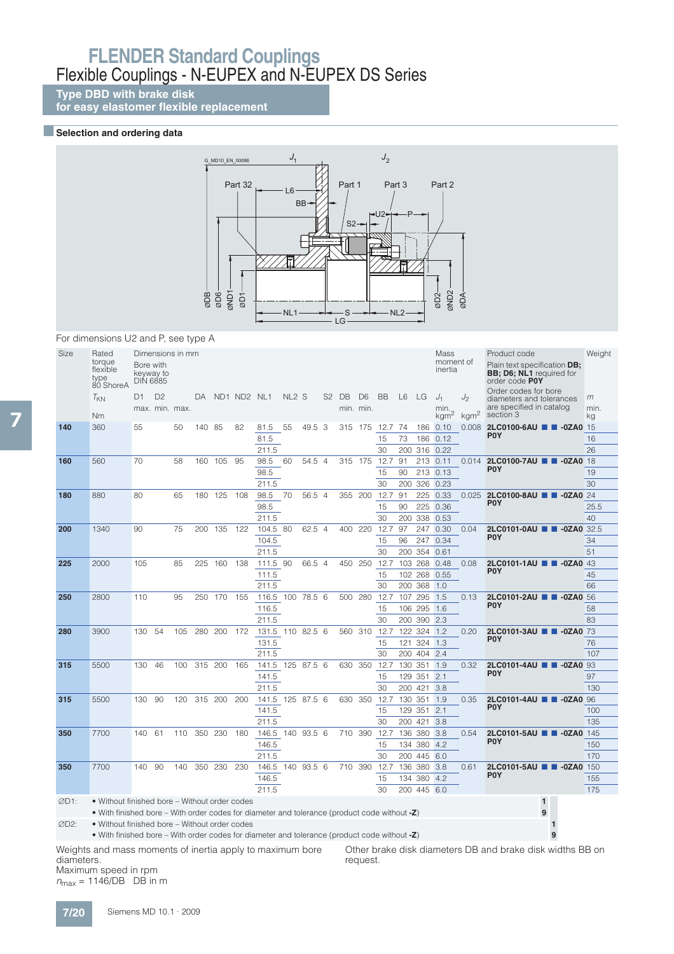**Type DBD with brake disk**

**for easy elastomer flexible replacement**

### **Exerction and ordering data**



For dimensions U2 and P, see type A

| Size             | Rated<br>torque<br>flexible<br>type<br>80 ShoreA                                                | Bore with<br><b>DIN 6885</b> | keyway to                        | Dimensions in mm |        |         |             |                  |                   |        |                   |                             |          |     |                    | Mass<br>moment of<br>inertia      |                        | Product code<br>Plain text specification DB;<br><b>BB</b> ; D6; NL1 required for<br>order code POY<br>Order codes for bore | Weight          |
|------------------|-------------------------------------------------------------------------------------------------|------------------------------|----------------------------------|------------------|--------|---------|-------------|------------------|-------------------|--------|-------------------|-----------------------------|----------|-----|--------------------|-----------------------------------|------------------------|----------------------------------------------------------------------------------------------------------------------------|-----------------|
|                  | $T_{KN}$<br>Nm                                                                                  | D1                           | D <sub>2</sub><br>max. min. max. |                  | DA.    |         | ND1 ND2 NL1 |                  | NL <sub>2</sub> S |        | S <sub>2</sub> DB | D <sub>6</sub><br>min. min. | BB       | L6  | LG                 | $J_1$<br>min.<br>kgm <sup>2</sup> | J2<br>kgm <sup>2</sup> | diameters and tolerances<br>are specified in catalog<br>section 3                                                          | m<br>min.<br>kg |
| 140              | 360                                                                                             | 55                           |                                  | 50               | 140 85 |         | 82          | 81.5             | 55                | 49.5 3 |                   | 315 175                     | 12.7 74  |     | 186                | 0.10                              | 0.008                  | 2LC0100-6AU <b>2D-0ZA0</b> 15                                                                                              |                 |
|                  |                                                                                                 |                              |                                  |                  |        |         |             | 81.5             |                   |        |                   |                             | 15       | 73  | 186                | 0.12                              |                        | P <sub>0</sub> Y                                                                                                           | 16              |
|                  |                                                                                                 |                              |                                  |                  |        |         |             | 211.5            |                   |        |                   |                             | 30       | 200 | 316                | 0.22                              |                        |                                                                                                                            | 26              |
| 160              | 560                                                                                             | 70                           |                                  | 58               | 160    | 105     | 95          | 98.5             | 60                | 54.5 4 | 315 175           |                             | 12.7     | 91  |                    | 213 0.11                          | 0.014                  | 2LC0100-7AU <b>1 -0ZA0</b> 18                                                                                              |                 |
|                  |                                                                                                 |                              |                                  |                  |        |         |             | 98.5             |                   |        |                   |                             | 15       | 90  |                    | 213 0.13                          |                        | <b>POY</b>                                                                                                                 | 19              |
|                  |                                                                                                 |                              |                                  |                  |        |         |             | 211.5            |                   |        |                   |                             | 30       | 200 | 326                | 0.23                              |                        |                                                                                                                            | 30              |
| 180              | 880                                                                                             | 80                           |                                  | 65               | 180    | 125     | 108         | 98.5             | 70                | 56.5 4 | 355               | 200                         | 12.7     | 91  | 225                | 0.33                              | 0.025                  | 2LC0100-8AU <b>1 -0ZA0</b> 24<br>P <sub>0</sub> Y                                                                          |                 |
|                  |                                                                                                 |                              |                                  |                  |        |         |             | 98.5             |                   |        |                   |                             | 15       | 90  | 225                | 0.36                              |                        |                                                                                                                            | 25.5            |
|                  |                                                                                                 |                              |                                  |                  |        |         |             | 211.5            |                   |        |                   |                             | 30       | 200 | 338                | 0.53                              |                        |                                                                                                                            | 40              |
| 200              | 1340                                                                                            | 90                           |                                  | 75               | 200    | 135     | 122         | 104.5 80         |                   | 62.5 4 | 400               | 220                         | 12.7     | 97  | 247                | 0.30                              | 0.04                   | 2LC0101-0AU <b>2</b> -0ZA0 32.5<br>P <sub>0</sub> Y                                                                        |                 |
|                  |                                                                                                 |                              |                                  |                  |        |         |             | 104.5            |                   |        |                   |                             | 15       | 96  | 247                | 0.34                              |                        |                                                                                                                            | 34              |
|                  |                                                                                                 |                              |                                  |                  |        |         |             | 211.5            |                   |        |                   |                             | 30       | 200 | 354                | 0.61                              |                        |                                                                                                                            | 51              |
| 225              | 2000                                                                                            | 105                          |                                  | 85               | 225    | 160     | 138         | 111.5 90         |                   | 66.5 4 | 450               | 250                         | 12.7     |     | 103 268            | 0.48                              | 0.08                   | 2LC0101-1AU <b>1 4</b> -0ZA0<br>P <sub>0</sub> Y                                                                           | 43              |
|                  |                                                                                                 |                              |                                  |                  |        |         |             | 111.5<br>211.5   |                   |        |                   |                             | 15<br>30 |     | 102 268<br>200 368 | 0.55                              |                        |                                                                                                                            | 45<br>66        |
| 250              | 2800                                                                                            | 110                          |                                  | 95               | 250    | 170     | 155         | 116.5 100        |                   | 78.5 6 | 500               | 280                         | 12.7     |     | 107 295            | 1.0<br>1.5                        | 0.13                   | 2LC0101-2AU <b>1 -0ZA0 56</b>                                                                                              |                 |
|                  |                                                                                                 |                              |                                  |                  |        |         |             | 116.5            |                   |        |                   |                             | 15       |     | 106 295            | 1.6                               |                        | P <sub>0</sub> Y                                                                                                           | 58              |
|                  |                                                                                                 |                              |                                  |                  |        |         |             | 211.5            |                   |        |                   |                             | 30       |     | 200 390            | 2.3                               |                        |                                                                                                                            | 83              |
| 280              | 3900                                                                                            | 130                          | 54                               | 105              | 280    | 200     | 172         | 131.5 110 82.5 6 |                   |        | 560 310           |                             | 12.7     |     | 122 324            | 1.2                               | 0.20                   | 2LC0101-3AU <b>1 -0ZA0</b> 73                                                                                              |                 |
|                  |                                                                                                 |                              |                                  |                  |        |         |             | 131.5            |                   |        |                   |                             | 15       | 121 | 324                | 1.3                               |                        | P <sub>0</sub> Y                                                                                                           | 76              |
|                  |                                                                                                 |                              |                                  |                  |        |         |             | 211.5            |                   |        |                   |                             | 30       |     | 200 404            | 2.4                               |                        |                                                                                                                            | 107             |
| 315              | 5500                                                                                            | 130                          | 46                               | 100              |        | 315 200 | 165         | 141.5 125 87.5 6 |                   |        | 630               | 350                         | 12.7     |     | 130 351            | 1.9                               | 0.32                   | 2LC0101-4AU <b>2D</b> -0ZA0                                                                                                | 93              |
|                  |                                                                                                 |                              |                                  |                  |        |         |             | 141.5            |                   |        |                   |                             | 15       |     | 129 351            | 2.1                               |                        | P <sub>0</sub> Y                                                                                                           | 97              |
|                  |                                                                                                 |                              |                                  |                  |        |         |             | 211.5            |                   |        |                   |                             | 30       |     | 200 421            | 3.8                               |                        |                                                                                                                            | 130             |
| 315              | 5500                                                                                            | 130                          | 90                               | 120              |        | 315 200 | 200         | 141.5 125 87.5 6 |                   |        | 630 350           |                             | 12.7     |     | 130 351            | 1.9                               | 0.35                   | 2LC0101-4AU <b>1 -0ZA0</b> 96                                                                                              |                 |
|                  |                                                                                                 |                              |                                  |                  |        |         |             | 141.5            |                   |        |                   |                             | 15       |     | 129 351 2.1        |                                   |                        | P <sub>0</sub> Y                                                                                                           | 100             |
|                  |                                                                                                 |                              |                                  |                  |        |         |             | 211.5            |                   |        |                   |                             | 30       |     | 200 421            | 3.8                               |                        |                                                                                                                            | 135             |
| 350              | 7700                                                                                            | 140                          | 61                               | 110              | 350    | 230     | 180         | 146.5 140        |                   | 93.5 6 | 710               | 390                         | 12.7     |     | 136 380            | 3.8                               | 0.54                   | 2LC0101-5AU <b>1 -0ZA0</b> 145                                                                                             |                 |
|                  |                                                                                                 |                              |                                  |                  |        |         |             | 146.5            |                   |        |                   |                             | 15       |     | 134 380            | 4.2                               |                        | P <sub>0</sub> Y                                                                                                           | 150             |
|                  |                                                                                                 |                              |                                  |                  |        |         |             | 211.5            |                   |        |                   |                             | 30       |     | 200 445            | 6.0                               |                        |                                                                                                                            | 170             |
| 350              | 7700                                                                                            | 140                          | 90                               | 140              | 350    | 230     | 230         | 146.5 140        |                   | 93.5 6 | 710               | 390                         | 12.7     |     | 136 380            | 3.8                               | 0.61                   | 2LC0101-5AU ■ ■ -0ZA0                                                                                                      | 150             |
|                  |                                                                                                 |                              |                                  |                  |        |         |             | 146.5            |                   |        |                   |                             | 15       |     | 134 380            | 4.2                               |                        | P <sub>0</sub> Y                                                                                                           | 155             |
|                  |                                                                                                 |                              |                                  |                  |        |         |             | 211.5            |                   |        |                   |                             | 30       |     | 200 445 6.0        |                                   |                        |                                                                                                                            | 175             |
| ØD1:             | • Without finished bore – Without order codes                                                   |                              |                                  |                  |        |         |             |                  |                   |        |                   |                             |          |     |                    |                                   |                        | $\mathbf{1}$                                                                                                               |                 |
|                  | • With finished bore – With order codes for diameter and tolerance (product code without $-Z$ ) |                              |                                  |                  |        |         |             |                  |                   |        |                   |                             |          |     |                    |                                   |                        | 9                                                                                                                          |                 |
| ØD <sub>2:</sub> | • Without finished bore – Without order codes                                                   |                              |                                  |                  |        |         |             |                  |                   |        |                   |                             |          |     |                    |                                   |                        |                                                                                                                            |                 |
|                  | • With finished bore – With order codes for diameter and tolerance (product code without -Z)    |                              |                                  |                  |        |         |             |                  |                   |        |                   |                             |          |     |                    |                                   |                        | 9                                                                                                                          |                 |

Weights and mass moments of inertia apply to maximum bore diameters. Maximum speed in rpm  $n_{\text{max}} = 1146/\text{DB}$  DB in m Other brake disk diameters DB and brake disk widths BB on request.

7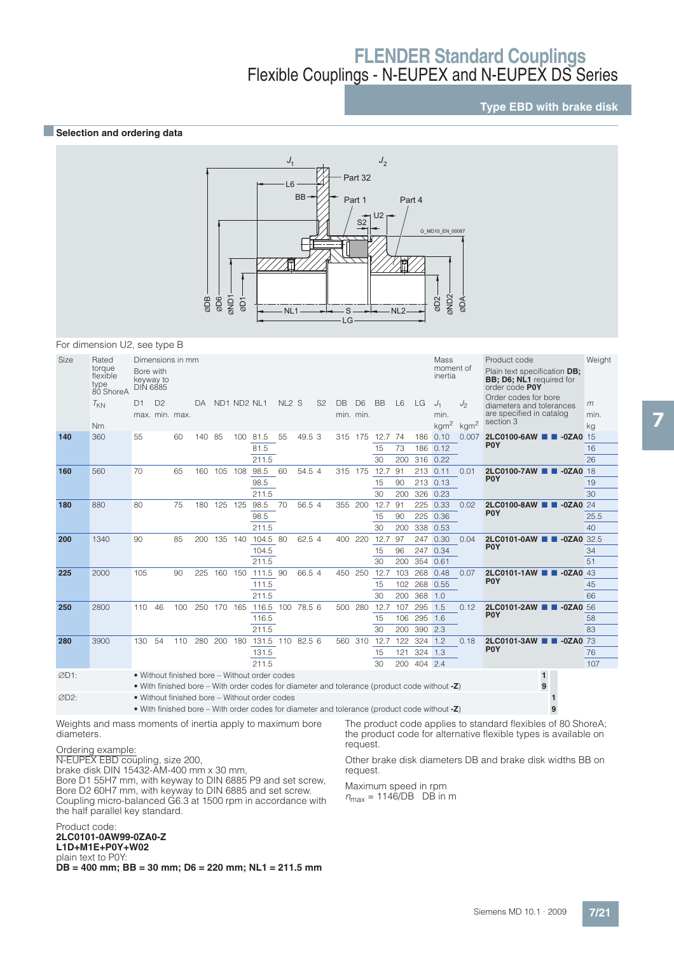## **Type EBD with brake disk**

#### **B** Selection and ordering data



#### For dimension U2, see type B

| Size              | Rated<br>torque<br>flexible<br>type<br>80 ShoreA          | Bore with<br>keyway to<br><b>DIN 6885</b> |                | Dimensions in mm |        |             |     |                                                                                                                                                  |                   |        |                |         |                             |           |                |              | Mass<br>moment of<br>inertia |                                                     | Product code<br>Plain text specification DB;<br><b>BB: D6: NL1</b> required for<br>order code POY | Weight          |
|-------------------|-----------------------------------------------------------|-------------------------------------------|----------------|------------------|--------|-------------|-----|--------------------------------------------------------------------------------------------------------------------------------------------------|-------------------|--------|----------------|---------|-----------------------------|-----------|----------------|--------------|------------------------------|-----------------------------------------------------|---------------------------------------------------------------------------------------------------|-----------------|
|                   | $T_{KN}$<br><b>Nm</b>                                     | D1<br>max. min. max.                      | D <sub>2</sub> |                  | DA     | ND1 ND2 NL1 |     |                                                                                                                                                  | NL <sub>2</sub> S |        | S <sub>2</sub> | DB      | D <sub>6</sub><br>min. min. | <b>BB</b> | L <sub>6</sub> | LG           | $J_1$<br>min.                | J <sub>2</sub><br>kgm <sup>2</sup> kgm <sup>2</sup> | Order codes for bore<br>diameters and tolerances<br>are specified in catalog<br>section 3         | m<br>min.<br>kg |
|                   |                                                           | 55                                        |                |                  | 140 85 |             |     | 100 81.5                                                                                                                                         | 55                | 49.5 3 |                |         | 175                         | 12.7      | 74             |              | 186 0.10                     | 0.007                                               | 2LC0100-6AW <b>2D-0ZA0</b> 15                                                                     |                 |
| 140               | 360                                                       |                                           |                | 60               |        |             |     | 81.5                                                                                                                                             |                   |        |                | 315     |                             | 15        | 73             |              | 186 0.12                     |                                                     | <b>POY</b>                                                                                        | 16              |
|                   |                                                           |                                           |                |                  |        |             |     | 211.5                                                                                                                                            |                   |        |                |         |                             | 30        | 200            |              | 316 0.22                     |                                                     |                                                                                                   | 26              |
| 160               | 560                                                       | 70                                        |                | 65               | 160    | 105         | 108 | 98.5                                                                                                                                             | 60                | 54.5 4 |                | 315     | 175                         | 12.7      | 91             |              | 213 0.11                     | 0.01                                                | 2LC0100-7AW <b>2D-0ZA0</b> 18                                                                     |                 |
|                   |                                                           |                                           |                |                  |        |             |     | 98.5                                                                                                                                             |                   |        |                |         |                             | 15        | 90             |              | 213 0.13                     |                                                     | P <sub>0</sub> Y                                                                                  | 19              |
|                   |                                                           |                                           |                |                  |        |             |     | 211.5                                                                                                                                            |                   |        |                |         |                             | 30        | 200            |              | 326 0.23                     |                                                     |                                                                                                   | 30              |
| 180               | 880                                                       | 80                                        |                | 75               | 180    | 125         | 125 | 98.5                                                                                                                                             | 70                | 56.5 4 |                | 355     | 200                         | 12.7      | 91             |              | 225 0.33                     | 0.02                                                | 2LC0100-8AW <b>2 -0ZA0</b> 24                                                                     |                 |
|                   |                                                           |                                           |                |                  |        |             |     | 98.5                                                                                                                                             |                   |        |                |         |                             | 15        | 90             | 225          | 0.36                         |                                                     | P <sub>0</sub> Y                                                                                  | 25.5            |
|                   |                                                           |                                           |                |                  |        |             |     | 211.5                                                                                                                                            |                   |        |                |         |                             | 30        | 200            |              | 338 0.53                     |                                                     |                                                                                                   | 40              |
| 200               | 1340                                                      | 90                                        |                | 85               | 200    | 135         | 140 | 104.5 80                                                                                                                                         |                   | 62.5 4 |                | 400     | 220                         | 12.7      | 97             |              | 247 0.30                     | 0.04                                                | 2LC0101-0AW <b>1 1 -0ZA0</b> 32.5                                                                 |                 |
|                   |                                                           |                                           |                |                  |        |             |     | 104.5                                                                                                                                            |                   |        |                |         |                             | 15        | 96             |              | 247 0.34                     |                                                     | P <sub>0</sub> Y                                                                                  | 34              |
|                   |                                                           |                                           |                |                  |        |             |     | 211.5                                                                                                                                            |                   |        |                |         |                             | 30        | 200            | 354          | 0.61                         |                                                     |                                                                                                   | 51              |
| 225               | 2000                                                      | 105                                       |                | 90               | 225    | 160 150     |     | 111.5 90                                                                                                                                         |                   | 66.5 4 |                | 450     | 250                         | 12.7      |                | 103 268 0.48 |                              | 0.07                                                | 2LC0101-1AW <b>B</b> -0ZA0 43                                                                     |                 |
|                   |                                                           |                                           |                |                  |        |             |     | 111.5                                                                                                                                            |                   |        |                |         |                             | 15        | 102            |              | 268 0.55                     |                                                     | P <sub>0</sub> Y                                                                                  | 45              |
|                   |                                                           |                                           |                |                  |        |             |     | 211.5                                                                                                                                            |                   |        |                |         |                             | 30        | 200            | 368 1.0      |                              |                                                     |                                                                                                   | 66              |
| 250               | 2800                                                      | 110                                       | 46             | 100              | 250    | 170         | 165 | 116.5                                                                                                                                            | 100 78.5 6        |        |                | 500     | 280                         | 12.7      | 107            | 295          | 1.5                          | 0.12                                                | 2LC0101-2AW <b>1 -0ZA0</b> 56                                                                     |                 |
|                   |                                                           |                                           |                |                  |        |             |     | 116.5                                                                                                                                            |                   |        |                |         |                             | 15        |                | 106 295      | 1.6                          |                                                     | <b>POY</b>                                                                                        | 58              |
|                   |                                                           |                                           |                |                  |        |             |     | 211.5                                                                                                                                            |                   |        |                |         |                             | 30        | 200            | 390 2.3      |                              |                                                     |                                                                                                   | 83              |
| 280               | 3900                                                      | 130                                       | 54             | 110 280 200      |        |             | 180 | 131.5 110 82.5 6                                                                                                                                 |                   |        |                | 560 310 |                             | 12.7      | 122            | 324 1.2      |                              | 0.18                                                | 2LC0101-3AW <b>B</b> -0ZA0 73                                                                     |                 |
|                   |                                                           |                                           |                |                  |        |             |     | 131.5                                                                                                                                            |                   |        |                |         |                             | 15        | 121            | 324 1.3      |                              |                                                     | P <sub>0</sub> Y                                                                                  | 76              |
|                   |                                                           |                                           |                |                  |        |             |     | 211.5                                                                                                                                            |                   |        |                |         |                             | 30        | 200            | 404 2.4      |                              |                                                     |                                                                                                   | 107             |
| ØD1:              |                                                           |                                           |                |                  |        |             |     | • Without finished bore – Without order codes<br>• With finished bore – With order codes for diameter and tolerance (product code without -Z)    |                   |        |                |         |                             |           |                |              |                              |                                                     | $\mathbf{1}$<br>9                                                                                 |                 |
| ØD <sub>2</sub> : |                                                           |                                           |                |                  |        |             |     | • Without finished bore – Without order codes<br>• With finished bore – With order codes for diameter and tolerance (product code without $-Z$ ) |                   |        |                |         |                             |           |                |              |                              |                                                     |                                                                                                   |                 |
|                   | Weights and mass moments of inertia apply to maximum bore |                                           |                |                  |        |             |     |                                                                                                                                                  |                   |        |                |         |                             |           |                |              |                              |                                                     | The product code applies to standard flexibles of 80 ShoreA;                                      |                 |

Weights and mass moments of inertia apply to maximum bore diameters.

#### Ordering example:

N-EUPEX EBD coupling, size 200,

brake disk DIN 15432-AM-400 mm x 30 mm,

Bore D1 55H7 mm, with keyway to DIN 6885 P9 and set screw, Bore D2 60H7 mm, with keyway to DIN 6885 and set screw. Coupling micro-balanced G6.3 at 1500 rpm in accordance with the half parallel key standard.

the product code for alternative flexible types is available on request. Other brake disk diameters DB and brake disk widths BB on

request.

Maximum speed in rpm  $n_{\text{max}} = 1146/\text{DB}$  DB in m

#### Product code: **2LC0101-0AW99-0ZA0-Z L1D+M1E+P0Y+W02** plain text to P0Y:

**DB = 400 mm; BB = 30 mm; D6 = 220 mm; NL1 = 211.5 mm**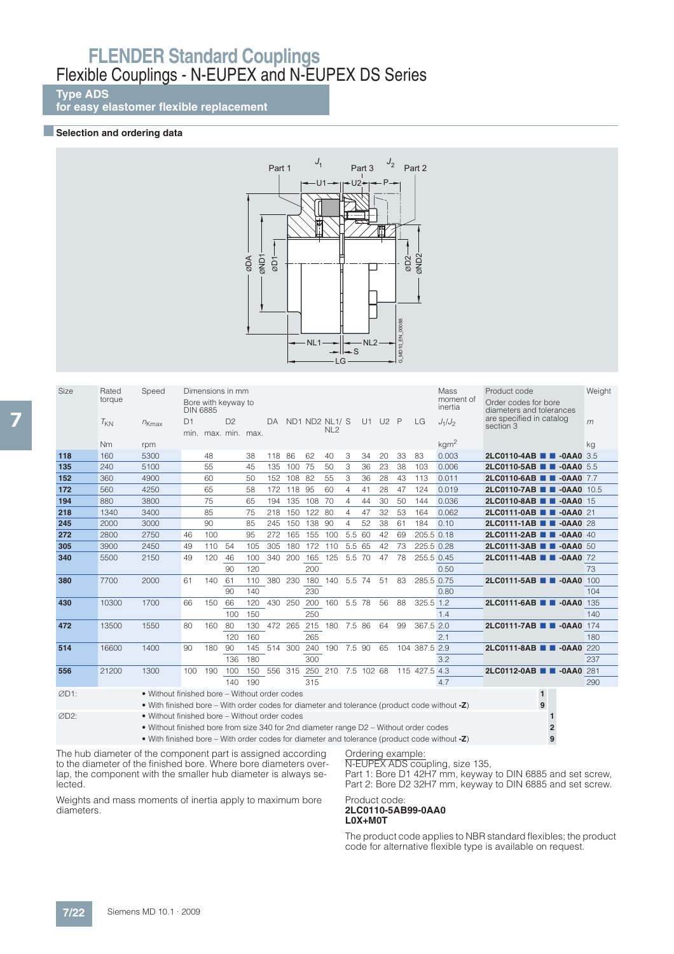### **Type ADS**

**for easy elastomer flexible replacement**

#### **B** Selection and ordering data



| Size | Rated<br>torque | Speed                                                                                                                                            | <b>DIN 6885</b> |     | Dimensions in mm<br>Bore with keyway to |     |        |            |             |                                   |                |    |      |    |               | Mass<br>moment of<br>inertia | Product code<br>Order codes for bore<br>diameters and tolerances | Weight |
|------|-----------------|--------------------------------------------------------------------------------------------------------------------------------------------------|-----------------|-----|-----------------------------------------|-----|--------|------------|-------------|-----------------------------------|----------------|----|------|----|---------------|------------------------------|------------------------------------------------------------------|--------|
|      | $T_{KN}$        | $n_{Kmax}$                                                                                                                                       | D1              |     | D <sup>2</sup><br>min. max. min. max.   |     | DA     |            |             | ND1 ND2 NL1/ S<br>NL <sub>2</sub> |                | U1 | U2 P |    | LG            | $J_1/J_2$                    | are specified in catalog<br>section 3                            | m      |
|      | N <sub>m</sub>  | rpm                                                                                                                                              |                 |     |                                         |     |        |            |             |                                   |                |    |      |    |               | kgm <sup>2</sup>             |                                                                  | kg     |
| 118  | 160             | 5300                                                                                                                                             |                 | 48  |                                         | 38  | 118 86 |            | 62          | 40                                | 3              | 34 | 20   | 33 | 83            | 0.003                        | 2LC0110-4AB <b>CODE 10-0AA0</b> 3.5                              |        |
| 135  | 240             | 5100                                                                                                                                             |                 | 55  |                                         | 45  | 135    | 100        | 75          | 50                                | 3              | 36 | 23   | 38 | 103           | 0.006                        | 2LC0110-5AB <b>B</b> -0AA0 5.5                                   |        |
| 152  | 360             | 4900                                                                                                                                             |                 | 60  |                                         | 50  | 152    | 108        | 82          | 55                                | 3              | 36 | 28   | 43 | 113           | 0.011                        | 2LC0110-6AB 2-0AA0 7.7                                           |        |
| 172  | 560             | 4250                                                                                                                                             |                 | 65  |                                         | 58  |        | 172 118 95 |             | 60                                | $\overline{4}$ | 41 | 28   | 47 | 124           | 0.019                        | 2LC0110-7AB <b>B</b> -0AA0 10.5                                  |        |
| 194  | 880             | 3800                                                                                                                                             |                 | 75  |                                         | 65  | 194    | 135        | 108         | 70                                | $\overline{4}$ | 44 | 30   | 50 | 144           | 0.036                        | 2LC0110-8AB <b>B</b> -0AA0 15                                    |        |
| 218  | 1340            | 3400                                                                                                                                             |                 | 85  |                                         | 75  | 218    | 150        | 122         | 80                                | $\overline{4}$ | 47 | 32   | 53 | 164           | 0.062                        | 2LC0111-0AB 2 -0AA0 21                                           |        |
| 245  | 2000            | 3000                                                                                                                                             |                 | 90  |                                         | 85  | 245    | 150        | 138         | 90                                | 4              | 52 | 38   | 61 | 184           | 0.10                         | 2LC0111-1AB 2-0AA0 28                                            |        |
| 272  | 2800            | 2750                                                                                                                                             | 46              | 100 |                                         | 95  | 272    | 165        | 155         | 100                               | 5.5 60         |    | 42   | 69 | 205.5 0.18    |                              | 2LC0111-2AB 2-0AA0 40                                            |        |
| 305  | 3900            | 2450                                                                                                                                             | 49              | 110 | 54                                      | 105 | 305    | 180        | 172         | 110                               | 5.5 65         |    | 42   | 73 | 225.5 0.28    |                              | 2LC0111-3AB <b>B</b> -0AA0 50                                    |        |
| 340  | 5500            | 2150                                                                                                                                             | 49              | 120 | 46                                      | 100 | 340    | 200        | 165         | 125                               | 5.5 70         |    | 47   | 78 | 255.5 0.45    |                              | 2LC0111-4AB 2-0AA0 72                                            |        |
|      |                 |                                                                                                                                                  |                 |     | 90                                      | 120 |        |            | 200         |                                   |                |    |      |    |               | 0.50                         |                                                                  | 73     |
| 380  | 7700            | 2000                                                                                                                                             | 61              | 140 | 61                                      | 110 | 380    |            | 230 180     | 140 5.5 74                        |                |    | 51   | 83 | 285.5 0.75    |                              | 2LC0111-5AB 2-0AA0 100                                           |        |
|      |                 |                                                                                                                                                  |                 |     | 90                                      | 140 |        |            | 230         |                                   |                |    |      |    |               | 0.80                         |                                                                  | 104    |
| 430  | 10300           | 1700                                                                                                                                             | 66              | 150 | 66                                      | 120 | 430    | 250        | 200         | 160 5.5 78                        |                |    | 56   | 88 | 325.5 1.2     |                              | 2LC0111-6AB <b>B</b> -0AA0                                       | 135    |
|      |                 |                                                                                                                                                  |                 |     | 100                                     | 150 |        |            | 250         |                                   |                |    |      |    |               | 1.4                          |                                                                  | 140    |
| 472  | 13500           | 1550                                                                                                                                             | 80              | 160 | 80                                      | 130 |        |            | 472 265 215 | 180 7.5 86                        |                |    | 64   | 99 | 367.5 2.0     |                              | 2LC0111-7AB 2-0AA0 174                                           |        |
|      |                 |                                                                                                                                                  |                 |     | 120                                     | 160 |        |            | 265         |                                   |                |    |      |    |               | 2.1                          |                                                                  | 180    |
| 514  | 16600           | 1400                                                                                                                                             | 90              | 180 | 90                                      | 145 |        |            | 514 300 240 | 190 7.5 90                        |                |    | 65   |    | 104 387.5 2.9 |                              | 2LC0111-8AB 2-0AA0 220                                           |        |
|      |                 |                                                                                                                                                  |                 |     | 136                                     | 180 |        |            | 300         |                                   |                |    |      |    |               | 3.2                          |                                                                  | 237    |
| 556  | 21200           | 1300                                                                                                                                             | 100             | 190 | 100                                     | 150 |        |            |             | 556 315 250 210 7.5 102 68        |                |    |      |    | 115 427.5 4.3 |                              | 2LC0112-0AB 2-0AA0 281                                           |        |
|      |                 |                                                                                                                                                  |                 |     | 140                                     | 190 |        |            | 315         |                                   |                |    |      |    |               | 4.7                          |                                                                  | 290    |
| ØD1: |                 | • Without finished bore - Without order codes<br>• With finished bore – With order codes for diameter and tolerance (product code without $-Z$ ) |                 |     |                                         |     |        |            |             |                                   |                |    |      |    |               |                              | $\mathbf{1}$<br>9                                                |        |
| ØD2: |                 | • Without finished bore – Without order codes                                                                                                    |                 |     |                                         |     |        |            |             |                                   |                |    |      |    |               |                              |                                                                  |        |
|      |                 | • Without finished bore from size 340 for 2nd diameter range D2 - Without order codes                                                            |                 |     |                                         |     |        |            |             |                                   |                |    |      |    |               |                              |                                                                  |        |
|      |                 |                                                                                                                                                  |                 |     |                                         |     |        |            |             |                                   |                |    |      |    |               |                              |                                                                  |        |

• With finished bore – With order codes for diameter and tolerance (product code without **-Z**) **9**

The hub diameter of the component part is assigned according to the diameter of the finished bore. Where bore diameters overlap, the component with the smaller hub diameter is always selected.

Weights and mass moments of inertia apply to maximum bore diameters.

Ordering example: N-EUPEX ADS coupling, size 135,

Part 1: Bore D1 42H7 mm, keyway to DIN 6885 and set screw, Part 2: Bore D2 32H7 mm, keyway to DIN 6885 and set screw.

#### Product code: **2LC0110-5AB99-0AA0 L0X+M0T**

The product code applies to NBR standard flexibles; the product code for alternative flexible type is available on request.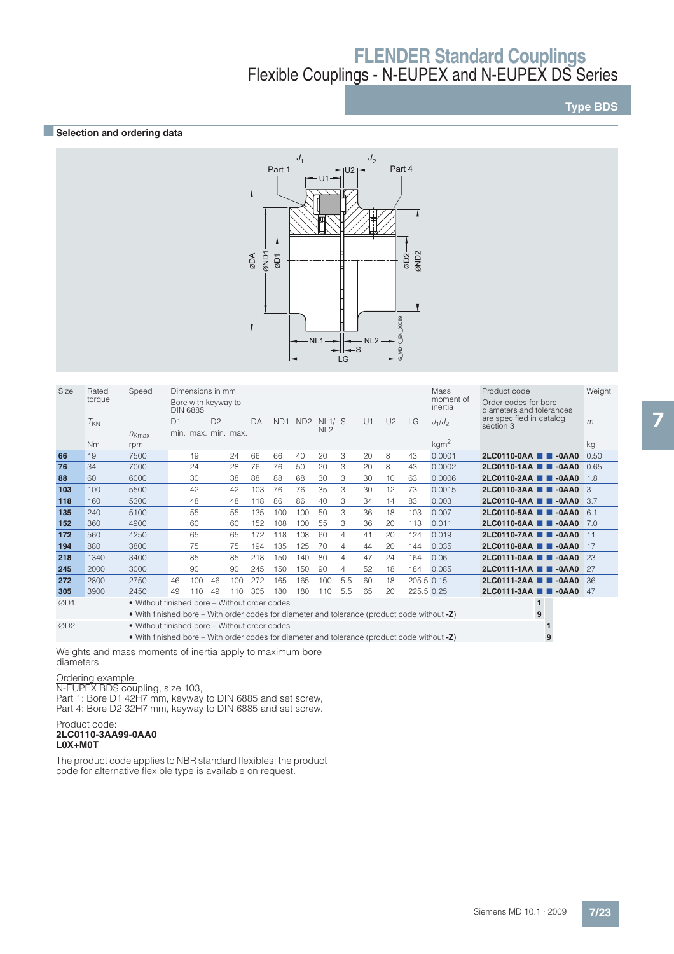## **Type BDS**

## **BSelection and ordering data**



| Size | Speed<br>Rated<br>torque                                                                        |                                                                                                 | Dimensions in mm<br>Mass<br>moment of<br>Bore with keyway to<br>inertia<br><b>DIN 6885</b> |     |                |                     |     |                 |                 |                           |     |    |    |     | Product code<br>Order codes for bore<br>diameters and tolerances | Weight                                |      |
|------|-------------------------------------------------------------------------------------------------|-------------------------------------------------------------------------------------------------|--------------------------------------------------------------------------------------------|-----|----------------|---------------------|-----|-----------------|-----------------|---------------------------|-----|----|----|-----|------------------------------------------------------------------|---------------------------------------|------|
|      | $T_{KN}$                                                                                        | $n_{Kmax}$                                                                                      | D1                                                                                         |     | D <sup>2</sup> | min. max. min. max. | DA  | ND <sub>1</sub> | ND <sub>2</sub> | NL1/ S<br>NL <sub>2</sub> |     | U1 | U2 | LG. | $J_1/J_2$                                                        | are specified in catalog<br>section 3 | m    |
|      | Nm                                                                                              | rpm                                                                                             |                                                                                            |     |                |                     |     |                 |                 |                           |     |    |    |     | kgm <sup>2</sup>                                                 |                                       | kg   |
| 66   | 19                                                                                              | 7500                                                                                            |                                                                                            | 19  |                | 24                  | 66  | 66              | 40              | 20                        | 3   | 20 | 8  | 43  | 0.0001                                                           | 2LC0110-0AA 2 -0AA0                   | 0.50 |
| 76   | 34                                                                                              | 7000                                                                                            |                                                                                            | 24  |                | 28                  | 76  | 76              | 50              | 20                        | 3   | 20 | 8  | 43  | 0.0002                                                           | 2LC0110-1AA 2 -0AA0                   | 0.65 |
| 88   | 60                                                                                              | 6000                                                                                            |                                                                                            | 30  |                | 38                  | 88  | 88              | 68              | 30                        | 3   | 30 | 10 | 63  | 0.0006                                                           | 2LC0110-2AA 2 -0AA0                   | 1.8  |
| 103  | 100                                                                                             | 5500                                                                                            |                                                                                            | 42  |                | 42                  | 103 | 76              | 76              | 35                        | 3   | 30 | 12 | 73  | 0.0015                                                           | 2LC0110-3AA <b>1 1 -0AA0</b> 3        |      |
| 118  | 160                                                                                             | 5300                                                                                            |                                                                                            | 48  |                | 48                  | 118 | 86              | 86              | 40                        | 3   | 34 | 14 | 83  | 0.003                                                            | 2LC0110-4AA 2 -0AA0                   | 3.7  |
| 135  | 240                                                                                             | 5100                                                                                            |                                                                                            | 55  |                | 55                  | 135 | 100             | 100             | 50                        | 3   | 36 | 18 | 103 | 0.007                                                            | 2LC0110-5AA ■ ■ -0AA0                 | 6.1  |
| 152  | 360                                                                                             | 4900                                                                                            |                                                                                            | 60  |                | 60                  | 152 | 108             | 100             | 55                        | 3   | 36 | 20 | 113 | 0.011                                                            | 2LC0110-6AA 2 -0AA0                   | 7.0  |
| 172  | 560                                                                                             | 4250                                                                                            |                                                                                            | 65  |                | 65                  | 172 | 118             | 108             | 60                        | 4   | 41 | 20 | 124 | 0.019                                                            | 2LC0110-7AA 2 -0AA0                   | 11   |
| 194  | 880                                                                                             | 3800                                                                                            |                                                                                            | 75  |                | 75                  | 194 | 135             | 125             | 70                        | 4   | 44 | 20 | 144 | 0.035                                                            | 2LC0110-8AA 2 -0AA0                   | 17   |
| 218  | 1340                                                                                            | 3400                                                                                            |                                                                                            | 85  |                | 85                  | 218 | 150             | 140             | 80                        | 4   | 47 | 24 | 164 | 0.06                                                             | 2LC0111-0AA 2 -0AA0                   | 23   |
| 245  | 2000                                                                                            | 3000                                                                                            |                                                                                            | 90  |                | 90                  | 245 | 150             | 150             | 90                        | 4   | 52 | 18 | 184 | 0.085                                                            | 2LC0111-1AA 2 -0AA0                   | 27   |
| 272  | 2800                                                                                            | 2750                                                                                            | 46                                                                                         | 100 | 46             | 100                 | 272 | 165             | 165             | 100                       | 5.5 | 60 | 18 |     | 205.5 0.15                                                       | 2LC0111-2AA 2 -0AA0                   | 36   |
| 305  | 3900                                                                                            | 2450                                                                                            | 49                                                                                         | 110 | 49             | 110                 | 305 | 180             | 180             | 110                       | 5.5 | 65 | 20 |     | 225.5 0.25                                                       | 2LC0111-3AA 2 -0AA0                   | 47   |
| ØD1: |                                                                                                 | • Without finished bore – Without order codes                                                   |                                                                                            |     |                |                     |     |                 |                 |                           |     |    |    |     |                                                                  | $\mathbf{1}$                          |      |
|      |                                                                                                 | • With finished bore – With order codes for diameter and tolerance (product code without $-Z$ ) |                                                                                            |     |                |                     |     |                 |                 |                           |     |    |    |     |                                                                  | 9                                     |      |
| ØD2: |                                                                                                 | • Without finished bore – Without order codes                                                   |                                                                                            |     |                |                     |     |                 |                 |                           |     |    |    |     |                                                                  |                                       |      |
|      | • With finished bore – With order codes for diameter and tolerance (product code without $-Z$ ) |                                                                                                 |                                                                                            |     |                |                     |     |                 |                 |                           |     |    |    |     |                                                                  |                                       |      |

Weights and mass moments of inertia apply to maximum bore diameters.

## Ordering example:

N-EUPEX BDS coupling, size 103, Part 1: Bore D1 42H7 mm, keyway to DIN 6885 and set screw, Part 4: Bore D2 32H7 mm, keyway to DIN 6885 and set screw.

#### Product code: **2LC0110-3AA99-0AA0 L0X+M0T**

The product code applies to NBR standard flexibles; the product code for alternative flexible type is available on request.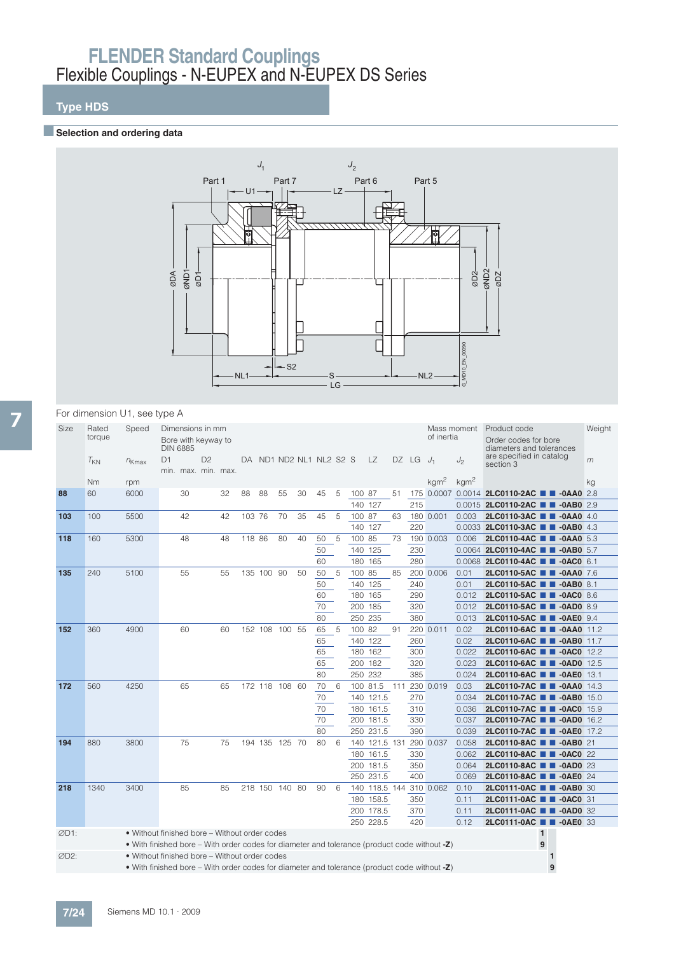## **Type HDS**

## **BSelection and ordering data**



### For dimension U1, see type A

| Size<br>Rated<br>torque |          | Speed                                                                                        |    | Dimensions in mm<br>Bore with keyway to<br><b>DIN 6885</b> |                |    | Mass moment<br>Product code<br>of inertia |            |                |    |                         |    |         |                         |     |       | Order codes for bore<br>diameters and tolerances | Weight           |                                                  |  |    |
|-------------------------|----------|----------------------------------------------------------------------------------------------|----|------------------------------------------------------------|----------------|----|-------------------------------------------|------------|----------------|----|-------------------------|----|---------|-------------------------|-----|-------|--------------------------------------------------|------------------|--------------------------------------------------|--|----|
|                         | $T_{KN}$ | $n_{Kmax}$                                                                                   | D1 | min. max. min. max.                                        | D <sub>2</sub> |    |                                           |            |                |    | DA ND1 ND2 NL1 NL2 S2 S |    |         | LZ.                     |     | DZ LG | $J_1$                                            | J2               | are specified in catalog<br>section 3            |  | m  |
|                         | Nm       | rpm                                                                                          |    |                                                            |                |    |                                           |            |                |    |                         |    |         |                         |     |       | kgm <sup>2</sup>                                 | kgm <sup>2</sup> |                                                  |  | ka |
| 88                      | 60       | 6000                                                                                         |    | 30                                                         |                | 32 | 88                                        | 88         | 55             | 30 | 45                      | 5  | 100 87  |                         | 51  |       |                                                  |                  | 175 0.0007 0.0014 2LC0110-2AC <b>1 -0AA0</b> 2.8 |  |    |
|                         |          |                                                                                              |    |                                                            |                |    |                                           |            |                |    |                         |    | 140     | 127                     |     | 215   |                                                  |                  | 0.0015 2LC0110-2AC <b>1 -0AB0</b> 2.9            |  |    |
| 103                     | 100      | 5500                                                                                         |    | 42                                                         |                | 42 | 103 76                                    |            | 70             | 35 | 45                      | 5  | 100 87  |                         | 63  |       | 180 0.001                                        | 0.003            | 2LC0110-3AC <b>1 -0AA0</b> 4.0                   |  |    |
|                         |          |                                                                                              |    |                                                            |                |    |                                           |            |                |    |                         |    | 140 127 |                         |     | 220   |                                                  |                  | 0.0033 2LC0110-3AC <b>2 2 -0AB0</b> 4.3          |  |    |
| 118                     | 160      | 5300                                                                                         |    | 48                                                         |                | 48 | 118 86                                    |            | 80             | 40 | 50                      | 5  | 100 85  |                         | 73  |       | 190 0.003                                        | 0.006            | 2LC0110-4AC <b>III -0AA0</b> 5.3                 |  |    |
|                         |          |                                                                                              |    |                                                            |                |    |                                           |            |                |    | 50                      |    |         | 140 125                 |     | 230   |                                                  |                  | 0.0064 2LC0110-4AC <b>E E -0AB0</b> 5.7          |  |    |
|                         |          |                                                                                              |    |                                                            |                |    |                                           |            |                |    | 60                      |    |         | 180 165                 |     | 280   |                                                  |                  | 0.0068 2LC0110-4AC <b>1 -0AC0</b> 6.1            |  |    |
| 135                     | 240      | 5100                                                                                         |    | 55                                                         |                | 55 |                                           | 135 100 90 |                | 50 | 50                      | 5  | 100 85  |                         | 85  |       | 200 0.006                                        | 0.01             | 2LC0110-5AC <b>1 4</b> -0AA0 7.6                 |  |    |
|                         |          |                                                                                              |    |                                                            |                |    |                                           |            |                |    | 50                      |    |         | 140 125                 |     | 240   |                                                  | 0.01             | 2LC0110-5AC <b>1 4</b> -0AB0 8.1                 |  |    |
|                         |          |                                                                                              |    |                                                            |                |    |                                           |            |                |    | 60                      |    | 180     | 165                     |     | 290   |                                                  | 0.012            | 2LC0110-5AC <b>N</b> -0AC0 8.6                   |  |    |
|                         |          |                                                                                              |    |                                                            |                |    |                                           |            |                |    | 70                      |    | 200     | 185                     |     | 320   |                                                  | 0.012            | 2LC0110-5AC <b># 4 -0AD0</b> 8.9                 |  |    |
|                         |          |                                                                                              |    |                                                            |                |    |                                           |            |                |    | 80                      |    |         | 250 235                 |     | 380   |                                                  | 0.013            | 2LC0110-5AC <b>1 -0AE0</b> 9.4                   |  |    |
| 152                     | 360      | 4900                                                                                         |    | 60                                                         |                | 60 |                                           |            | 152 108 100 55 |    | 65                      | -5 | 100 82  |                         | 91  |       | 220 0.011                                        | 0.02             | 2LC0110-6AC <b>TH</b> -0AA0 11.2                 |  |    |
|                         |          |                                                                                              |    |                                                            |                |    |                                           |            |                |    | 65                      |    |         | 140 122                 |     | 260   |                                                  | 0.02             | 2LC0110-6AC <b>N</b> -0AB0 11.7                  |  |    |
|                         |          |                                                                                              |    |                                                            |                |    |                                           |            |                |    | 65                      |    |         | 180 162                 |     | 300   |                                                  | 0.022            | 2LC0110-6AC <b>TH</b> -0ACO 12.2                 |  |    |
|                         |          |                                                                                              |    |                                                            |                |    |                                           |            |                |    | 65                      |    |         | 200 182                 |     | 320   |                                                  | 0.023            | 2LC0110-6AC <b>TH</b> -0AD0 12.5                 |  |    |
|                         |          |                                                                                              |    |                                                            |                |    |                                           |            |                |    | 80                      |    |         | 250 232                 |     | 385   |                                                  | 0.024            | 2LC0110-6AC <b>TH</b> -0AE0 13.1                 |  |    |
| 172                     | 560      | 4250                                                                                         |    | 65                                                         |                | 65 |                                           |            | 172 118 108 60 |    | 70                      | 6  |         | 100 81.5                | 111 |       | 230 0.019                                        | 0.03             | 2LC0110-7AC <b>TH</b> -0AA0 14.3                 |  |    |
|                         |          |                                                                                              |    |                                                            |                |    |                                           |            |                |    | 70                      |    |         | 140 121.5               |     | 270   |                                                  | 0.034            | 2LC0110-7AC <b>TH</b> -0AB0 15.0                 |  |    |
|                         |          |                                                                                              |    |                                                            |                |    |                                           |            |                |    | 70                      |    |         | 180 161.5               |     | 310   |                                                  | 0.036            | 2LC0110-7AC <b>1 -0AC0</b> 15.9                  |  |    |
|                         |          |                                                                                              |    |                                                            |                |    |                                           |            |                |    | 70                      |    |         | 200 181.5               |     | 330   |                                                  | 0.037            | 2LC0110-7AC <b>N</b> -0AD0 16.2                  |  |    |
|                         |          |                                                                                              |    |                                                            |                |    |                                           |            |                |    | 80                      |    |         | 250 231.5               |     | 390   |                                                  | 0.039            | 2LC0110-7AC <b>N</b> -0AE0 17.2                  |  |    |
| 194                     | 880      | 3800                                                                                         |    | 75                                                         |                | 75 |                                           |            | 194 135 125 70 |    | 80                      | 6  |         | 140 121.5 131 290 0.037 |     |       |                                                  | 0.058            | 2LC0110-8AC <b>2 -0AB0</b> 21                    |  |    |
|                         |          |                                                                                              |    |                                                            |                |    |                                           |            |                |    |                         |    |         | 180 161.5               |     | 330   |                                                  | 0.062            | 2LC0110-8AC <b>N</b> -0AC0 22                    |  |    |
|                         |          |                                                                                              |    |                                                            |                |    |                                           |            |                |    |                         |    | 200     | 181.5                   |     | 350   |                                                  | 0.064            | 2LC0110-8AC <b>N</b> -0AD0 23                    |  |    |
|                         |          |                                                                                              |    |                                                            |                |    |                                           |            |                |    |                         |    |         | 250 231.5               |     | 400   |                                                  | 0.069            | 2LC0110-8AC <b>T</b> -0AE0 24                    |  |    |
| 218                     | 1340     | 3400                                                                                         |    | 85                                                         |                | 85 |                                           |            | 218 150 140 80 |    | 90                      | 6  |         | 140 118.5 144 310 0.062 |     |       |                                                  | 0.10             | 2LC0111-0AC <b>1 4</b> -0AB0 30                  |  |    |
|                         |          |                                                                                              |    |                                                            |                |    |                                           |            |                |    |                         |    |         | 180 158.5               |     | 350   |                                                  | 0.11             | 2LC0111-0AC <b>N</b> -0AC0 31                    |  |    |
|                         |          |                                                                                              |    |                                                            |                |    |                                           |            |                |    |                         |    |         | 200 178.5               |     | 370   |                                                  | 0.11             | 2LC0111-0AC <b>0 0 -0AD0</b> 32                  |  |    |
|                         |          |                                                                                              |    |                                                            |                |    |                                           |            |                |    |                         |    |         | 250 228.5               |     | 420   |                                                  | 0.12             | 2LC0111-0AC ■ ■ -0AE0 33                         |  |    |
| ØD1:                    |          | • Without finished bore – Without order codes                                                |    |                                                            |                |    |                                           |            |                |    |                         |    |         |                         |     |       |                                                  |                  | $\mathbf{1}$                                     |  |    |
|                         |          | • With finished bore – With order codes for diameter and tolerance (product code without -Z) |    |                                                            |                |    |                                           |            |                |    |                         |    |         |                         |     |       |                                                  |                  | 9                                                |  |    |
| ØD2:                    |          | • Without finished bore – Without order codes                                                |    |                                                            |                |    |                                           |            |                |    |                         |    |         |                         |     |       |                                                  |                  |                                                  |  |    |
|                         |          | • With finished bore – With order codes for diameter and tolerance (product code without -Z) |    |                                                            |                |    |                                           |            |                |    |                         |    |         |                         |     |       |                                                  |                  | 9                                                |  |    |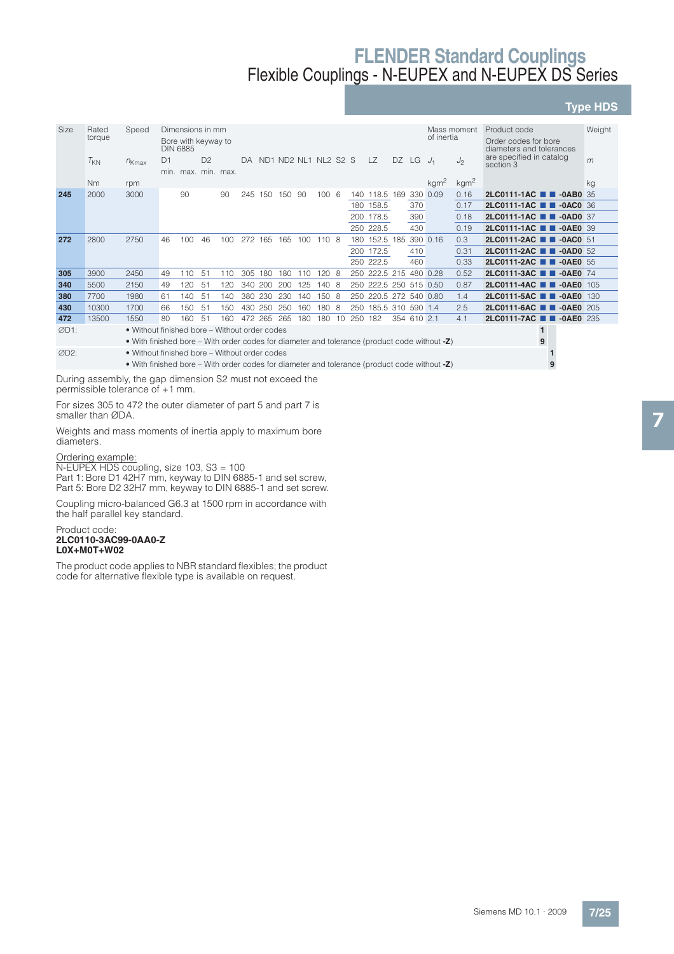## **Type HDS**

| Size | Rated    | Speed                                                                                        |    | Dimensions in mm                       |                |         |     |            |                      |     |               |     |     |                        |  |             |                                                  | Mass moment      | Product code                                    | Weight |
|------|----------|----------------------------------------------------------------------------------------------|----|----------------------------------------|----------------|---------|-----|------------|----------------------|-----|---------------|-----|-----|------------------------|--|-------------|--------------------------------------------------|------------------|-------------------------------------------------|--------|
|      | torque   |                                                                                              |    | Bore with keyway to<br><b>DIN 6885</b> |                |         |     | of inertia |                      |     |               |     |     |                        |  |             | Order codes for bore<br>diameters and tolerances |                  |                                                 |        |
|      | $T_{KN}$ | $n_{Kmax}$                                                                                   | D1 | min. max. min. max.                    | D <sup>2</sup> |         | DA. |            | ND1 ND2 NL1 NL2 S2 S |     |               |     |     | $\overline{Z}$         |  | DZ LG       | $J_1$                                            | J <sub>2</sub>   | are specified in catalog<br>section 3           | m      |
|      | Nm       | rpm                                                                                          |    |                                        |                |         |     |            |                      |     |               |     |     |                        |  |             | kgm <sup>2</sup>                                 | kgm <sup>2</sup> |                                                 | ka     |
| 245  | 2000     | 3000                                                                                         |    | 90                                     |                | 90      | 245 | 150        | 150                  | -90 | 100           | - 6 |     | 140 118.5 169          |  | 330         | 0.09                                             | 0.16             | $2$ LC0111-1AC $\blacksquare$<br>$-0$ AB $0$ 35 |        |
|      |          |                                                                                              |    |                                        |                |         |     |            |                      |     |               |     |     | 180 158.5              |  | 370         |                                                  | 0.17             | 2LC0111-1AC <b>1 -0AC0</b> 36                   |        |
|      |          |                                                                                              |    |                                        |                |         |     |            |                      |     |               |     |     | 200 178.5              |  | 390         |                                                  | 0.18             | 2LC0111-1AC <b>1 -0AD0</b> 37                   |        |
|      |          |                                                                                              |    |                                        |                |         |     |            |                      |     |               |     |     | 250 228.5              |  | 430         |                                                  | 0.19             | 2LC0111-1AC <b>T</b> -0AE0 39                   |        |
| 272  | 2800     | 2750                                                                                         | 46 | 100                                    | 46             | $100 -$ | 272 | 165        | 165                  |     | $100$ $110$ 8 |     |     | 180 152.5 185 390 0.16 |  |             |                                                  | 0.3              | 2LC0111-2AC <b>1 4</b> -0AC0 51                 |        |
|      |          |                                                                                              |    |                                        |                |         |     |            |                      |     |               |     |     | 200 172.5              |  | 410         |                                                  | 0.31             | 2LC0111-2AC <b>1 4</b> -0AD0 52                 |        |
|      |          |                                                                                              |    |                                        |                |         |     |            |                      |     |               |     |     | 250 222.5              |  | 460         |                                                  | 0.33             | 2LC0111-2AC <b>1 4</b> -0AE0 55                 |        |
| 305  | 3900     | 2450                                                                                         | 49 | 110                                    | 51             | 110     | 305 | 180        | 180                  | 110 | 1208          |     |     | 250 222.5 215 480 0.28 |  |             |                                                  | 0.52             | 2LC0111-3AC <b>N</b> -0AE0 74                   |        |
| 340  | 5500     | 2150                                                                                         | 49 | 120                                    | 51             | 120     | 340 | 200        | 200                  | 125 | 140 8         |     |     | 250 222.5 250 515 0.50 |  |             |                                                  | 0.87             | 2LC0111-4AC <b>N</b> -0AE0 105                  |        |
| 380  | 7700     | 1980                                                                                         | 61 | 140                                    | 51             | 140     | 380 | 230        | 230                  | 140 | 150           | - 8 |     | 250 220.5 272 540 0.80 |  |             |                                                  | 1.4              | 2LC0111-5AC <b>N</b> -0AE0 130                  |        |
| 430  | 10300    | 1700                                                                                         | 66 | 150                                    | 51             | 150     | 430 | 250        | 250                  | 160 | 180           | -8  | 250 | 185.5 310 590 1.4      |  |             |                                                  | 2.5              | $2LC0111-6AC$ $\blacksquare$<br>$-0$ AE0 205    |        |
| 472  | 13500    | 1550                                                                                         | 80 | 160                                    | 51             | 160     |     | 472 265    | 265                  | 180 | 180           | 10  | 250 | 182                    |  | 354 610 2.1 |                                                  | 4.1              | 2LC0111-7AC <b>N</b> -0AE0 235                  |        |
| ØD1: |          | • Without finished bore – Without order codes                                                |    |                                        |                |         |     |            |                      |     |               |     |     |                        |  |             |                                                  |                  |                                                 |        |
|      |          | • With finished bore – With order codes for diameter and tolerance (product code without -Z) |    |                                        |                |         |     |            |                      |     |               |     |     |                        |  |             |                                                  |                  | 9                                               |        |
| ØD2: |          | • Without finished bore – Without order codes                                                |    |                                        |                |         |     |            |                      |     |               |     |     |                        |  |             |                                                  |                  |                                                 |        |
|      |          | • With finished bore – With order codes for diameter and tolerance (product code without -Z) |    |                                        |                |         |     |            |                      |     |               |     |     |                        |  |             |                                                  |                  |                                                 |        |

During assembly, the gap dimension S2 must not exceed the permissible tolerance of +1 mm.

For sizes 305 to 472 the outer diameter of part 5 and part 7 is smaller than ØDA.

Weights and mass moments of inertia apply to maximum bore diameters.

#### Ordering example:

N-EUPEX HDS coupling, size 103, S3 = 100 Part 1: Bore D1 42H7 mm, keyway to DIN 6885-1 and set screw, Part 5: Bore D2 32H7 mm, keyway to DIN 6885-1 and set screw.

Coupling micro-balanced G6.3 at 1500 rpm in accordance with the half parallel key standard.

#### Product code: **2LC0110-3AC99-0AA0-Z L0X+M0T+W02**

The product code applies to NBR standard flexibles; the product code for alternative flexible type is available on request.